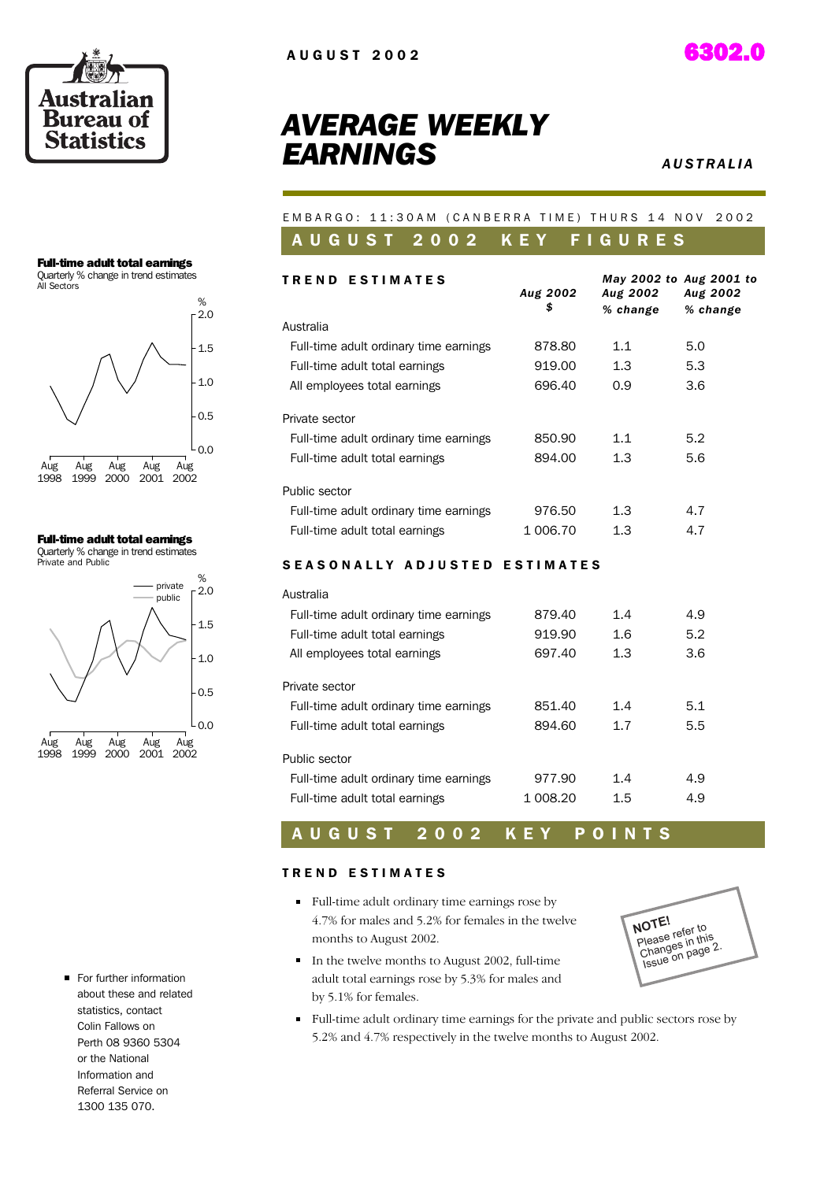



### *AVERAGE WEEKLY* **EARNINGS**

#### EMBARGO: 11:30AM (CANBERRA TIME) THURS 14 NOV 2002 A U G U S T 2 0 0 2 K E Y F I G U R E S

| <b>TREND ESTIMATES</b>                 |                |                             | May 2002 to Aug 2001 to |
|----------------------------------------|----------------|-----------------------------|-------------------------|
|                                        | Aug 2002<br>\$ | <b>Aug 2002</b><br>% change | Aug 2002<br>% change    |
| Australia                              |                |                             |                         |
| Full-time adult ordinary time earnings | 878.80         | 1.1                         | 5.0                     |
| Full-time adult total earnings         | 919.00         | 1.3                         | 5.3                     |
| All employees total earnings           | 696.40         | 0.9                         | 3.6                     |
| Private sector                         |                |                             |                         |
| Full-time adult ordinary time earnings | 850.90         | 1.1                         | 5.2                     |
| Full-time adult total earnings         | 894.00         | 1.3                         | 5.6                     |
| Public sector                          |                |                             |                         |
| Full-time adult ordinary time earnings | 976.50         | 1.3                         | 4.7                     |
| Full-time adult total earnings         | 1 006.70       | 1.3                         | 4.7                     |
| <b>SEASONALLY ADJUSTED ESTIMATES</b>   |                |                             |                         |
| Australia                              |                |                             |                         |
| Full-time adult ordinary time earnings | 879.40         | 1.4                         | 4.9                     |
| Full-time adult total earnings         | 919.90         | 1.6                         | 5.2                     |
| All employees total earnings           | 697.40         | 1.3                         | 3.6                     |
| Private sector                         |                |                             |                         |
| Full-time adult ordinary time earnings | 851.40         | 1.4                         | 5.1                     |
| Full-time adult total earnings         | 894.60         | 1.7                         | 5.5                     |
| Public sector                          |                |                             |                         |

### A U G U S T 2 0 0 2 K E Y P O I N T S

Full-time adult ordinary time earnings  $977.90$  1.4 4.9 Full-time adult total earnings 1 008.20 1.5 4.9

#### TREND ESTIMATES

- Full-time adult ordinary time earnings rose by 4.7% for males and 5.2% for females in the twelve months to August 2002.
- In the twelve months to August 2002, full-time adult total earnings rose by 5.3% for males and by 5.1% for females.



Full-time adult ordinary time earnings for the private and public sectors rose by 5.2% and 4.7% respectively in the twelve months to August 2002.

Full-time adult total earnings Quarterly % change in trend estimates



Full-time adult total earnings

Quarterly % change in trend estimates



For further information about these and related statistics, contact Colin Fallows on Perth 08 9360 5304 or the National Information and Referral Service on 1300 135 070.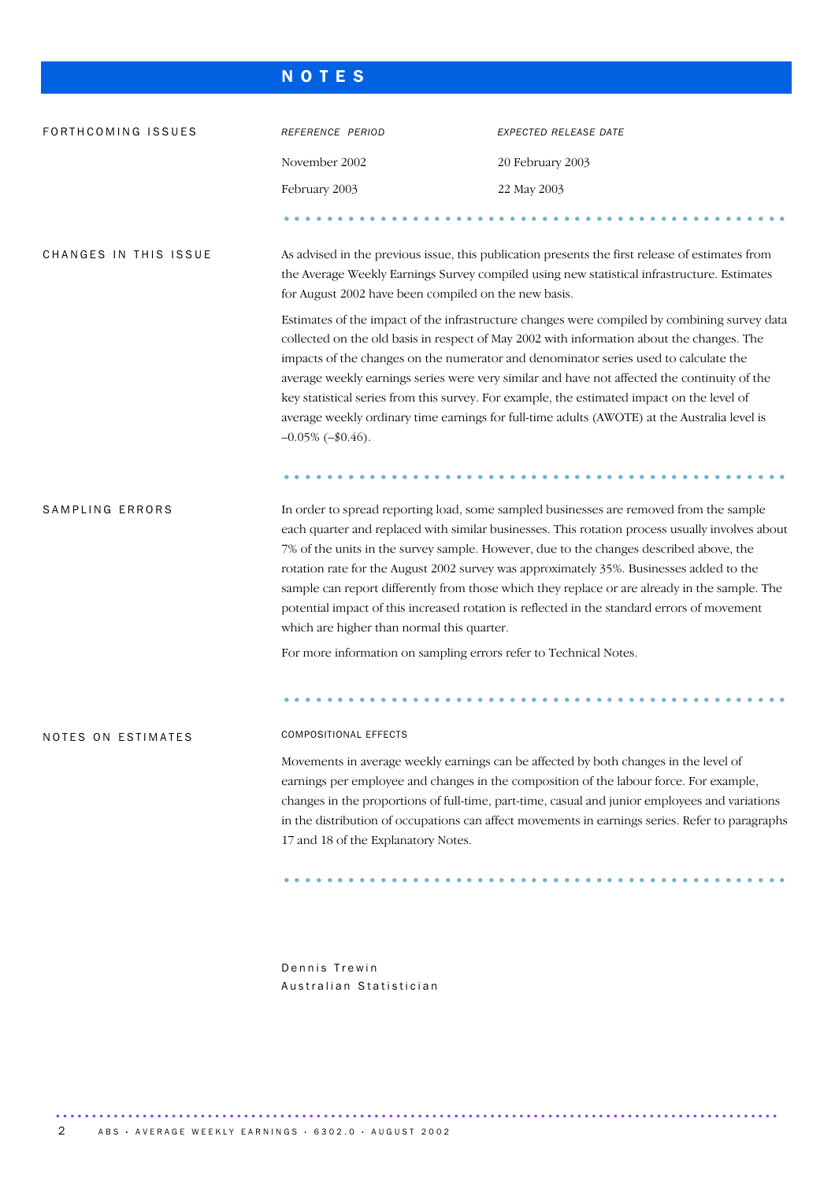#### N O T E S

| FORTHCOMING ISSUES        | REFERENCE PERIOD                                                                                                                                                                                                                                                                                                                                                                                                                                                                                                                                                                                                                                                                                  | EXPECTED RELEASE DATE                                                                                                                                                                                                                                                                                                                                                               |  |  |  |  |  |  |  |
|---------------------------|---------------------------------------------------------------------------------------------------------------------------------------------------------------------------------------------------------------------------------------------------------------------------------------------------------------------------------------------------------------------------------------------------------------------------------------------------------------------------------------------------------------------------------------------------------------------------------------------------------------------------------------------------------------------------------------------------|-------------------------------------------------------------------------------------------------------------------------------------------------------------------------------------------------------------------------------------------------------------------------------------------------------------------------------------------------------------------------------------|--|--|--|--|--|--|--|
|                           | November 2002                                                                                                                                                                                                                                                                                                                                                                                                                                                                                                                                                                                                                                                                                     | 20 February 2003                                                                                                                                                                                                                                                                                                                                                                    |  |  |  |  |  |  |  |
|                           | February 2003                                                                                                                                                                                                                                                                                                                                                                                                                                                                                                                                                                                                                                                                                     | 22 May 2003                                                                                                                                                                                                                                                                                                                                                                         |  |  |  |  |  |  |  |
|                           |                                                                                                                                                                                                                                                                                                                                                                                                                                                                                                                                                                                                                                                                                                   |                                                                                                                                                                                                                                                                                                                                                                                     |  |  |  |  |  |  |  |
| CHANGES IN THIS ISSUE     |                                                                                                                                                                                                                                                                                                                                                                                                                                                                                                                                                                                                                                                                                                   | As advised in the previous issue, this publication presents the first release of estimates from<br>the Average Weekly Earnings Survey compiled using new statistical infrastructure. Estimates<br>for August 2002 have been compiled on the new basis.                                                                                                                              |  |  |  |  |  |  |  |
|                           | Estimates of the impact of the infrastructure changes were compiled by combining survey data<br>collected on the old basis in respect of May 2002 with information about the changes. The<br>impacts of the changes on the numerator and denominator series used to calculate the<br>average weekly earnings series were very similar and have not affected the continuity of the<br>key statistical series from this survey. For example, the estimated impact on the level of<br>average weekly ordinary time earnings for full-time adults (AWOTE) at the Australia level is<br>$-0.05\%$ ( $-\$0.46$ ).                                                                                       |                                                                                                                                                                                                                                                                                                                                                                                     |  |  |  |  |  |  |  |
| SAMPLING ERRORS           | In order to spread reporting load, some sampled businesses are removed from the sample<br>each quarter and replaced with similar businesses. This rotation process usually involves about<br>7% of the units in the survey sample. However, due to the changes described above, the<br>rotation rate for the August 2002 survey was approximately 35%. Businesses added to the<br>sample can report differently from those which they replace or are already in the sample. The<br>potential impact of this increased rotation is reflected in the standard errors of movement<br>which are higher than normal this quarter.<br>For more information on sampling errors refer to Technical Notes. |                                                                                                                                                                                                                                                                                                                                                                                     |  |  |  |  |  |  |  |
| <b>NOTES ON ESTIMATES</b> | <b>COMPOSITIONAL EFFECTS</b>                                                                                                                                                                                                                                                                                                                                                                                                                                                                                                                                                                                                                                                                      |                                                                                                                                                                                                                                                                                                                                                                                     |  |  |  |  |  |  |  |
|                           | 17 and 18 of the Explanatory Notes.                                                                                                                                                                                                                                                                                                                                                                                                                                                                                                                                                                                                                                                               | Movements in average weekly earnings can be affected by both changes in the level of<br>earnings per employee and changes in the composition of the labour force. For example,<br>changes in the proportions of full-time, part-time, casual and junior employees and variations<br>in the distribution of occupations can affect movements in earnings series. Refer to paragraphs |  |  |  |  |  |  |  |
|                           |                                                                                                                                                                                                                                                                                                                                                                                                                                                                                                                                                                                                                                                                                                   |                                                                                                                                                                                                                                                                                                                                                                                     |  |  |  |  |  |  |  |

Dennis Trewin Australian Statistician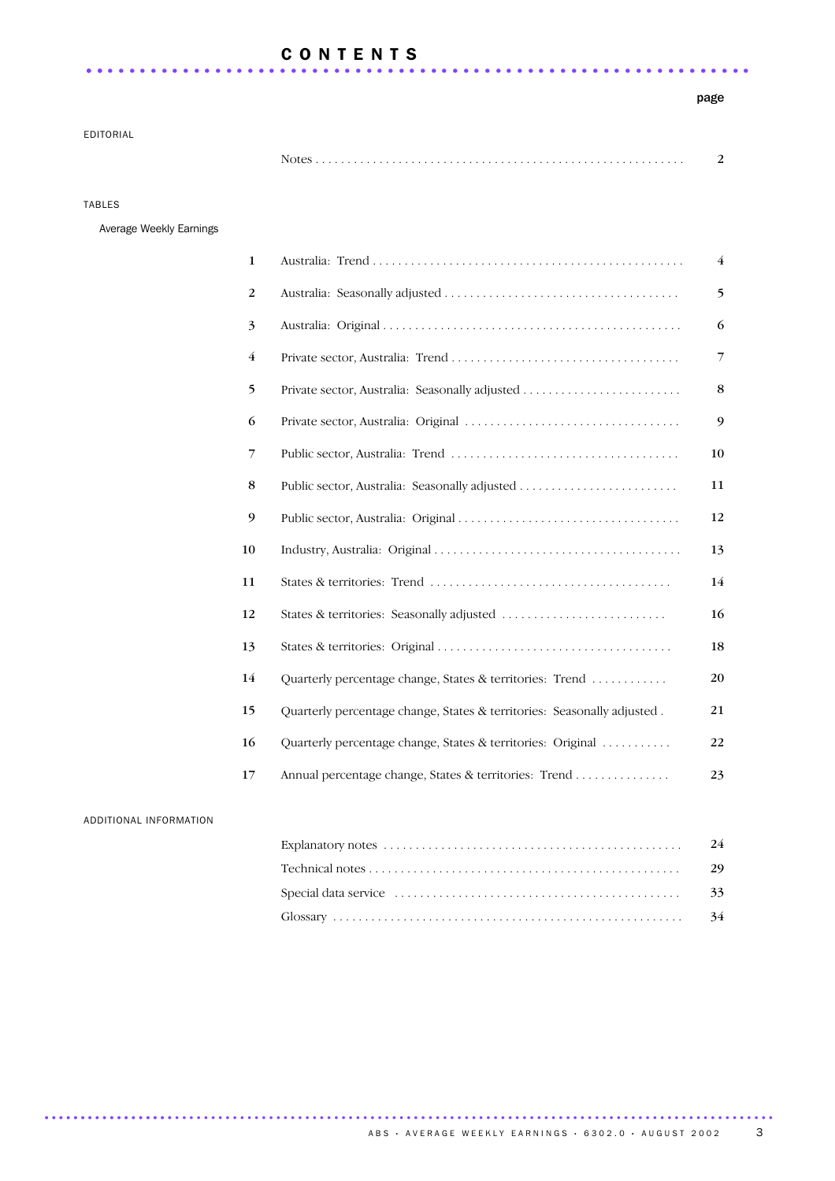### C O N T E N T S .............................................................. ..

#### page

EDITORIAL

TABLES

Average Weekly Earnings

|                                                                         | $\overline{4}$ |
|-------------------------------------------------------------------------|----------------|
|                                                                         | 5              |
|                                                                         | 6              |
|                                                                         | 7              |
|                                                                         | 8              |
|                                                                         | 9              |
|                                                                         | 10             |
|                                                                         | 11             |
|                                                                         | 12             |
|                                                                         | 13             |
|                                                                         | 14             |
|                                                                         | 16             |
|                                                                         | 18             |
| Quarterly percentage change, States & territories: Trend                | 20             |
| Quarterly percentage change, States & territories: Seasonally adjusted. | 21             |
| Quarterly percentage change, States & territories: Original             | 22             |
| Annual percentage change, States & territories: Trend                   | 23             |
|                                                                         |                |

#### ADDITIONAL INFORMATION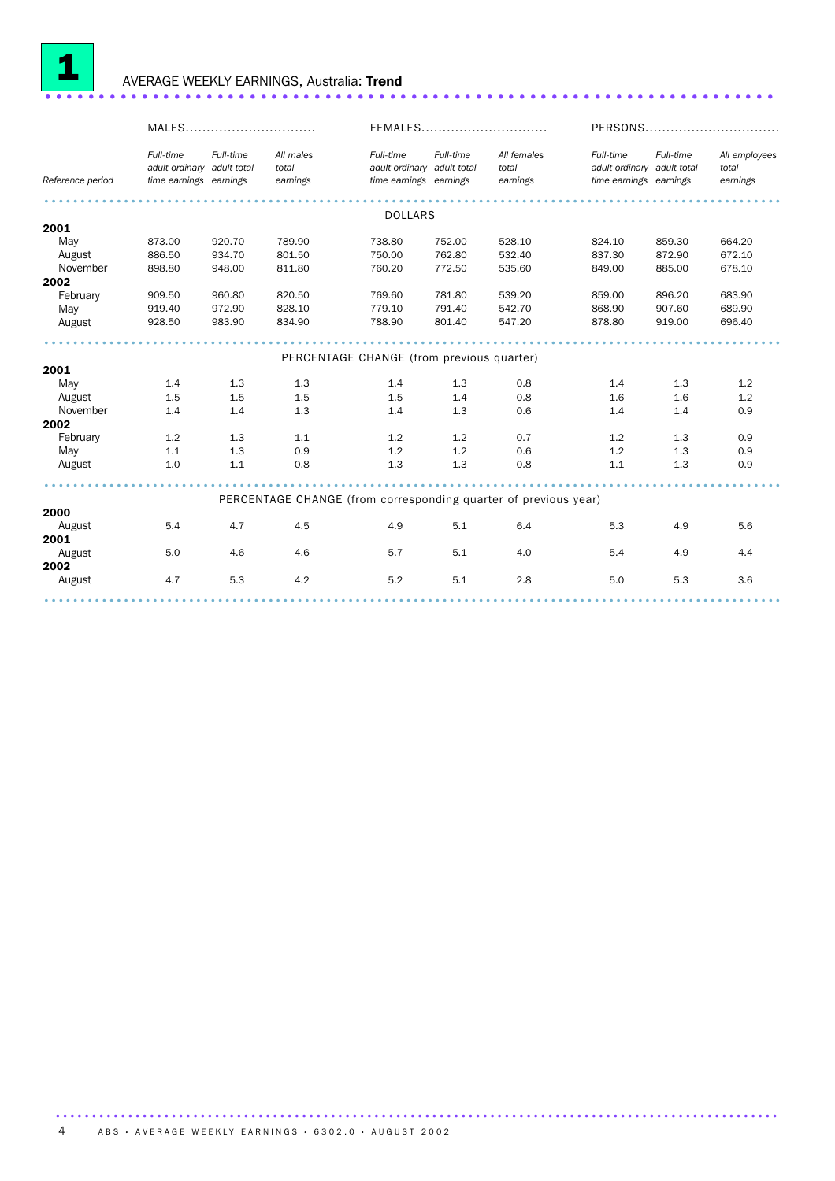

### <sup>1</sup> AVERAGE WEEKLY EARNINGS, Australia: Trend .................................................................... ..

|                  | MALES                                                             |           |                                                                 | FEMALES                                                           |           |                                  | PERSONS                                                           |           |                                    |  |
|------------------|-------------------------------------------------------------------|-----------|-----------------------------------------------------------------|-------------------------------------------------------------------|-----------|----------------------------------|-------------------------------------------------------------------|-----------|------------------------------------|--|
| Reference period | Full-time<br>adult ordinary adult total<br>time earnings earnings | Full-time | All males<br>total<br>earnings                                  | Full-time<br>adult ordinary adult total<br>time earnings earnings | Full-time | All females<br>total<br>earnings | Full-time<br>adult ordinary adult total<br>time earnings earnings | Full-time | All employees<br>total<br>earnings |  |
|                  |                                                                   |           |                                                                 | <b>DOLLARS</b>                                                    |           |                                  |                                                                   |           |                                    |  |
| 2001             |                                                                   |           |                                                                 |                                                                   |           |                                  |                                                                   |           |                                    |  |
| May              | 873.00                                                            | 920.70    | 789.90                                                          | 738.80                                                            | 752.00    | 528.10                           | 824.10                                                            | 859.30    | 664.20                             |  |
| August           | 886.50                                                            | 934.70    | 801.50                                                          | 750.00                                                            | 762.80    | 532.40                           | 837.30                                                            | 872.90    | 672.10                             |  |
| November         | 898.80                                                            | 948.00    | 811.80                                                          | 760.20                                                            | 772.50    | 535.60                           | 849.00                                                            | 885.00    | 678.10                             |  |
| 2002             |                                                                   |           |                                                                 |                                                                   |           |                                  |                                                                   |           |                                    |  |
| February         | 909.50                                                            | 960.80    | 820.50                                                          | 769.60                                                            | 781.80    | 539.20                           | 859.00                                                            | 896.20    | 683.90                             |  |
| May              | 919.40                                                            | 972.90    | 828.10                                                          | 779.10                                                            | 791.40    | 542.70                           | 868.90                                                            | 907.60    | 689.90                             |  |
| August           | 928.50                                                            | 983.90    | 834.90                                                          | 788.90                                                            | 801.40    | 547.20                           | 878.80                                                            | 919.00    | 696.40                             |  |
|                  |                                                                   |           |                                                                 |                                                                   |           |                                  |                                                                   |           |                                    |  |
|                  | PERCENTAGE CHANGE (from previous quarter)                         |           |                                                                 |                                                                   |           |                                  |                                                                   |           |                                    |  |
| 2001             |                                                                   |           |                                                                 |                                                                   |           |                                  |                                                                   |           |                                    |  |
| May              | 1.4                                                               | 1.3       | 1.3                                                             | 1.4                                                               | 1.3       | 0.8                              | 1.4                                                               | 1.3       | 1.2                                |  |
| August           | 1.5                                                               | 1.5       | 1.5                                                             | 1.5                                                               | 1.4       | 0.8                              | 1.6                                                               | 1.6       | 1.2                                |  |
| November         | 1.4                                                               | 1.4       | 1.3                                                             | 1.4                                                               | 1.3       | 0.6                              | 1.4                                                               | 1.4       | 0.9                                |  |
| 2002             |                                                                   |           |                                                                 |                                                                   |           |                                  |                                                                   |           |                                    |  |
| February         | 1.2                                                               | 1.3       | 1.1                                                             | 1.2                                                               | 1.2       | 0.7                              | 1.2                                                               | 1.3       | 0.9                                |  |
| May              | 1.1                                                               | 1.3       | 0.9                                                             | 1.2                                                               | 1.2       | 0.6                              | 1.2                                                               | 1.3       | 0.9                                |  |
| August           | 1.0                                                               | 1.1       | 0.8                                                             | 1.3                                                               | 1.3       | 0.8                              | 1.1                                                               | 1.3       | 0.9                                |  |
|                  |                                                                   |           |                                                                 |                                                                   |           |                                  |                                                                   |           |                                    |  |
|                  |                                                                   |           | PERCENTAGE CHANGE (from corresponding quarter of previous year) |                                                                   |           |                                  |                                                                   |           |                                    |  |
| 2000             |                                                                   |           |                                                                 |                                                                   |           |                                  |                                                                   |           |                                    |  |
| August           | 5.4                                                               | 4.7       | 4.5                                                             | 4.9                                                               | 5.1       | 6.4                              | 5.3                                                               | 4.9       | 5.6                                |  |
| 2001             | 5.0                                                               | 4.6       | 4.6                                                             | 5.7                                                               | 5.1       | 4.0                              |                                                                   | 4.9       |                                    |  |
| August<br>2002   |                                                                   |           |                                                                 |                                                                   |           |                                  | 5.4                                                               |           | 4.4                                |  |
| August           | 4.7                                                               | 5.3       | 4.2                                                             | 5.2                                                               | 5.1       | 2.8                              | 5.0                                                               | 5.3       | 3.6                                |  |
|                  |                                                                   |           |                                                                 |                                                                   |           |                                  |                                                                   |           |                                    |  |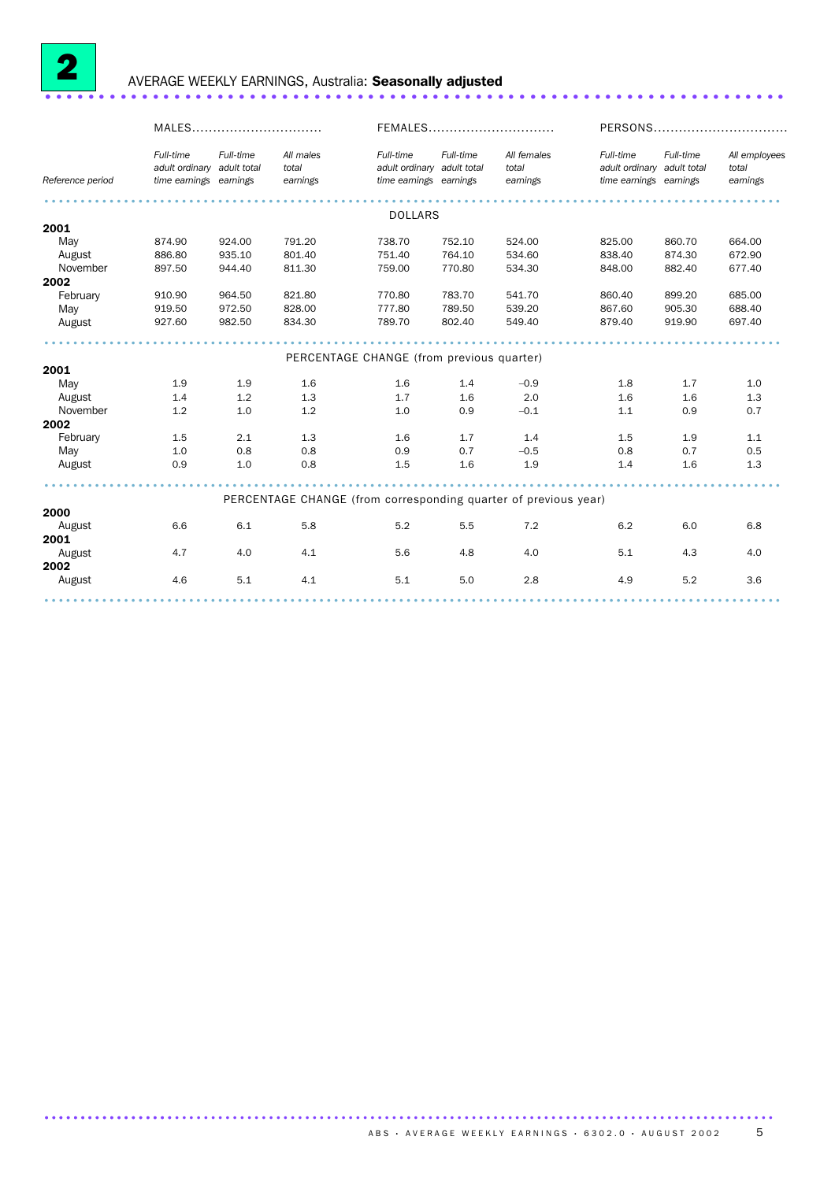

## <sup>2</sup> AVERAGE WEEKLY EARNINGS, Australia: Seasonally adjusted ..................................................................... .

|                  | MALES                                                             |           |                                           | FEMALES                                                           |           |                                                                 | PERSONS                                                           |           |                                    |
|------------------|-------------------------------------------------------------------|-----------|-------------------------------------------|-------------------------------------------------------------------|-----------|-----------------------------------------------------------------|-------------------------------------------------------------------|-----------|------------------------------------|
| Reference period | Full-time<br>adult ordinary adult total<br>time earnings earnings | Full-time | All males<br>total<br>earnings            | Full-time<br>adult ordinary adult total<br>time earnings earnings | Full-time | All females<br>total<br>earnings                                | Full-time<br>adult ordinary adult total<br>time earnings earnings | Full-time | All employees<br>total<br>earnings |
|                  |                                                                   |           |                                           | <b>DOLLARS</b>                                                    |           |                                                                 |                                                                   |           |                                    |
| 2001             |                                                                   |           |                                           |                                                                   |           |                                                                 |                                                                   |           |                                    |
| May              | 874.90                                                            | 924.00    | 791.20                                    | 738.70                                                            | 752.10    | 524.00                                                          | 825.00                                                            | 860.70    | 664.00                             |
| August           | 886.80                                                            | 935.10    | 801.40                                    | 751.40                                                            | 764.10    | 534.60                                                          | 838.40                                                            | 874.30    | 672.90                             |
| November         | 897.50                                                            | 944.40    | 811.30                                    | 759.00                                                            | 770.80    | 534.30                                                          | 848.00                                                            | 882.40    | 677.40                             |
| 2002             |                                                                   |           |                                           |                                                                   |           |                                                                 |                                                                   |           |                                    |
| February         | 910.90                                                            | 964.50    | 821.80                                    | 770.80                                                            | 783.70    | 541.70                                                          | 860.40                                                            | 899.20    | 685.00                             |
| May              | 919.50                                                            | 972.50    | 828.00                                    | 777.80                                                            | 789.50    | 539.20                                                          | 867.60                                                            | 905.30    | 688.40                             |
| August           | 927.60                                                            | 982.50    | 834.30                                    | 789.70                                                            | 802.40    | 549.40                                                          | 879.40                                                            | 919.90    | 697.40                             |
|                  |                                                                   |           |                                           |                                                                   |           |                                                                 |                                                                   |           |                                    |
|                  |                                                                   |           | PERCENTAGE CHANGE (from previous quarter) |                                                                   |           |                                                                 |                                                                   |           |                                    |
| 2001             |                                                                   |           |                                           |                                                                   |           |                                                                 |                                                                   |           |                                    |
| May              | 1.9                                                               | 1.9       | 1.6                                       | 1.6                                                               | 1.4       | $-0.9$                                                          | 1.8                                                               | 1.7       | 1.0                                |
| August           | 1.4                                                               | 1.2       | 1.3                                       | 1.7                                                               | 1.6       | 2.0                                                             | 1.6                                                               | 1.6       | 1.3                                |
| November         | 1.2                                                               | 1.0       | 1.2                                       | 1.0                                                               | 0.9       | $-0.1$                                                          | 1.1                                                               | 0.9       | 0.7                                |
| 2002             |                                                                   |           |                                           |                                                                   |           |                                                                 |                                                                   |           |                                    |
| February         | 1.5                                                               | 2.1       | 1.3                                       | 1.6                                                               | 1.7       | 1.4                                                             | 1.5                                                               | 1.9       | 1.1                                |
| May              | 1.0                                                               | 0.8       | 0.8                                       | 0.9                                                               | 0.7       | $-0.5$                                                          | 0.8                                                               | 0.7       | 0.5                                |
| August           | 0.9                                                               | 1.0       | 0.8                                       | 1.5                                                               | 1.6       | 1.9                                                             | 1.4                                                               | 1.6       | 1.3                                |
|                  |                                                                   |           |                                           |                                                                   |           |                                                                 |                                                                   |           |                                    |
|                  |                                                                   |           |                                           |                                                                   |           | PERCENTAGE CHANGE (from corresponding quarter of previous year) |                                                                   |           |                                    |
| 2000             | 6.6                                                               | 6.1       | 5.8                                       | 5.2                                                               | 5.5       | 7.2                                                             | 6.2                                                               | 6.0       | 6.8                                |
| August<br>2001   |                                                                   |           |                                           |                                                                   |           |                                                                 |                                                                   |           |                                    |
| August           | 4.7                                                               | 4.0       | 4.1                                       | 5.6                                                               | 4.8       | 4.0                                                             | 5.1                                                               | 4.3       | 4.0                                |
| 2002             |                                                                   |           |                                           |                                                                   |           |                                                                 |                                                                   |           |                                    |
| August           | 4.6                                                               | 5.1       | 4.1                                       | 5.1                                                               | 5.0       | 2.8                                                             | 4.9                                                               | 5.2       | 3.6                                |
|                  |                                                                   |           |                                           |                                                                   |           |                                                                 |                                                                   |           |                                    |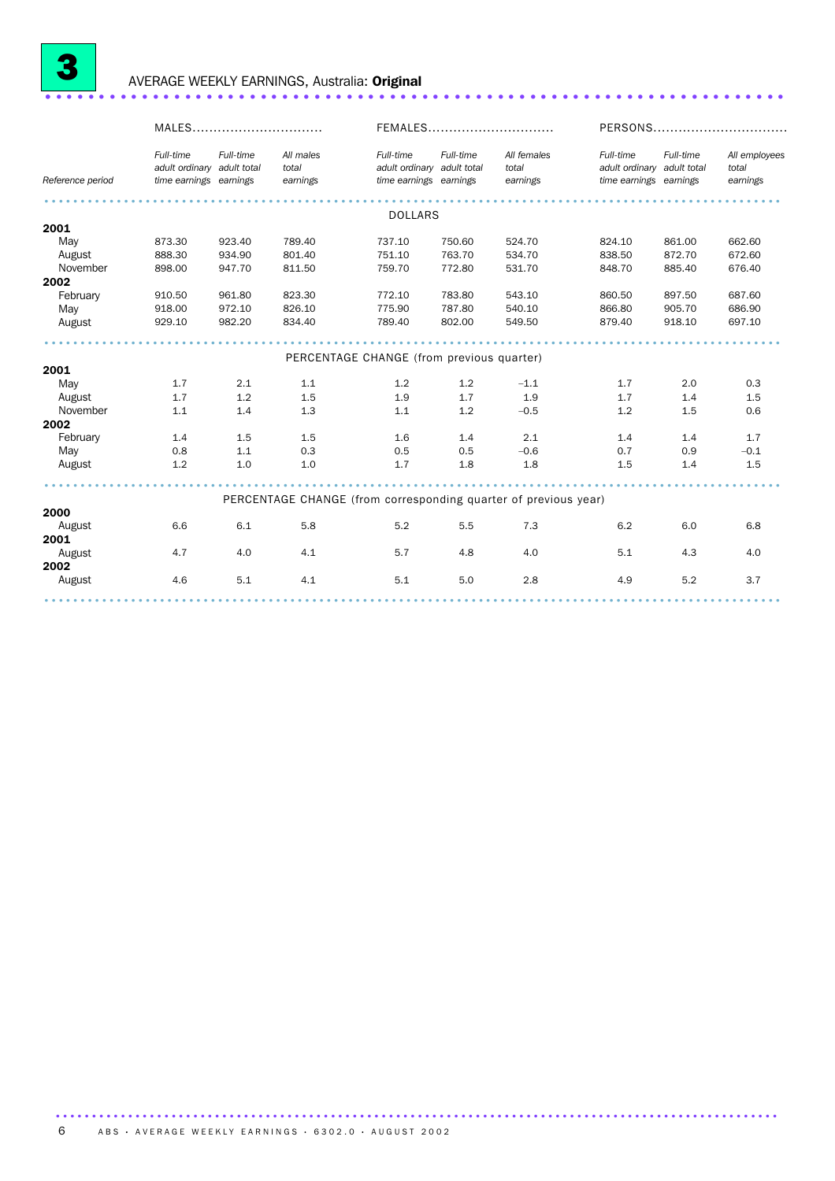

### <sup>3</sup> AVERAGE WEEKLY EARNINGS, Australia: Original ..................................................................... .

|                  | MALES                                                             |           |                                           | FEMALES                                                           |           |                                                                 | PERSONS                                                           |           |                                    |
|------------------|-------------------------------------------------------------------|-----------|-------------------------------------------|-------------------------------------------------------------------|-----------|-----------------------------------------------------------------|-------------------------------------------------------------------|-----------|------------------------------------|
| Reference period | Full-time<br>adult ordinary adult total<br>time earnings earnings | Full-time | All males<br>total<br>earnings            | Full-time<br>adult ordinary adult total<br>time earnings earnings | Full-time | All females<br>total<br>earnings                                | Full-time<br>adult ordinary adult total<br>time earnings earnings | Full-time | All employees<br>total<br>earnings |
|                  |                                                                   |           |                                           | <b>DOLLARS</b>                                                    |           |                                                                 |                                                                   |           |                                    |
| 2001             |                                                                   |           |                                           |                                                                   |           |                                                                 |                                                                   |           |                                    |
| May              | 873.30                                                            | 923.40    | 789.40                                    | 737.10                                                            | 750.60    | 524.70                                                          | 824.10                                                            | 861.00    | 662.60                             |
| August           | 888.30                                                            | 934.90    | 801.40                                    | 751.10                                                            | 763.70    | 534.70                                                          | 838.50                                                            | 872.70    | 672.60                             |
| November         | 898.00                                                            | 947.70    | 811.50                                    | 759.70                                                            | 772.80    | 531.70                                                          | 848.70                                                            | 885.40    | 676.40                             |
| 2002             |                                                                   |           |                                           |                                                                   |           |                                                                 |                                                                   |           |                                    |
| February         | 910.50                                                            | 961.80    | 823.30                                    | 772.10                                                            | 783.80    | 543.10                                                          | 860.50                                                            | 897.50    | 687.60                             |
| May              | 918.00                                                            | 972.10    | 826.10                                    | 775.90                                                            | 787.80    | 540.10                                                          | 866.80                                                            | 905.70    | 686.90                             |
| August           | 929.10                                                            | 982.20    | 834.40                                    | 789.40                                                            | 802.00    | 549.50                                                          | 879.40                                                            | 918.10    | 697.10                             |
|                  |                                                                   |           |                                           |                                                                   |           |                                                                 |                                                                   |           |                                    |
|                  |                                                                   |           | PERCENTAGE CHANGE (from previous quarter) |                                                                   |           |                                                                 |                                                                   |           |                                    |
| 2001             |                                                                   |           |                                           |                                                                   |           |                                                                 |                                                                   |           |                                    |
| May              | 1.7                                                               | 2.1       | 1.1                                       | 1.2                                                               | 1.2       | $-1.1$                                                          | 1.7                                                               | 2.0       | 0.3                                |
| August           | 1.7                                                               | 1.2       | 1.5                                       | 1.9                                                               | 1.7       | 1.9                                                             | 1.7                                                               | 1.4       | 1.5                                |
| November         | 1.1                                                               | 1.4       | 1.3                                       | 1.1                                                               | 1.2       | $-0.5$                                                          | 1.2                                                               | 1.5       | 0.6                                |
| 2002<br>February | 1.4                                                               | 1.5       | 1.5                                       | 1.6                                                               | 1.4       | 2.1                                                             | 1.4                                                               | 1.4       | 1.7                                |
| May              | 0.8                                                               | 1.1       | 0.3                                       | 0.5                                                               | 0.5       | $-0.6$                                                          | 0.7                                                               | 0.9       | $-0.1$                             |
| August           | 1.2                                                               | 1.0       | 1.0                                       | 1.7                                                               | 1.8       | 1.8                                                             | 1.5                                                               | 1.4       | 1.5                                |
|                  |                                                                   |           |                                           |                                                                   |           |                                                                 |                                                                   |           |                                    |
|                  |                                                                   |           |                                           |                                                                   |           | PERCENTAGE CHANGE (from corresponding quarter of previous year) |                                                                   |           |                                    |
| 2000             |                                                                   |           |                                           |                                                                   |           |                                                                 |                                                                   |           |                                    |
| August           | 6.6                                                               | 6.1       | 5.8                                       | 5.2                                                               | 5.5       | 7.3                                                             | 6.2                                                               | 6.0       | 6.8                                |
| 2001             |                                                                   |           |                                           |                                                                   |           |                                                                 |                                                                   |           |                                    |
| August           | 4.7                                                               | 4.0       | 4.1                                       | 5.7                                                               | 4.8       | 4.0                                                             | 5.1                                                               | 4.3       | 4.0                                |
| 2002             |                                                                   |           |                                           |                                                                   |           |                                                                 |                                                                   |           |                                    |
| August           | 4.6                                                               | 5.1       | 4.1                                       | 5.1                                                               | 5.0       | 2.8                                                             | 4.9                                                               | 5.2       | 3.7                                |
|                  |                                                                   |           |                                           |                                                                   |           |                                                                 |                                                                   |           |                                    |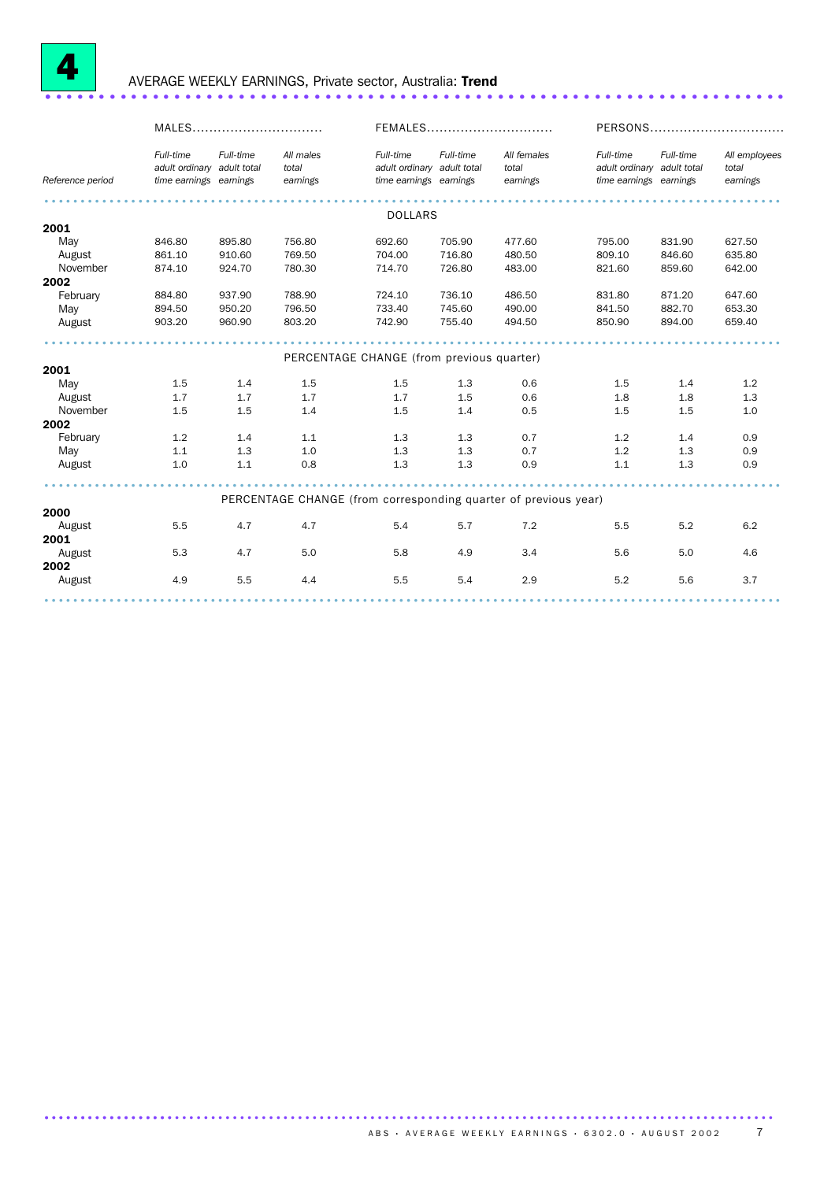

### <sup>4</sup> AVERAGE WEEKLY EARNINGS, Private sector, Australia: Trend ..................................................................... .

|                  | MALES                                                             |           |                                           | FEMALES                                                           |           |                                                                 | PERSONS                                                           |           |                                    |  |
|------------------|-------------------------------------------------------------------|-----------|-------------------------------------------|-------------------------------------------------------------------|-----------|-----------------------------------------------------------------|-------------------------------------------------------------------|-----------|------------------------------------|--|
| Reference period | Full-time<br>adult ordinary adult total<br>time earnings earnings | Full-time | All males<br>total<br>earnings            | Full-time<br>adult ordinary adult total<br>time earnings earnings | Full-time | All females<br>total<br>earnings                                | Full-time<br>adult ordinary adult total<br>time earnings earnings | Full-time | All employees<br>total<br>earnings |  |
|                  |                                                                   |           |                                           | <b>DOLLARS</b>                                                    |           |                                                                 |                                                                   |           |                                    |  |
| 2001             |                                                                   |           |                                           |                                                                   |           |                                                                 |                                                                   |           |                                    |  |
| May              | 846.80                                                            | 895.80    | 756.80                                    | 692.60                                                            | 705.90    | 477.60                                                          | 795.00                                                            | 831.90    | 627.50                             |  |
| August           | 861.10                                                            | 910.60    | 769.50                                    | 704.00                                                            | 716.80    | 480.50                                                          | 809.10                                                            | 846.60    | 635.80                             |  |
| November         | 874.10                                                            | 924.70    | 780.30                                    | 714.70                                                            | 726.80    | 483.00                                                          | 821.60                                                            | 859.60    | 642.00                             |  |
| 2002             |                                                                   |           |                                           |                                                                   |           |                                                                 |                                                                   |           |                                    |  |
| February         | 884.80                                                            | 937.90    | 788.90                                    | 724.10                                                            | 736.10    | 486.50                                                          | 831.80                                                            | 871.20    | 647.60                             |  |
| May              | 894.50                                                            | 950.20    | 796.50                                    | 733.40                                                            | 745.60    | 490.00                                                          | 841.50                                                            | 882.70    | 653.30                             |  |
| August           | 903.20                                                            | 960.90    | 803.20                                    | 742.90                                                            | 755.40    | 494.50                                                          | 850.90                                                            | 894.00    | 659.40                             |  |
|                  |                                                                   |           |                                           |                                                                   |           |                                                                 |                                                                   |           |                                    |  |
| 2001             |                                                                   |           | PERCENTAGE CHANGE (from previous quarter) |                                                                   |           |                                                                 |                                                                   |           |                                    |  |
| May              | 1.5                                                               | 1.4       | 1.5                                       | 1.5                                                               | 1.3       | 0.6                                                             | 1.5                                                               | 1.4       | 1.2                                |  |
| August           | 1.7                                                               | 1.7       | 1.7                                       | 1.7                                                               | 1.5       | 0.6                                                             | 1.8                                                               | 1.8       | 1.3                                |  |
| November         | 1.5                                                               | 1.5       | 1.4                                       | 1.5                                                               | 1.4       | 0.5                                                             | 1.5                                                               | 1.5       | 1.0                                |  |
| 2002             |                                                                   |           |                                           |                                                                   |           |                                                                 |                                                                   |           |                                    |  |
| February         | 1.2                                                               | 1.4       | 1.1                                       | 1.3                                                               | 1.3       | 0.7                                                             | 1.2                                                               | 1.4       | 0.9                                |  |
| May              | 1.1                                                               | 1.3       | 1.0                                       | 1.3                                                               | 1.3       | 0.7                                                             | 1.2                                                               | 1.3       | 0.9                                |  |
| August           | 1.0                                                               | 1.1       | 0.8                                       | 1.3                                                               | 1.3       | 0.9                                                             | 1.1                                                               | 1.3       | 0.9                                |  |
|                  |                                                                   |           |                                           |                                                                   |           |                                                                 |                                                                   |           |                                    |  |
|                  |                                                                   |           |                                           |                                                                   |           | PERCENTAGE CHANGE (from corresponding quarter of previous year) |                                                                   |           |                                    |  |
| 2000             |                                                                   |           |                                           |                                                                   |           |                                                                 |                                                                   |           |                                    |  |
| August           | 5.5                                                               | 4.7       | 4.7                                       | 5.4                                                               | 5.7       | 7.2                                                             | 5.5                                                               | 5.2       | 6.2                                |  |
| 2001             |                                                                   |           |                                           |                                                                   |           |                                                                 |                                                                   |           |                                    |  |
| August           | 5.3                                                               | 4.7       | 5.0                                       | 5.8                                                               | 4.9       | 3.4                                                             | 5.6                                                               | 5.0       | 4.6                                |  |
| 2002             |                                                                   |           |                                           |                                                                   |           |                                                                 |                                                                   |           |                                    |  |
| August           | 4.9                                                               | 5.5       | 4.4                                       | 5.5                                                               | 5.4       | 2.9                                                             | 5.2                                                               | 5.6       | 3.7                                |  |
|                  |                                                                   |           |                                           |                                                                   |           |                                                                 |                                                                   |           |                                    |  |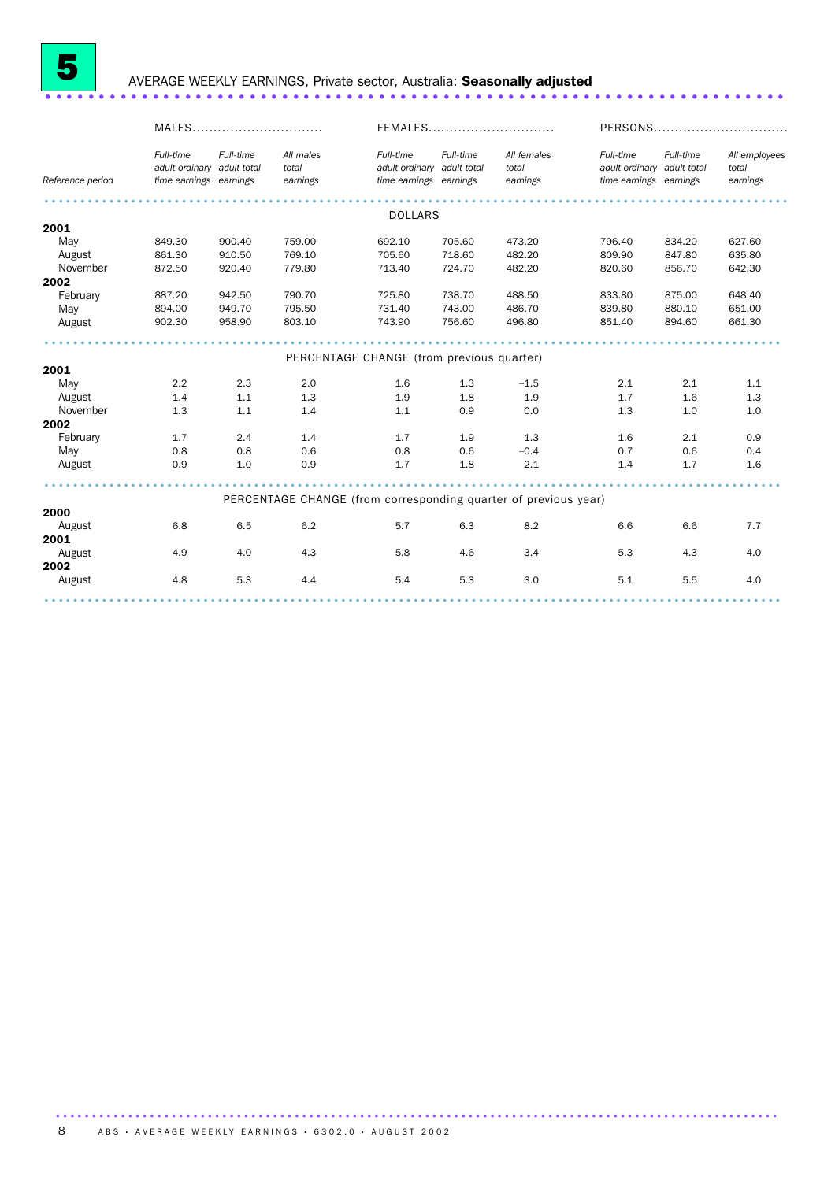

### <sup>5</sup> AVERAGE WEEKLY EARNINGS, Private sector, Australia: Seasonally adjusted ..................................................................... .

|                                           | MALES                                                             |           |                                | FEMALES                                                           |           |                                                                 | PERSONS                                                           |           |                                    |  |  |  |
|-------------------------------------------|-------------------------------------------------------------------|-----------|--------------------------------|-------------------------------------------------------------------|-----------|-----------------------------------------------------------------|-------------------------------------------------------------------|-----------|------------------------------------|--|--|--|
| Reference period                          | Full-time<br>adult ordinary adult total<br>time earnings earnings | Full-time | All males<br>total<br>earnings | Full-time<br>adult ordinary adult total<br>time earnings earnings | Full-time | All females<br>total<br>earnings                                | Full-time<br>adult ordinary adult total<br>time earnings earnings | Full-time | All employees<br>total<br>earnings |  |  |  |
| <b>DOLLARS</b>                            |                                                                   |           |                                |                                                                   |           |                                                                 |                                                                   |           |                                    |  |  |  |
| 2001                                      |                                                                   |           |                                |                                                                   |           |                                                                 |                                                                   |           |                                    |  |  |  |
| May                                       | 849.30                                                            | 900.40    | 759.00                         | 692.10                                                            | 705.60    | 473.20                                                          | 796.40                                                            | 834.20    | 627.60                             |  |  |  |
| August                                    | 861.30                                                            | 910.50    | 769.10                         | 705.60                                                            | 718.60    | 482.20                                                          | 809.90                                                            | 847.80    | 635.80                             |  |  |  |
| November                                  | 872.50                                                            | 920.40    | 779.80                         | 713.40                                                            | 724.70    | 482.20                                                          | 820.60                                                            | 856.70    | 642.30                             |  |  |  |
| 2002                                      |                                                                   |           |                                |                                                                   |           |                                                                 |                                                                   |           |                                    |  |  |  |
| February                                  | 887.20                                                            | 942.50    | 790.70                         | 725.80                                                            | 738.70    | 488.50                                                          | 833.80                                                            | 875.00    | 648.40                             |  |  |  |
| May                                       | 894.00                                                            | 949.70    | 795.50                         | 731.40                                                            | 743.00    | 486.70                                                          | 839.80                                                            | 880.10    | 651.00                             |  |  |  |
| August                                    | 902.30                                                            | 958.90    | 803.10                         | 743.90                                                            | 756.60    | 496.80                                                          | 851.40                                                            | 894.60    | 661.30                             |  |  |  |
| PERCENTAGE CHANGE (from previous quarter) |                                                                   |           |                                |                                                                   |           |                                                                 |                                                                   |           |                                    |  |  |  |
| 2001                                      |                                                                   |           |                                |                                                                   |           |                                                                 |                                                                   |           |                                    |  |  |  |
| May                                       | 2.2                                                               | 2.3       | 2.0                            | 1.6                                                               | 1.3       | $-1.5$                                                          | 2.1                                                               | 2.1       | 1.1                                |  |  |  |
| August                                    | 1.4                                                               | 1.1       | 1.3                            | 1.9                                                               | 1.8       | 1.9                                                             | 1.7                                                               | 1.6       | 1.3                                |  |  |  |
| November                                  | 1.3                                                               | 1.1       | 1.4                            | 1.1                                                               | 0.9       | 0.0                                                             | 1.3                                                               | 1.0       | 1.0                                |  |  |  |
| 2002                                      |                                                                   |           |                                |                                                                   |           |                                                                 |                                                                   |           |                                    |  |  |  |
| February                                  | 1.7                                                               | 2.4       | 1.4                            | 1.7                                                               | 1.9       | 1.3                                                             | 1.6                                                               | 2.1       | 0.9                                |  |  |  |
| May                                       | 0.8                                                               | 0.8       | 0.6                            | 0.8                                                               | 0.6       | $-0.4$                                                          | 0.7                                                               | 0.6       | 0.4                                |  |  |  |
| August                                    | 0.9                                                               | 1.0       | 0.9                            | 1.7                                                               | 1.8       | 2.1                                                             | 1.4                                                               | 1.7       | 1.6                                |  |  |  |
|                                           |                                                                   |           |                                |                                                                   |           |                                                                 |                                                                   |           |                                    |  |  |  |
|                                           |                                                                   |           |                                |                                                                   |           | PERCENTAGE CHANGE (from corresponding quarter of previous year) |                                                                   |           |                                    |  |  |  |
| 2000                                      |                                                                   |           |                                |                                                                   |           |                                                                 |                                                                   |           |                                    |  |  |  |
| August                                    | 6.8                                                               | 6.5       | 6.2                            | 5.7                                                               | 6.3       | 8.2                                                             | 6.6                                                               | 6.6       | 7.7                                |  |  |  |
| 2001                                      |                                                                   |           |                                |                                                                   |           |                                                                 |                                                                   |           |                                    |  |  |  |
| August                                    | 4.9                                                               | 4.0       | 4.3                            | 5.8                                                               | 4.6       | 3.4                                                             | 5.3                                                               | 4.3       | 4.0                                |  |  |  |
| 2002                                      |                                                                   |           |                                |                                                                   |           |                                                                 |                                                                   |           |                                    |  |  |  |
| August                                    | 4.8                                                               | 5.3       | 4.4                            | 5.4                                                               | 5.3       | 3.0                                                             | 5.1                                                               | 5.5       | 4.0                                |  |  |  |
|                                           |                                                                   |           |                                |                                                                   |           |                                                                 |                                                                   |           |                                    |  |  |  |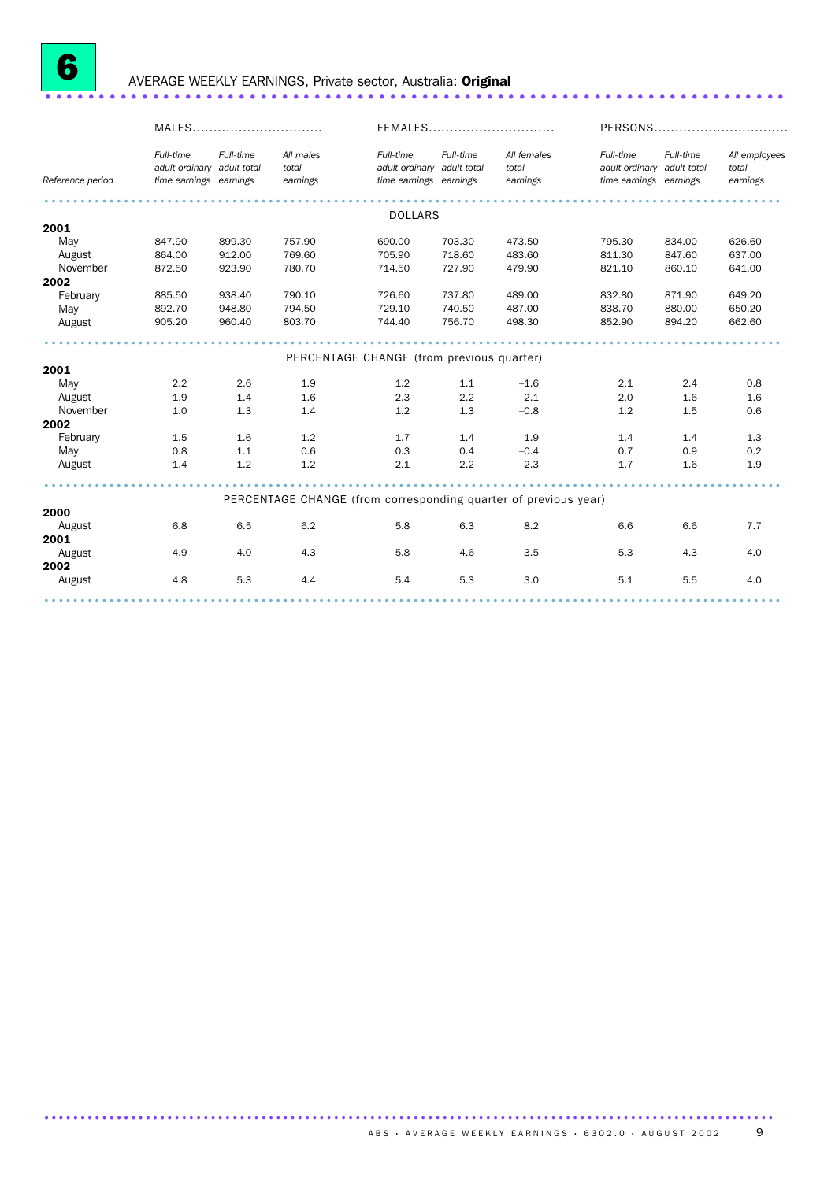

# <sup>6</sup> AVERAGE WEEKLY EARNINGS, Private sector, Australia: Original ..................................................................... .

|                  | MALES                                                             |           |                                           | FEMALES                                                           |           |                                                                 | PERSONS                                                           |           |                                    |
|------------------|-------------------------------------------------------------------|-----------|-------------------------------------------|-------------------------------------------------------------------|-----------|-----------------------------------------------------------------|-------------------------------------------------------------------|-----------|------------------------------------|
| Reference period | Full-time<br>adult ordinary adult total<br>time earnings earnings | Full-time | All males<br>total<br>earnings            | Full-time<br>adult ordinary adult total<br>time earnings earnings | Full-time | All females<br>total<br>earnings                                | Full-time<br>adult ordinary adult total<br>time earnings earnings | Full-time | All employees<br>total<br>earnings |
|                  |                                                                   |           |                                           | <b>DOLLARS</b>                                                    |           |                                                                 |                                                                   |           |                                    |
| 2001             |                                                                   |           |                                           |                                                                   |           |                                                                 |                                                                   |           |                                    |
| May              | 847.90                                                            | 899.30    | 757.90                                    | 690.00                                                            | 703.30    | 473.50                                                          | 795.30                                                            | 834.00    | 626.60                             |
| August           | 864.00                                                            | 912.00    | 769.60                                    | 705.90                                                            | 718.60    | 483.60                                                          | 811.30                                                            | 847.60    | 637.00                             |
| November         | 872.50                                                            | 923.90    | 780.70                                    | 714.50                                                            | 727.90    | 479.90                                                          | 821.10                                                            | 860.10    | 641.00                             |
| 2002             |                                                                   |           |                                           |                                                                   |           |                                                                 |                                                                   |           |                                    |
| February         | 885.50                                                            | 938.40    | 790.10                                    | 726.60                                                            | 737.80    | 489.00                                                          | 832.80                                                            | 871.90    | 649.20                             |
| May              | 892.70                                                            | 948.80    | 794.50                                    | 729.10                                                            | 740.50    | 487.00                                                          | 838.70                                                            | 880.00    | 650.20                             |
| August           | 905.20                                                            | 960.40    | 803.70                                    | 744.40                                                            | 756.70    | 498.30                                                          | 852.90                                                            | 894.20    | 662.60                             |
|                  |                                                                   |           |                                           |                                                                   |           |                                                                 |                                                                   |           |                                    |
|                  |                                                                   |           | PERCENTAGE CHANGE (from previous quarter) |                                                                   |           |                                                                 |                                                                   |           |                                    |
| 2001             |                                                                   |           |                                           |                                                                   |           |                                                                 |                                                                   |           |                                    |
| May              | 2.2                                                               | 2.6       | 1.9                                       | 1.2                                                               | 1.1       | $-1.6$                                                          | 2.1                                                               | 2.4       | 0.8                                |
| August           | 1.9                                                               | 1.4       | 1.6                                       | 2.3                                                               | 2.2       | 2.1                                                             | 2.0                                                               | 1.6       | 1.6                                |
| November         | 1.0                                                               | 1.3       | 1.4                                       | 1.2                                                               | 1.3       | $-0.8$                                                          | 1.2                                                               | 1.5       | 0.6                                |
| 2002             |                                                                   |           |                                           |                                                                   |           |                                                                 |                                                                   |           |                                    |
| February         | 1.5                                                               | 1.6       | 1.2                                       | 1.7                                                               | 1.4       | 1.9                                                             | 1.4                                                               | 1.4       | 1.3                                |
| May              | 0.8                                                               | 1.1       | 0.6                                       | 0.3                                                               | 0.4       | $-0.4$                                                          | 0.7                                                               | 0.9       | 0.2                                |
| August           | 1.4                                                               | 1.2       | 1.2                                       | 2.1                                                               | 2.2       | 2.3                                                             | 1.7                                                               | 1.6       | 1.9                                |
|                  |                                                                   |           |                                           |                                                                   |           |                                                                 |                                                                   |           |                                    |
|                  |                                                                   |           |                                           |                                                                   |           | PERCENTAGE CHANGE (from corresponding quarter of previous year) |                                                                   |           |                                    |
| 2000             |                                                                   |           |                                           |                                                                   |           |                                                                 |                                                                   |           |                                    |
| August<br>2001   | 6.8                                                               | 6.5       | 6.2                                       | 5.8                                                               | 6.3       | 8.2                                                             | 6.6                                                               | 6.6       | 7.7                                |
|                  |                                                                   |           |                                           |                                                                   |           |                                                                 |                                                                   |           |                                    |
| August           | 4.9                                                               | 4.0       | 4.3                                       | 5.8                                                               | 4.6       | 3.5                                                             | 5.3                                                               | 4.3       | 4.0                                |
| 2002             |                                                                   |           |                                           |                                                                   |           |                                                                 |                                                                   |           |                                    |
| August           | 4.8                                                               | 5.3       | 4.4                                       | 5.4                                                               | 5.3       | 3.0                                                             | 5.1                                                               | 5.5       | 4.0                                |
|                  |                                                                   |           |                                           |                                                                   |           |                                                                 |                                                                   |           |                                    |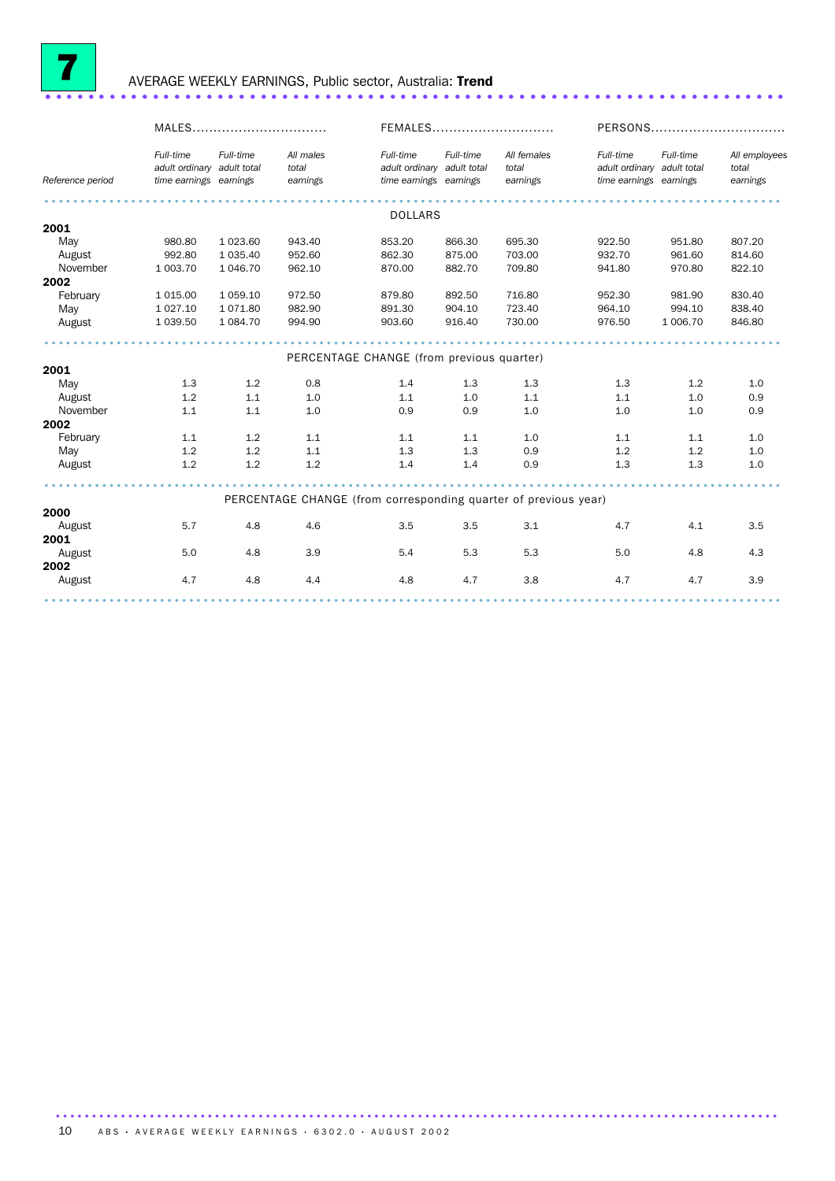

### <sup>7</sup> AVERAGE WEEKLY EARNINGS, Public sector, Australia: Trend ..................................................................... .

|                  | MALES                                                             |               |                                                                 | FEMALES                                                           |           |                                  | PERSONS                                                           |           |                                    |
|------------------|-------------------------------------------------------------------|---------------|-----------------------------------------------------------------|-------------------------------------------------------------------|-----------|----------------------------------|-------------------------------------------------------------------|-----------|------------------------------------|
| Reference period | Full-time<br>adult ordinary adult total<br>time earnings earnings | Full-time     | All males<br>total<br>earnings                                  | Full-time<br>adult ordinary adult total<br>time earnings earnings | Full-time | All females<br>total<br>earnings | Full-time<br>adult ordinary adult total<br>time earnings earnings | Full-time | All employees<br>total<br>earnings |
|                  |                                                                   |               |                                                                 | <b>DOLLARS</b>                                                    |           |                                  |                                                                   |           |                                    |
| 2001             |                                                                   |               |                                                                 |                                                                   |           |                                  |                                                                   |           |                                    |
| May              | 980.80                                                            | 1 0 2 3 .60   | 943.40                                                          | 853.20                                                            | 866.30    | 695.30                           | 922.50                                                            | 951.80    | 807.20                             |
| August           | 992.80                                                            | 1 0 3 5 . 4 0 | 952.60                                                          | 862.30                                                            | 875.00    | 703.00                           | 932.70                                                            | 961.60    | 814.60                             |
| November         | 1 003.70                                                          | 1 046.70      | 962.10                                                          | 870.00                                                            | 882.70    | 709.80                           | 941.80                                                            | 970.80    | 822.10                             |
| 2002             |                                                                   |               |                                                                 |                                                                   |           |                                  |                                                                   |           |                                    |
| February         | 1 0 1 5 .0 0                                                      | 1 0 5 9.10    | 972.50                                                          | 879.80                                                            | 892.50    | 716.80                           | 952.30                                                            | 981.90    | 830.40                             |
| May              | 1 0 27.10                                                         | 1 0 7 1 .80   | 982.90                                                          | 891.30                                                            | 904.10    | 723.40                           | 964.10                                                            | 994.10    | 838.40                             |
| August           | 1 0 3 9.50                                                        | 1 0 84.70     | 994.90                                                          | 903.60                                                            | 916.40    | 730.00                           | 976.50                                                            | 1 006.70  | 846.80                             |
|                  |                                                                   |               |                                                                 |                                                                   |           |                                  |                                                                   |           |                                    |
|                  |                                                                   |               | PERCENTAGE CHANGE (from previous quarter)                       |                                                                   |           |                                  |                                                                   |           |                                    |
| 2001             |                                                                   |               |                                                                 |                                                                   |           |                                  |                                                                   |           |                                    |
| May              | 1.3                                                               | 1.2           | 0.8                                                             | 1.4                                                               | 1.3       | 1.3                              | 1.3                                                               | 1.2       | 1.0                                |
| August           | 1.2                                                               | 1.1           | 1.0                                                             | 1.1                                                               | 1.0       | 1.1                              | 1.1                                                               | 1.0       | 0.9                                |
| November         | 1.1                                                               | 1.1           | 1.0                                                             | 0.9                                                               | 0.9       | 1.0                              | 1.0                                                               | 1.0       | 0.9                                |
| 2002             |                                                                   |               |                                                                 |                                                                   |           |                                  |                                                                   |           |                                    |
| February         | 1.1                                                               | 1.2           | 1.1                                                             | 1.1                                                               | 1.1       | 1.0                              | 1.1                                                               | 1.1       | 1.0                                |
| May              | 1.2                                                               | 1.2           | 1.1                                                             | 1.3                                                               | 1.3       | 0.9                              | 1.2                                                               | 1.2       | 1.0                                |
| August           | 1.2                                                               | 1.2           | 1.2                                                             | 1.4                                                               | 1.4       | 0.9                              | 1.3                                                               | 1.3       | 1.0                                |
|                  |                                                                   |               |                                                                 |                                                                   |           |                                  |                                                                   |           |                                    |
|                  |                                                                   |               | PERCENTAGE CHANGE (from corresponding quarter of previous year) |                                                                   |           |                                  |                                                                   |           |                                    |
| 2000             |                                                                   | 4.8           | 4.6                                                             | 3.5                                                               | 3.5       | 3.1                              | 4.7                                                               | 4.1       | 3.5                                |
| August           | 5.7                                                               |               |                                                                 |                                                                   |           |                                  |                                                                   |           |                                    |
| 2001             |                                                                   |               |                                                                 |                                                                   |           |                                  | 5.0                                                               | 4.8       |                                    |
| August           | 5.0                                                               | 4.8           | 3.9                                                             | 5.4                                                               | 5.3       | 5.3                              |                                                                   |           | 4.3                                |
| 2002             |                                                                   |               |                                                                 |                                                                   |           |                                  |                                                                   |           |                                    |
| August           | 4.7                                                               | 4.8           | 4.4                                                             | 4.8                                                               | 4.7       | 3.8                              | 4.7                                                               | 4.7       | 3.9                                |
|                  |                                                                   |               |                                                                 |                                                                   |           |                                  |                                                                   |           |                                    |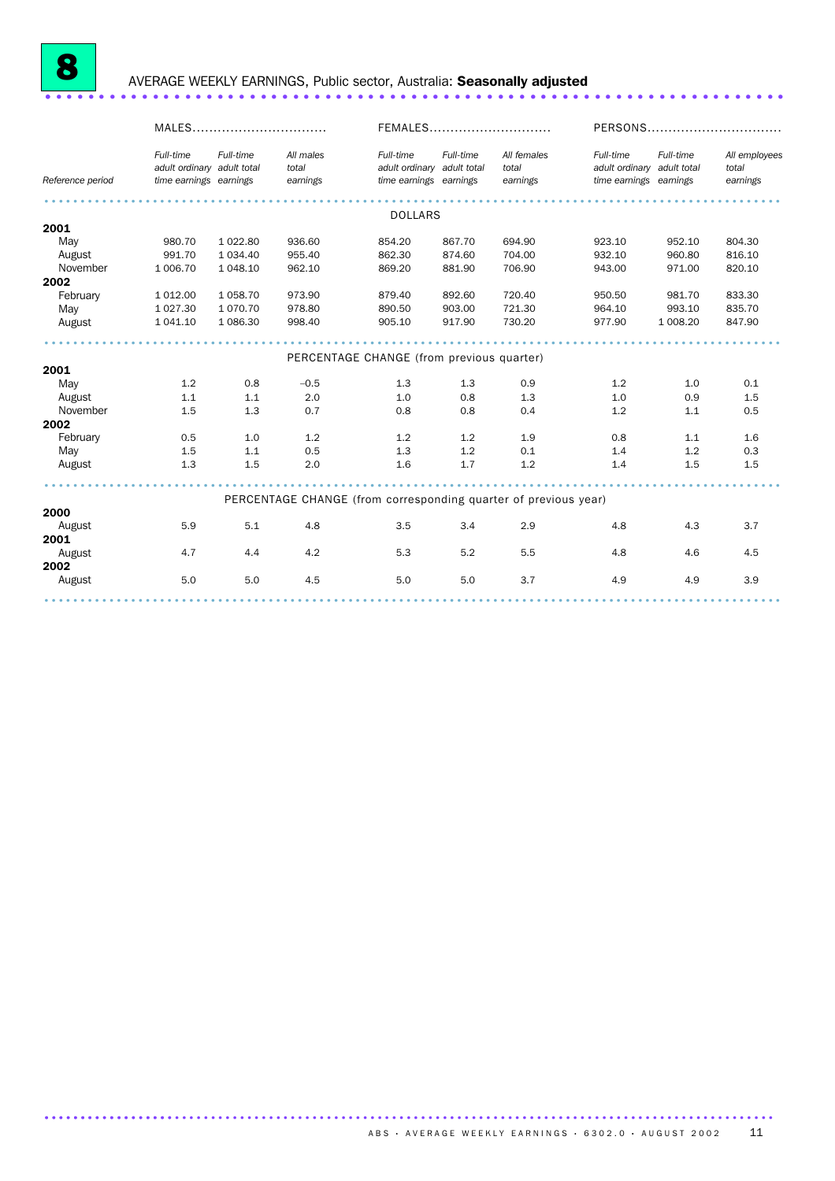

# <sup>8</sup> AVERAGE WEEKLY EARNINGS, Public sector, Australia: Seasonally adjusted ..................................................................... .

|                  | MALES                                                             |            |                                                                 | FEMALES                                                           |           |                                  | PERSONS                                                           |           |                                    |
|------------------|-------------------------------------------------------------------|------------|-----------------------------------------------------------------|-------------------------------------------------------------------|-----------|----------------------------------|-------------------------------------------------------------------|-----------|------------------------------------|
| Reference period | Full-time<br>adult ordinary adult total<br>time earnings earnings | Full-time  | All males<br>total<br>earnings                                  | Full-time<br>adult ordinary adult total<br>time earnings earnings | Full-time | All females<br>total<br>earnings | Full-time<br>adult ordinary adult total<br>time earnings earnings | Full-time | All employees<br>total<br>earnings |
|                  |                                                                   |            |                                                                 | <b>DOLLARS</b>                                                    |           |                                  |                                                                   |           |                                    |
| 2001             |                                                                   |            |                                                                 |                                                                   |           |                                  |                                                                   |           |                                    |
| May              | 980.70                                                            | 1 0 2 2.80 | 936.60                                                          | 854.20                                                            | 867.70    | 694.90                           | 923.10                                                            | 952.10    | 804.30                             |
| August           | 991.70                                                            | 1 0 34.40  | 955.40                                                          | 862.30                                                            | 874.60    | 704.00                           | 932.10                                                            | 960.80    | 816.10                             |
| November         | 1 006.70                                                          | 1 048.10   | 962.10                                                          | 869.20                                                            | 881.90    | 706.90                           | 943.00                                                            | 971.00    | 820.10                             |
|                  |                                                                   |            |                                                                 |                                                                   |           |                                  |                                                                   |           |                                    |
| 2002             |                                                                   |            |                                                                 |                                                                   |           |                                  |                                                                   |           |                                    |
| February         | 1 0 1 2 .0 0                                                      | 1 0 58.70  | 973.90                                                          | 879.40                                                            | 892.60    | 720.40                           | 950.50                                                            | 981.70    | 833.30                             |
| May              | 1 0 27.30                                                         | 1 070.70   | 978.80                                                          | 890.50                                                            | 903.00    | 721.30                           | 964.10                                                            | 993.10    | 835.70                             |
| August           | 1 041.10                                                          | 1 086.30   | 998.40                                                          | 905.10                                                            | 917.90    | 730.20                           | 977.90                                                            | 1 008.20  | 847.90                             |
|                  |                                                                   |            | PERCENTAGE CHANGE (from previous quarter)                       |                                                                   |           |                                  |                                                                   |           |                                    |
| 2001             |                                                                   |            |                                                                 |                                                                   |           |                                  |                                                                   |           |                                    |
| May              | 1.2                                                               | 0.8        | $-0.5$                                                          | 1.3                                                               | 1.3       | 0.9                              | 1.2                                                               | 1.0       | 0.1                                |
| August           | 1.1                                                               | 1.1        | 2.0                                                             | 1.0                                                               | 0.8       | 1.3                              | 1.0                                                               | 0.9       | 1.5                                |
| November         | 1.5                                                               | 1.3        | 0.7                                                             | 0.8                                                               | 0.8       | 0.4                              | 1.2                                                               | 1.1       | 0.5                                |
| 2002             |                                                                   |            |                                                                 |                                                                   |           |                                  |                                                                   |           |                                    |
| February         | 0.5                                                               | 1.0        | 1.2                                                             | 1.2                                                               | 1.2       | 1.9                              | 0.8                                                               | 1.1       | 1.6                                |
| May              | 1.5                                                               | 1.1        | 0.5                                                             | 1.3                                                               | 1.2       | 0.1                              | 1.4                                                               | 1.2       | 0.3                                |
| August           | 1.3                                                               | 1.5        | 2.0                                                             | 1.6                                                               | 1.7       | 1.2                              | 1.4                                                               | 1.5       | 1.5                                |
|                  |                                                                   |            |                                                                 |                                                                   |           |                                  |                                                                   |           |                                    |
|                  |                                                                   |            | PERCENTAGE CHANGE (from corresponding quarter of previous year) |                                                                   |           |                                  |                                                                   |           |                                    |
| 2000             |                                                                   |            |                                                                 |                                                                   |           |                                  |                                                                   |           |                                    |
| August           | 5.9                                                               | 5.1        | 4.8                                                             | 3.5                                                               | 3.4       | 2.9                              | 4.8                                                               | 4.3       | 3.7                                |
| 2001             |                                                                   |            |                                                                 |                                                                   |           |                                  |                                                                   |           |                                    |
| August           | 4.7                                                               | 4.4        | 4.2                                                             | 5.3                                                               | 5.2       | 5.5                              | 4.8                                                               | 4.6       | 4.5                                |
| 2002             |                                                                   |            |                                                                 |                                                                   |           |                                  |                                                                   |           |                                    |
| August           | 5.0                                                               | 5.0        | 4.5                                                             | 5.0                                                               | 5.0       | 3.7                              | 4.9                                                               | 4.9       | 3.9                                |
|                  |                                                                   |            |                                                                 |                                                                   |           |                                  |                                                                   |           |                                    |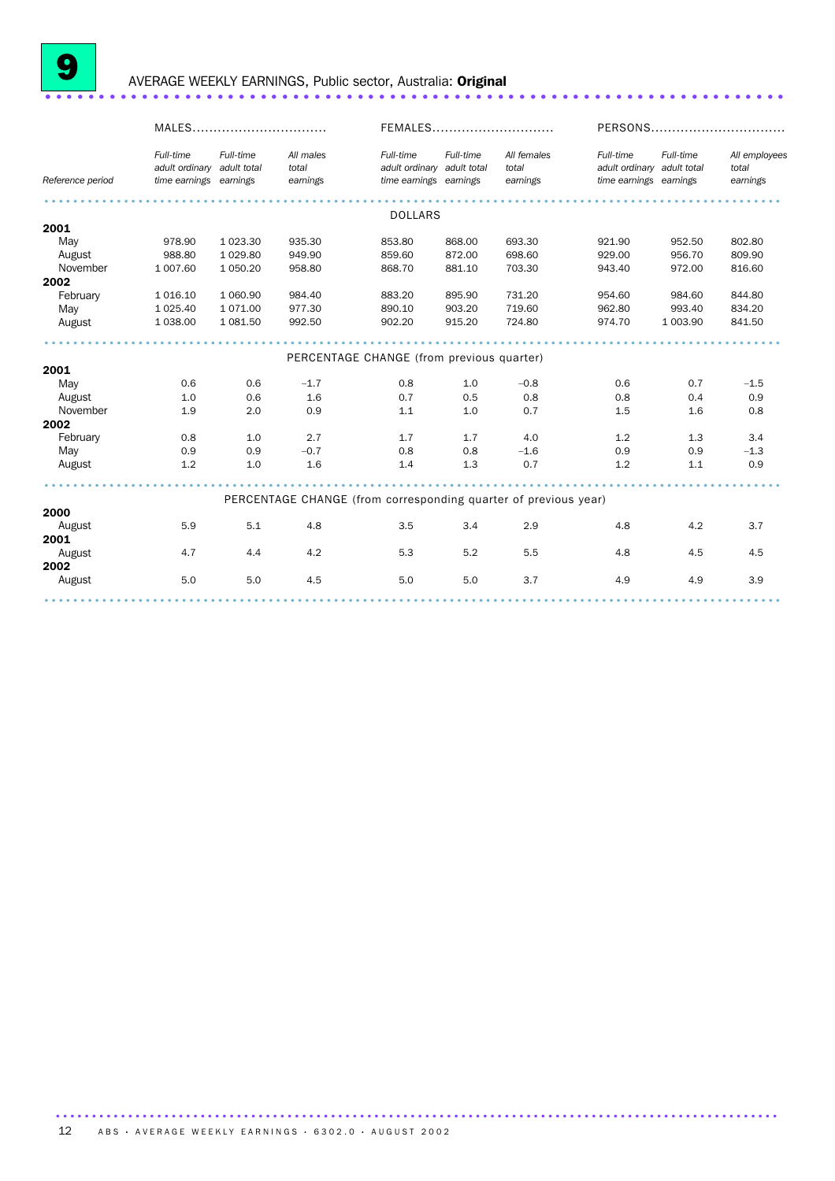

### <sup>9</sup> AVERAGE WEEKLY EARNINGS, Public sector, Australia: Original ..................................................................... .

|                  | MALES                                                             |               |                                                                 | FEMALES                                                           |           |                                  | PERSONS                                                           |           |                                    |
|------------------|-------------------------------------------------------------------|---------------|-----------------------------------------------------------------|-------------------------------------------------------------------|-----------|----------------------------------|-------------------------------------------------------------------|-----------|------------------------------------|
| Reference period | Full-time<br>adult ordinary adult total<br>time earnings earnings | Full-time     | All males<br>total<br>earnings                                  | Full-time<br>adult ordinary adult total<br>time earnings earnings | Full-time | All females<br>total<br>earnings | Full-time<br>adult ordinary adult total<br>time earnings earnings | Full-time | All employees<br>total<br>earnings |
|                  |                                                                   |               |                                                                 | <b>DOLLARS</b>                                                    |           |                                  |                                                                   |           |                                    |
| 2001             |                                                                   |               |                                                                 |                                                                   |           |                                  |                                                                   |           |                                    |
| May              | 978.90                                                            | 1 0 2 3 . 3 0 | 935.30                                                          | 853.80                                                            | 868.00    | 693.30                           | 921.90                                                            | 952.50    | 802.80                             |
| August           | 988.80                                                            | 1 0 29.80     | 949.90                                                          | 859.60                                                            | 872.00    | 698.60                           | 929.00                                                            | 956.70    | 809.90                             |
| November         | 1 007.60                                                          | 1 0 5 0.20    | 958.80                                                          | 868.70                                                            | 881.10    | 703.30                           | 943.40                                                            | 972.00    | 816.60                             |
| 2002             |                                                                   |               |                                                                 |                                                                   |           |                                  |                                                                   |           |                                    |
| February         | 1 0 1 6 1 0                                                       | 1 060.90      | 984.40                                                          | 883.20                                                            | 895.90    | 731.20                           | 954.60                                                            | 984.60    | 844.80                             |
| May              | 1 0 25.40                                                         | 1 0 7 1 .00   | 977.30                                                          | 890.10                                                            | 903.20    | 719.60                           | 962.80                                                            | 993.40    | 834.20                             |
| August           | 1 038.00                                                          | 1 081.50      | 992.50                                                          | 902.20                                                            | 915.20    | 724.80                           | 974.70                                                            | 1 003.90  | 841.50                             |
|                  |                                                                   |               |                                                                 |                                                                   |           |                                  |                                                                   |           |                                    |
| 2001             |                                                                   |               | PERCENTAGE CHANGE (from previous quarter)                       |                                                                   |           |                                  |                                                                   |           |                                    |
| May              | 0.6                                                               | 0.6           | $-1.7$                                                          | 0.8                                                               | 1.0       | $-0.8$                           | 0.6                                                               | 0.7       | $-1.5$                             |
| August           | 1.0                                                               | 0.6           | 1.6                                                             | 0.7                                                               | 0.5       | 0.8                              | 0.8                                                               | 0.4       | 0.9                                |
| November         | 1.9                                                               | 2.0           | 0.9                                                             | 1.1                                                               | 1.0       | 0.7                              | 1.5                                                               | 1.6       | 0.8                                |
| 2002             |                                                                   |               |                                                                 |                                                                   |           |                                  |                                                                   |           |                                    |
| February         | 0.8                                                               | 1.0           | 2.7                                                             | 1.7                                                               | 1.7       | 4.0                              | 1.2                                                               | 1.3       | 3.4                                |
| May              | 0.9                                                               | 0.9           | $-0.7$                                                          | 0.8                                                               | 0.8       | $-1.6$                           | 0.9                                                               | 0.9       | $-1.3$                             |
| August           | 1.2                                                               | 1.0           | 1.6                                                             | 1.4                                                               | 1.3       | 0.7                              | 1.2                                                               | 1.1       | 0.9                                |
|                  |                                                                   |               |                                                                 |                                                                   |           |                                  |                                                                   |           |                                    |
|                  |                                                                   |               | PERCENTAGE CHANGE (from corresponding quarter of previous year) |                                                                   |           |                                  |                                                                   |           |                                    |
| 2000             |                                                                   |               |                                                                 |                                                                   |           |                                  |                                                                   |           |                                    |
| August           | 5.9                                                               | 5.1           | 4.8                                                             | 3.5                                                               | 3.4       | 2.9                              | 4.8                                                               | 4.2       | 3.7                                |
| 2001             |                                                                   |               |                                                                 |                                                                   |           |                                  |                                                                   |           |                                    |
| August           | 4.7                                                               | 4.4           | 4.2                                                             | 5.3                                                               | 5.2       | 5.5                              | 4.8                                                               | 4.5       | 4.5                                |
| 2002             |                                                                   |               |                                                                 |                                                                   |           |                                  |                                                                   |           |                                    |
| August           | 5.0                                                               | 5.0           | 4.5                                                             | 5.0                                                               | 5.0       | 3.7                              | 4.9                                                               | 4.9       | 3.9                                |
|                  |                                                                   |               |                                                                 |                                                                   |           |                                  |                                                                   |           |                                    |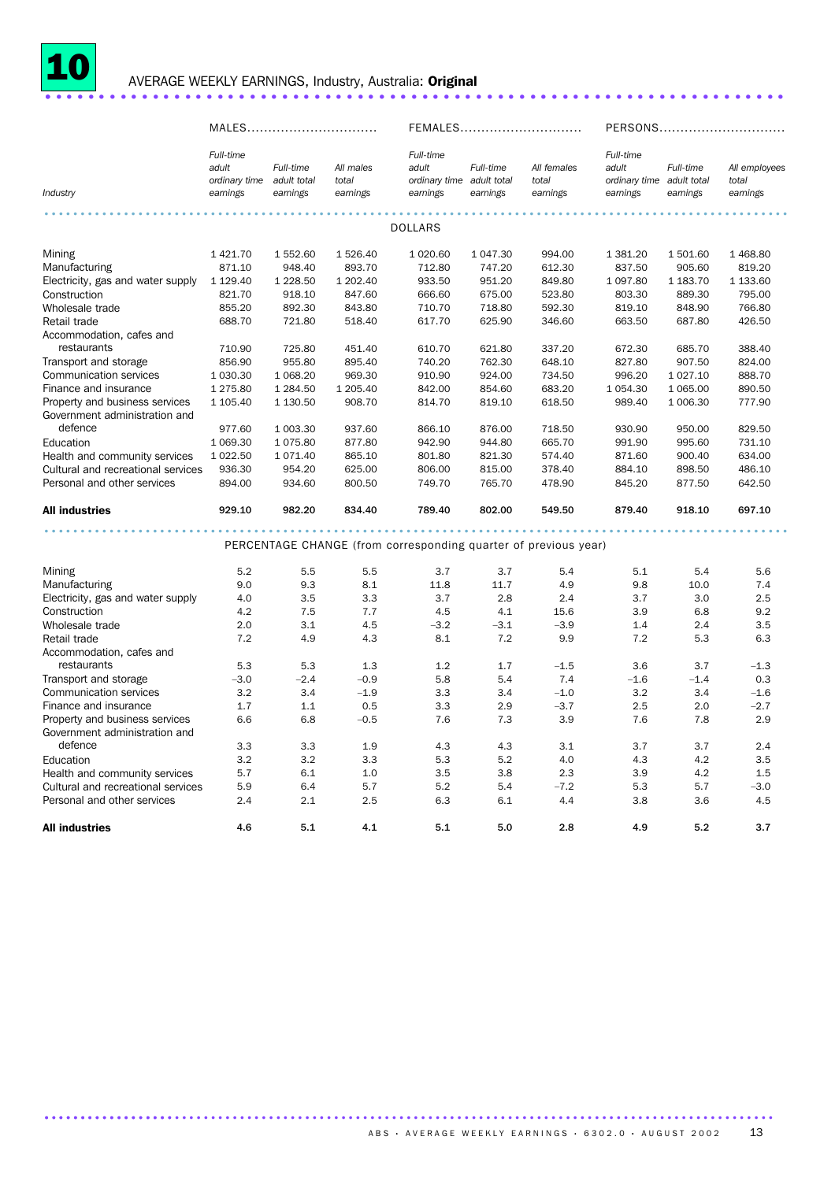

### <sup>10</sup> AVERAGE WEEKLY EARNINGS, Industry, Australia: Original ..................................................................... .

|                                                                                                                                                                                                                                                                                                                                                                                                          | MALES                                                                                                                                                                   |                                                                                                                                                                                 |                                                                                                                                                          |                                                                                                                                                       | FEMALES                                                                                                                                              | PERSONS                                                                                                                                            |                                                                                                                                                                  |                                                                                                                                                                    |                                                                                                                                                        |
|----------------------------------------------------------------------------------------------------------------------------------------------------------------------------------------------------------------------------------------------------------------------------------------------------------------------------------------------------------------------------------------------------------|-------------------------------------------------------------------------------------------------------------------------------------------------------------------------|---------------------------------------------------------------------------------------------------------------------------------------------------------------------------------|----------------------------------------------------------------------------------------------------------------------------------------------------------|-------------------------------------------------------------------------------------------------------------------------------------------------------|------------------------------------------------------------------------------------------------------------------------------------------------------|----------------------------------------------------------------------------------------------------------------------------------------------------|------------------------------------------------------------------------------------------------------------------------------------------------------------------|--------------------------------------------------------------------------------------------------------------------------------------------------------------------|--------------------------------------------------------------------------------------------------------------------------------------------------------|
| Industry                                                                                                                                                                                                                                                                                                                                                                                                 | Full-time<br>adult<br>ordinary time adult total<br>earnings                                                                                                             | Full-time<br>earnings                                                                                                                                                           | All males<br>total<br>earnings                                                                                                                           | Full-time<br>adult<br>ordinary time adult total<br>earnings                                                                                           | Full-time<br>earnings                                                                                                                                | All females<br>total<br>earnings                                                                                                                   | Full-time<br>adult<br>ordinary time adult total<br>earnings                                                                                                      | Full-time<br>earnings                                                                                                                                              | All employees<br>total<br>earnings                                                                                                                     |
|                                                                                                                                                                                                                                                                                                                                                                                                          |                                                                                                                                                                         |                                                                                                                                                                                 |                                                                                                                                                          | <b>DOLLARS</b>                                                                                                                                        |                                                                                                                                                      |                                                                                                                                                    |                                                                                                                                                                  |                                                                                                                                                                    |                                                                                                                                                        |
| Mining<br>Manufacturing<br>Electricity, gas and water supply<br>Construction<br>Wholesale trade<br>Retail trade<br>Accommodation, cafes and<br>restaurants<br>Transport and storage<br>Communication services<br>Finance and insurance<br>Property and business services<br>Government administration and<br>defence<br>Education<br>Health and community services<br>Cultural and recreational services | 1 421.70<br>871.10<br>1 1 2 9 . 4 0<br>821.70<br>855.20<br>688.70<br>710.90<br>856.90<br>1 030.30<br>1 275.80<br>1 105.40<br>977.60<br>1 069.30<br>1 0 2 2.50<br>936.30 | 1 552.60<br>948.40<br>1 2 2 8 .50<br>918.10<br>892.30<br>721.80<br>725.80<br>955.80<br>1 0 68.20<br>1 2 8 4 .50<br>1 130.50<br>1 003.30<br>1 0 7 5 .80<br>1 0 7 1 .40<br>954.20 | 1 526.40<br>893.70<br>1 202.40<br>847.60<br>843.80<br>518.40<br>451.40<br>895.40<br>969.30<br>1 205.40<br>908.70<br>937.60<br>877.80<br>865.10<br>625.00 | 1 0 20.60<br>712.80<br>933.50<br>666.60<br>710.70<br>617.70<br>610.70<br>740.20<br>910.90<br>842.00<br>814.70<br>866.10<br>942.90<br>801.80<br>806.00 | 1 047.30<br>747.20<br>951.20<br>675.00<br>718.80<br>625.90<br>621.80<br>762.30<br>924.00<br>854.60<br>819.10<br>876.00<br>944.80<br>821.30<br>815.00 | 994.00<br>612.30<br>849.80<br>523.80<br>592.30<br>346.60<br>337.20<br>648.10<br>734.50<br>683.20<br>618.50<br>718.50<br>665.70<br>574.40<br>378.40 | 1 381.20<br>837.50<br>1 0 9 7 .80<br>803.30<br>819.10<br>663.50<br>672.30<br>827.80<br>996.20<br>1 0 5 4 . 3 0<br>989.40<br>930.90<br>991.90<br>871.60<br>884.10 | 1 501.60<br>905.60<br>1 183.70<br>889.30<br>848.90<br>687.80<br>685.70<br>907.50<br>1 0 27.10<br>1 0 6 5 . 0 0<br>1 006.30<br>950.00<br>995.60<br>900.40<br>898.50 | 1 468.80<br>819.20<br>1 133.60<br>795.00<br>766.80<br>426.50<br>388.40<br>824.00<br>888.70<br>890.50<br>777.90<br>829.50<br>731.10<br>634.00<br>486.10 |
| Personal and other services<br>All industries                                                                                                                                                                                                                                                                                                                                                            | 894.00<br>929.10                                                                                                                                                        | 934.60<br>982.20                                                                                                                                                                | 800.50<br>834.40                                                                                                                                         | 749.70<br>789.40                                                                                                                                      | 765.70<br>802.00                                                                                                                                     | 478.90<br>549.50                                                                                                                                   | 845.20<br>879.40                                                                                                                                                 | 877.50<br>918.10                                                                                                                                                   | 642.50<br>697.10                                                                                                                                       |
|                                                                                                                                                                                                                                                                                                                                                                                                          |                                                                                                                                                                         |                                                                                                                                                                                 |                                                                                                                                                          | PERCENTAGE CHANGE (from corresponding quarter of previous year)                                                                                       |                                                                                                                                                      |                                                                                                                                                    |                                                                                                                                                                  |                                                                                                                                                                    |                                                                                                                                                        |
| Mining<br>Manufacturing<br>Electricity, gas and water supply<br>Construction<br>Wholesale trade<br>Retail trade<br>Accommodation, cafes and                                                                                                                                                                                                                                                              | 5.2<br>9.0<br>4.0<br>4.2<br>2.0<br>7.2                                                                                                                                  | 5.5<br>9.3<br>3.5<br>7.5<br>3.1<br>4.9                                                                                                                                          | 5.5<br>8.1<br>3.3<br>7.7<br>4.5<br>4.3                                                                                                                   | 3.7<br>11.8<br>3.7<br>4.5<br>$-3.2$<br>8.1                                                                                                            | 3.7<br>11.7<br>2.8<br>4.1<br>$-3.1$<br>7.2                                                                                                           | 5.4<br>4.9<br>2.4<br>15.6<br>$-3.9$<br>9.9                                                                                                         | 5.1<br>9.8<br>3.7<br>3.9<br>1.4<br>7.2                                                                                                                           | 5.4<br>10.0<br>3.0<br>6.8<br>2.4<br>5.3                                                                                                                            | 5.6<br>7.4<br>2.5<br>9.2<br>3.5<br>6.3                                                                                                                 |
| restaurants<br>Transport and storage<br>Communication services<br>Finance and insurance<br>Property and business services<br>Government administration and                                                                                                                                                                                                                                               | 5.3<br>$-3.0$<br>3.2<br>1.7<br>6.6                                                                                                                                      | 5.3<br>$-2.4$<br>3.4<br>1.1<br>6.8                                                                                                                                              | 1.3<br>$-0.9$<br>$-1.9$<br>0.5<br>$-0.5$                                                                                                                 | 1.2<br>5.8<br>3.3<br>3.3<br>7.6                                                                                                                       | 1.7<br>5.4<br>3.4<br>2.9<br>7.3                                                                                                                      | $-1.5$<br>7.4<br>$-1.0$<br>$-3.7$<br>3.9                                                                                                           | 3.6<br>$-1.6$<br>3.2<br>2.5<br>7.6                                                                                                                               | 3.7<br>$-1.4$<br>3.4<br>2.0<br>7.8                                                                                                                                 | $-1.3$<br>0.3<br>$-1.6$<br>$-2.7$<br>2.9                                                                                                               |
| defence<br>Education<br>Health and community services<br>Cultural and recreational services<br>Personal and other services                                                                                                                                                                                                                                                                               | 3.3<br>3.2<br>5.7<br>5.9<br>2.4                                                                                                                                         | 3.3<br>3.2<br>6.1<br>6.4<br>2.1                                                                                                                                                 | 1.9<br>3.3<br>1.0<br>5.7<br>2.5                                                                                                                          | 4.3<br>5.3<br>3.5<br>5.2<br>6.3                                                                                                                       | 4.3<br>5.2<br>3.8<br>5.4<br>6.1                                                                                                                      | 3.1<br>4.0<br>2.3<br>$-7.2$<br>4.4                                                                                                                 | 3.7<br>4.3<br>3.9<br>5.3<br>3.8                                                                                                                                  | 3.7<br>4.2<br>4.2<br>5.7<br>3.6                                                                                                                                    | 2.4<br>3.5<br>1.5<br>$-3.0$<br>4.5                                                                                                                     |
| <b>All industries</b>                                                                                                                                                                                                                                                                                                                                                                                    | 4.6                                                                                                                                                                     | 5.1                                                                                                                                                                             | 4.1                                                                                                                                                      | 5.1                                                                                                                                                   | 5.0                                                                                                                                                  | 2.8                                                                                                                                                | 4.9                                                                                                                                                              | 5.2                                                                                                                                                                | 3.7                                                                                                                                                    |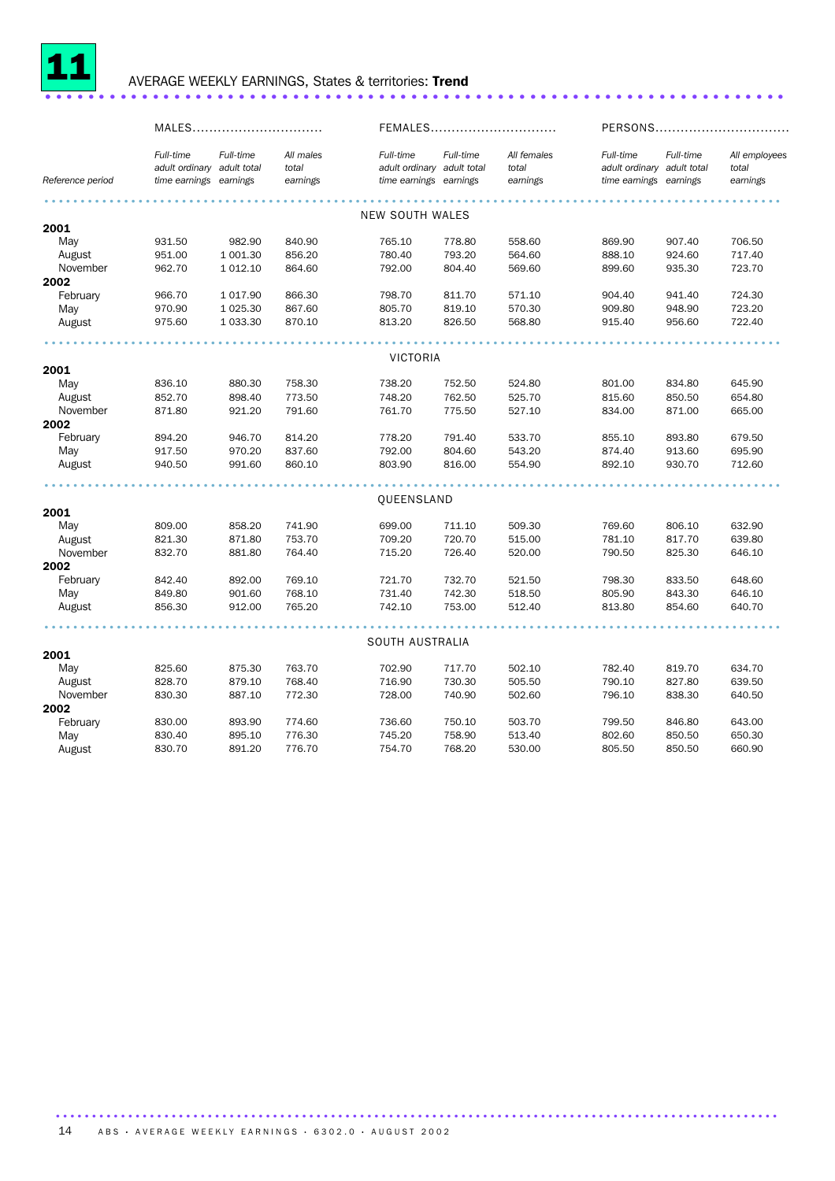

### <sup>11</sup> AVERAGE WEEKLY EARNINGS, States & territories: Trend ..................................................................... .

|                  |                                                                   | MALES      |                                |                                                                   |           | FEMALES                          |                                                                   | PERSONS   |                                    |  |
|------------------|-------------------------------------------------------------------|------------|--------------------------------|-------------------------------------------------------------------|-----------|----------------------------------|-------------------------------------------------------------------|-----------|------------------------------------|--|
| Reference period | Full-time<br>adult ordinary adult total<br>time earnings earnings | Full-time  | All males<br>total<br>earnings | Full-time<br>adult ordinary adult total<br>time earnings earnings | Full-time | All females<br>total<br>earnings | Full-time<br>adult ordinary adult total<br>time earnings earnings | Full-time | All employees<br>total<br>earnings |  |
|                  |                                                                   |            |                                |                                                                   |           |                                  |                                                                   |           |                                    |  |
|                  |                                                                   |            |                                | <b>NEW SOUTH WALES</b>                                            |           |                                  |                                                                   |           |                                    |  |
| 2001             |                                                                   |            |                                |                                                                   |           |                                  |                                                                   |           |                                    |  |
| May              | 931.50                                                            | 982.90     | 840.90                         | 765.10                                                            | 778.80    | 558.60                           | 869.90                                                            | 907.40    | 706.50                             |  |
| August           | 951.00                                                            | 1 001.30   | 856.20                         | 780.40                                                            | 793.20    | 564.60                           | 888.10                                                            | 924.60    | 717.40                             |  |
| November         | 962.70                                                            | 1 0 1 2.10 | 864.60                         | 792.00                                                            | 804.40    | 569.60                           | 899.60                                                            | 935.30    | 723.70                             |  |
| 2002             |                                                                   |            |                                |                                                                   |           |                                  |                                                                   |           |                                    |  |
| February         | 966.70                                                            | 1017.90    | 866.30                         | 798.70                                                            | 811.70    | 571.10                           | 904.40                                                            | 941.40    | 724.30                             |  |
| May              | 970.90                                                            | 1 0 25.30  | 867.60                         | 805.70                                                            | 819.10    | 570.30                           | 909.80                                                            | 948.90    | 723.20                             |  |
| August           | 975.60                                                            | 1 033.30   | 870.10                         | 813.20                                                            | 826.50    | 568.80                           | 915.40                                                            | 956.60    | 722.40                             |  |
|                  |                                                                   |            |                                |                                                                   |           |                                  |                                                                   |           |                                    |  |
|                  |                                                                   |            |                                | <b>VICTORIA</b>                                                   |           |                                  |                                                                   |           |                                    |  |
| 2001             |                                                                   |            |                                |                                                                   |           |                                  |                                                                   |           |                                    |  |
| May              | 836.10                                                            | 880.30     | 758.30                         | 738.20                                                            | 752.50    | 524.80                           | 801.00                                                            | 834.80    | 645.90                             |  |
| August           | 852.70                                                            | 898.40     | 773.50                         | 748.20                                                            | 762.50    | 525.70                           | 815.60                                                            | 850.50    | 654.80                             |  |
| November         | 871.80                                                            | 921.20     | 791.60                         | 761.70                                                            | 775.50    | 527.10                           | 834.00                                                            | 871.00    | 665.00                             |  |
| 2002             |                                                                   |            |                                |                                                                   |           |                                  |                                                                   |           |                                    |  |
| February         | 894.20                                                            | 946.70     | 814.20                         | 778.20                                                            | 791.40    | 533.70                           | 855.10                                                            | 893.80    | 679.50                             |  |
| May              | 917.50                                                            | 970.20     | 837.60                         | 792.00                                                            | 804.60    | 543.20                           | 874.40                                                            | 913.60    | 695.90                             |  |
| August           | 940.50                                                            | 991.60     | 860.10                         | 803.90                                                            | 816.00    | 554.90                           | 892.10                                                            | 930.70    | 712.60                             |  |
|                  |                                                                   |            |                                |                                                                   |           |                                  |                                                                   |           |                                    |  |
|                  |                                                                   |            |                                | QUEENSLAND                                                        |           |                                  |                                                                   |           |                                    |  |
| 2001             |                                                                   |            |                                |                                                                   |           |                                  |                                                                   |           |                                    |  |
| May              | 809.00                                                            | 858.20     | 741.90                         | 699.00                                                            | 711.10    | 509.30                           | 769.60                                                            | 806.10    | 632.90                             |  |
| August           | 821.30                                                            | 871.80     | 753.70                         | 709.20                                                            | 720.70    | 515.00                           | 781.10                                                            | 817.70    | 639.80                             |  |
| November         | 832.70                                                            | 881.80     | 764.40                         | 715.20                                                            | 726.40    | 520.00                           | 790.50                                                            | 825.30    | 646.10                             |  |
| 2002             |                                                                   |            |                                |                                                                   |           |                                  |                                                                   |           |                                    |  |
| February         | 842.40                                                            | 892.00     | 769.10                         | 721.70                                                            | 732.70    | 521.50                           | 798.30                                                            | 833.50    | 648.60                             |  |
| May              | 849.80                                                            | 901.60     | 768.10                         | 731.40                                                            | 742.30    | 518.50                           | 805.90                                                            | 843.30    | 646.10                             |  |
| August           | 856.30                                                            | 912.00     | 765.20                         | 742.10                                                            | 753.00    | 512.40                           | 813.80                                                            | 854.60    | 640.70                             |  |
|                  |                                                                   |            |                                |                                                                   |           |                                  |                                                                   |           |                                    |  |
|                  |                                                                   |            |                                | SOUTH AUSTRALIA                                                   |           |                                  |                                                                   |           |                                    |  |
| 2001             |                                                                   |            |                                |                                                                   |           |                                  |                                                                   |           |                                    |  |
| May              | 825.60                                                            | 875.30     | 763.70                         | 702.90                                                            | 717.70    | 502.10                           | 782.40                                                            | 819.70    | 634.70                             |  |
| August           | 828.70                                                            | 879.10     | 768.40                         | 716.90                                                            | 730.30    | 505.50                           | 790.10                                                            | 827.80    | 639.50                             |  |
| November         | 830.30                                                            | 887.10     | 772.30                         | 728.00                                                            | 740.90    | 502.60                           | 796.10                                                            | 838.30    | 640.50                             |  |
| 2002             |                                                                   |            |                                |                                                                   |           |                                  |                                                                   |           |                                    |  |
| February         | 830.00                                                            | 893.90     | 774.60                         | 736.60                                                            | 750.10    | 503.70                           | 799.50                                                            | 846.80    | 643.00                             |  |
| May              | 830.40                                                            | 895.10     | 776.30                         | 745.20                                                            | 758.90    | 513.40                           | 802.60                                                            | 850.50    | 650.30                             |  |
| August           | 830.70                                                            | 891.20     | 776.70                         | 754.70                                                            | 768.20    | 530.00                           | 805.50                                                            | 850.50    | 660.90                             |  |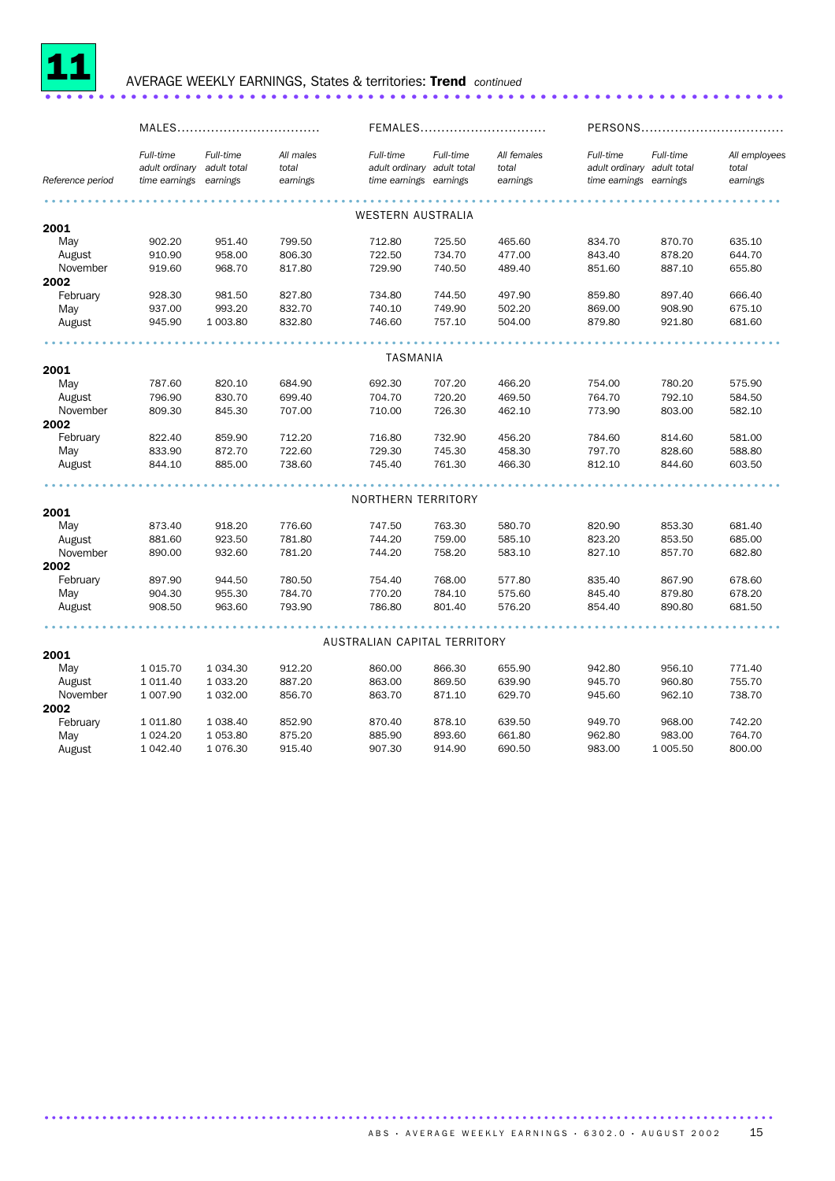

#### 11 AVERAGE WEEKLY EARNINGS, States & territories: Trend *continued* ..................................................................... .

|                  |                                              |                                      |                                |                                                                   |           | FEMALES                          |                                                                   | PERSONS   |                                    |  |
|------------------|----------------------------------------------|--------------------------------------|--------------------------------|-------------------------------------------------------------------|-----------|----------------------------------|-------------------------------------------------------------------|-----------|------------------------------------|--|
| Reference period | Full-time<br>adult ordinary<br>time earnings | Full-time<br>adult total<br>earnings | All males<br>total<br>earnings | Full-time<br>adult ordinary adult total<br>time earnings earnings | Full-time | All females<br>total<br>earnings | Full-time<br>adult ordinary adult total<br>time earnings earnings | Full-time | All employees<br>total<br>earnings |  |
|                  |                                              |                                      |                                |                                                                   |           |                                  |                                                                   |           |                                    |  |
|                  |                                              |                                      |                                | <b>WESTERN AUSTRALIA</b>                                          |           |                                  |                                                                   |           |                                    |  |
| 2001             |                                              |                                      |                                |                                                                   |           |                                  |                                                                   |           |                                    |  |
| May              | 902.20                                       | 951.40                               | 799.50                         | 712.80                                                            | 725.50    | 465.60                           | 834.70                                                            | 870.70    | 635.10                             |  |
| August           | 910.90                                       | 958.00                               | 806.30                         | 722.50                                                            | 734.70    | 477.00                           | 843.40                                                            | 878.20    | 644.70                             |  |
| November         | 919.60                                       | 968.70                               | 817.80                         | 729.90                                                            | 740.50    | 489.40                           | 851.60                                                            | 887.10    | 655.80                             |  |
| 2002             |                                              |                                      |                                |                                                                   |           |                                  |                                                                   |           |                                    |  |
| February         | 928.30                                       | 981.50                               | 827.80                         | 734.80                                                            | 744.50    | 497.90                           | 859.80                                                            | 897.40    | 666.40                             |  |
| May              | 937.00                                       | 993.20                               | 832.70                         | 740.10                                                            | 749.90    | 502.20                           | 869.00                                                            | 908.90    | 675.10                             |  |
| August           | 945.90                                       | 1 003.80                             | 832.80                         | 746.60                                                            | 757.10    | 504.00                           | 879.80                                                            | 921.80    | 681.60                             |  |
|                  |                                              |                                      |                                |                                                                   |           |                                  |                                                                   |           |                                    |  |
|                  |                                              |                                      |                                | TASMANIA                                                          |           |                                  |                                                                   |           |                                    |  |
| 2001             |                                              |                                      |                                |                                                                   |           |                                  |                                                                   |           |                                    |  |
| May              | 787.60                                       | 820.10                               | 684.90                         | 692.30                                                            | 707.20    | 466.20                           | 754.00                                                            | 780.20    | 575.90                             |  |
| August           | 796.90                                       | 830.70                               | 699.40                         | 704.70                                                            | 720.20    | 469.50                           | 764.70                                                            | 792.10    | 584.50                             |  |
| November         | 809.30                                       | 845.30                               | 707.00                         | 710.00                                                            | 726.30    | 462.10                           | 773.90                                                            | 803.00    | 582.10                             |  |
| 2002             |                                              |                                      |                                |                                                                   |           |                                  |                                                                   |           |                                    |  |
| February         | 822.40                                       | 859.90                               | 712.20                         | 716.80                                                            | 732.90    | 456.20                           | 784.60                                                            | 814.60    | 581.00                             |  |
| May              | 833.90                                       | 872.70                               | 722.60                         | 729.30                                                            | 745.30    | 458.30                           | 797.70                                                            | 828.60    | 588.80                             |  |
| August           | 844.10                                       | 885.00                               | 738.60                         | 745.40                                                            | 761.30    | 466.30                           | 812.10                                                            | 844.60    | 603.50                             |  |
|                  |                                              |                                      |                                |                                                                   |           |                                  |                                                                   |           |                                    |  |
|                  |                                              |                                      |                                | NORTHERN TERRITORY                                                |           |                                  |                                                                   |           |                                    |  |
| 2001             |                                              |                                      |                                |                                                                   |           |                                  |                                                                   |           |                                    |  |
| May              | 873.40                                       | 918.20                               | 776.60                         | 747.50                                                            | 763.30    | 580.70                           | 820.90                                                            | 853.30    | 681.40                             |  |
| August           | 881.60                                       | 923.50                               | 781.80                         | 744.20                                                            | 759.00    | 585.10                           | 823.20                                                            | 853.50    | 685.00                             |  |
| November         | 890.00                                       | 932.60                               | 781.20                         | 744.20                                                            | 758.20    | 583.10                           | 827.10                                                            | 857.70    | 682.80                             |  |
| 2002             |                                              |                                      |                                |                                                                   |           |                                  |                                                                   |           |                                    |  |
| February         | 897.90                                       | 944.50                               | 780.50                         | 754.40                                                            | 768.00    | 577.80                           | 835.40                                                            | 867.90    | 678.60                             |  |
| May              | 904.30                                       | 955.30                               | 784.70                         | 770.20                                                            | 784.10    | 575.60                           | 845.40                                                            | 879.80    | 678.20                             |  |
| August           | 908.50                                       | 963.60                               | 793.90                         | 786.80                                                            | 801.40    | 576.20                           | 854.40                                                            | 890.80    | 681.50                             |  |
|                  |                                              |                                      |                                |                                                                   |           |                                  |                                                                   |           |                                    |  |
|                  |                                              |                                      |                                | AUSTRALIAN CAPITAL TERRITORY                                      |           |                                  |                                                                   |           |                                    |  |
| 2001             |                                              |                                      |                                |                                                                   |           |                                  |                                                                   |           |                                    |  |
| May              | 1 0 1 5 . 7 0                                | 1 0 34.30                            | 912.20                         | 860.00                                                            | 866.30    | 655.90                           | 942.80                                                            | 956.10    | 771.40                             |  |
| August           | 1 0 1 1.40                                   | 1 033.20                             | 887.20                         | 863.00                                                            | 869.50    | 639.90                           | 945.70                                                            | 960.80    | 755.70                             |  |
| November         | 1 007.90                                     | 1 032.00                             | 856.70                         | 863.70                                                            | 871.10    | 629.70                           | 945.60                                                            | 962.10    | 738.70                             |  |
| 2002             |                                              |                                      |                                |                                                                   |           |                                  |                                                                   |           |                                    |  |
| February         | 1 011.80                                     | 1 0 38.40                            | 852.90                         | 870.40                                                            | 878.10    | 639.50                           | 949.70                                                            | 968.00    | 742.20                             |  |
| May              | 1 0 24.20                                    | 1 053.80                             | 875.20                         | 885.90                                                            | 893.60    | 661.80                           | 962.80                                                            | 983.00    | 764.70                             |  |
| August           | 1 042.40                                     | 1 0 7 6 . 3 0                        | 915.40                         | 907.30                                                            | 914.90    | 690.50                           | 983.00                                                            | 1 005.50  | 800.00                             |  |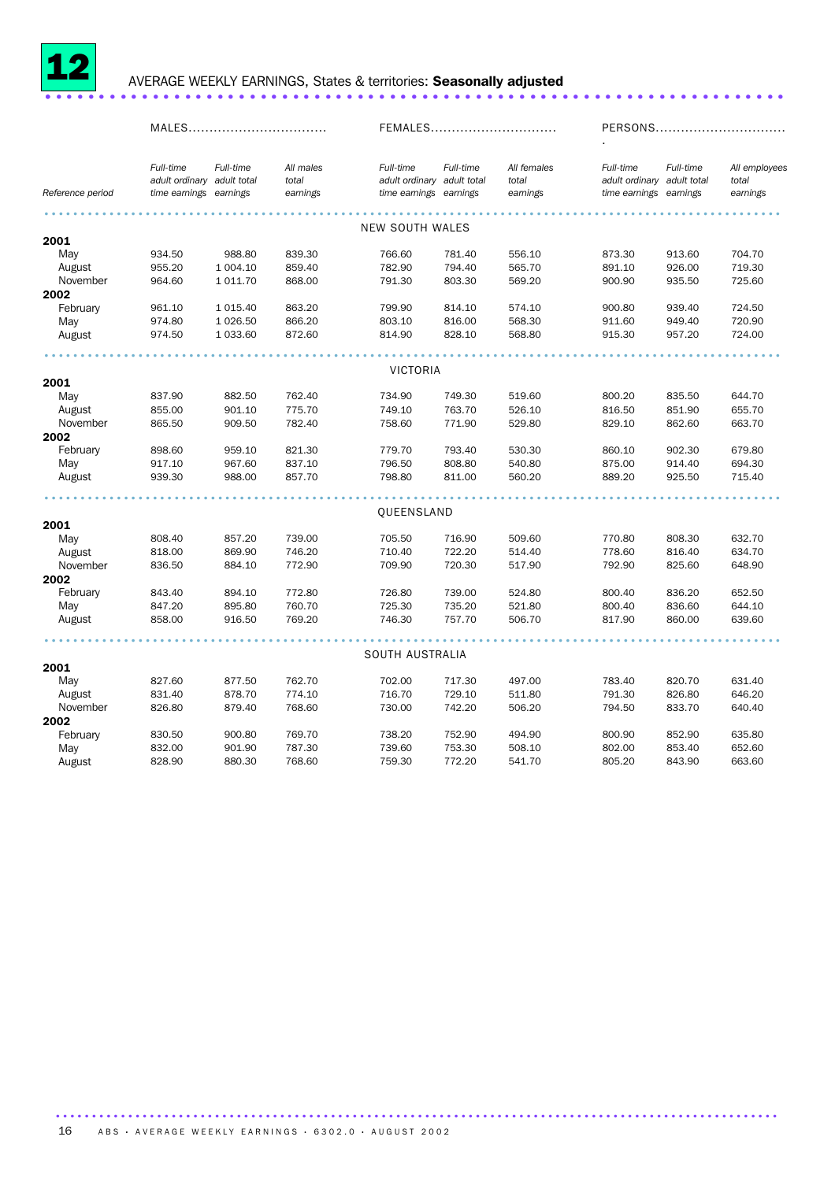

## <sup>12</sup> AVERAGE WEEKLY EARNINGS, States & territories: Seasonally adjusted ..................................................................... .

|                  | MALES                                                             |               | FEMALES                        |                                                                   |           | PERSONS                          |                                                                   |           |                                    |
|------------------|-------------------------------------------------------------------|---------------|--------------------------------|-------------------------------------------------------------------|-----------|----------------------------------|-------------------------------------------------------------------|-----------|------------------------------------|
| Reference period | Full-time<br>adult ordinary adult total<br>time earnings earnings | Full-time     | All males<br>total<br>earnings | Full-time<br>adult ordinary adult total<br>time earnings earnings | Full-time | All females<br>total<br>earnings | Full-time<br>adult ordinary adult total<br>time earnings earnings | Full-time | All employees<br>total<br>earnings |
|                  |                                                                   |               |                                |                                                                   |           |                                  |                                                                   |           |                                    |
| 2001             |                                                                   |               |                                | NEW SOUTH WALES                                                   |           |                                  |                                                                   |           |                                    |
| May              | 934.50                                                            | 988.80        | 839.30                         | 766.60                                                            | 781.40    | 556.10                           | 873.30                                                            | 913.60    | 704.70                             |
| August           | 955.20                                                            | 1 004.10      | 859.40                         | 782.90                                                            | 794.40    | 565.70                           | 891.10                                                            | 926.00    | 719.30                             |
| November         | 964.60                                                            | 1 0 1 1.70    | 868.00                         | 791.30                                                            | 803.30    | 569.20                           | 900.90                                                            | 935.50    | 725.60                             |
| 2002             |                                                                   |               |                                |                                                                   |           |                                  |                                                                   |           |                                    |
| February         | 961.10                                                            | 1 0 1 5 . 4 0 | 863.20                         | 799.90                                                            | 814.10    | 574.10                           | 900.80                                                            | 939.40    | 724.50                             |
| May              | 974.80                                                            | 1 0 26.50     | 866.20                         | 803.10                                                            | 816.00    | 568.30                           | 911.60                                                            | 949.40    | 720.90                             |
| August           | 974.50                                                            | 1 033.60      | 872.60                         | 814.90                                                            | 828.10    | 568.80                           | 915.30                                                            | 957.20    | 724.00                             |
|                  |                                                                   |               |                                |                                                                   |           |                                  |                                                                   |           |                                    |
|                  |                                                                   |               |                                | <b>VICTORIA</b>                                                   |           |                                  |                                                                   |           |                                    |
| 2001             |                                                                   |               |                                |                                                                   |           |                                  |                                                                   |           |                                    |
| May              | 837.90                                                            | 882.50        | 762.40                         | 734.90                                                            | 749.30    | 519.60                           | 800.20                                                            | 835.50    | 644.70                             |
| August           | 855.00                                                            | 901.10        | 775.70                         | 749.10                                                            | 763.70    | 526.10                           | 816.50                                                            | 851.90    | 655.70                             |
| November         | 865.50                                                            | 909.50        | 782.40                         | 758.60                                                            | 771.90    | 529.80                           | 829.10                                                            | 862.60    | 663.70                             |
| 2002             |                                                                   |               |                                |                                                                   |           |                                  |                                                                   |           |                                    |
| February         | 898.60                                                            | 959.10        | 821.30                         | 779.70                                                            | 793.40    | 530.30                           | 860.10                                                            | 902.30    | 679.80                             |
| May              | 917.10                                                            | 967.60        | 837.10                         | 796.50                                                            | 808.80    | 540.80                           | 875.00                                                            | 914.40    | 694.30                             |
| August           | 939.30                                                            | 988.00        | 857.70                         | 798.80                                                            | 811.00    | 560.20                           | 889.20                                                            | 925.50    | 715.40                             |
|                  |                                                                   |               |                                | <b>QUEENSLAND</b>                                                 |           |                                  |                                                                   |           |                                    |
| 2001             |                                                                   |               |                                |                                                                   |           |                                  |                                                                   |           |                                    |
| May              | 808.40                                                            | 857.20        | 739.00                         | 705.50                                                            | 716.90    | 509.60                           | 770.80                                                            | 808.30    | 632.70                             |
| August           | 818.00                                                            | 869.90        | 746.20                         | 710.40                                                            | 722.20    | 514.40                           | 778.60                                                            | 816.40    | 634.70                             |
| November         | 836.50                                                            | 884.10        | 772.90                         | 709.90                                                            | 720.30    | 517.90                           | 792.90                                                            | 825.60    | 648.90                             |
| 2002             |                                                                   |               |                                |                                                                   |           |                                  |                                                                   |           |                                    |
| February         | 843.40                                                            | 894.10        | 772.80                         | 726.80                                                            | 739.00    | 524.80                           | 800.40                                                            | 836.20    | 652.50                             |
| May              | 847.20                                                            | 895.80        | 760.70                         | 725.30                                                            | 735.20    | 521.80                           | 800.40                                                            | 836.60    | 644.10                             |
| August           | 858.00                                                            | 916.50        | 769.20                         | 746.30                                                            | 757.70    | 506.70                           | 817.90                                                            | 860.00    | 639.60                             |
|                  |                                                                   |               |                                |                                                                   |           |                                  |                                                                   |           |                                    |
|                  |                                                                   |               |                                | SOUTH AUSTRALIA                                                   |           |                                  |                                                                   |           |                                    |
| 2001             |                                                                   |               |                                |                                                                   |           |                                  |                                                                   |           |                                    |
| May              | 827.60                                                            | 877.50        | 762.70                         | 702.00                                                            | 717.30    | 497.00                           | 783.40                                                            | 820.70    | 631.40                             |
| August           | 831.40                                                            | 878.70        | 774.10                         | 716.70                                                            | 729.10    | 511.80                           | 791.30                                                            | 826.80    | 646.20                             |
| November         | 826.80                                                            | 879.40        | 768.60                         | 730.00                                                            | 742.20    | 506.20                           | 794.50                                                            | 833.70    | 640.40                             |
| 2002             |                                                                   |               |                                |                                                                   |           |                                  |                                                                   |           |                                    |
| February         | 830.50                                                            | 900.80        | 769.70                         | 738.20                                                            | 752.90    | 494.90                           | 800.90                                                            | 852.90    | 635.80                             |
| May              | 832.00                                                            | 901.90        | 787.30                         | 739.60                                                            | 753.30    | 508.10                           | 802.00                                                            | 853.40    | 652.60                             |
| August           | 828.90                                                            | 880.30        | 768.60                         | 759.30                                                            | 772.20    | 541.70                           | 805.20                                                            | 843.90    | 663.60                             |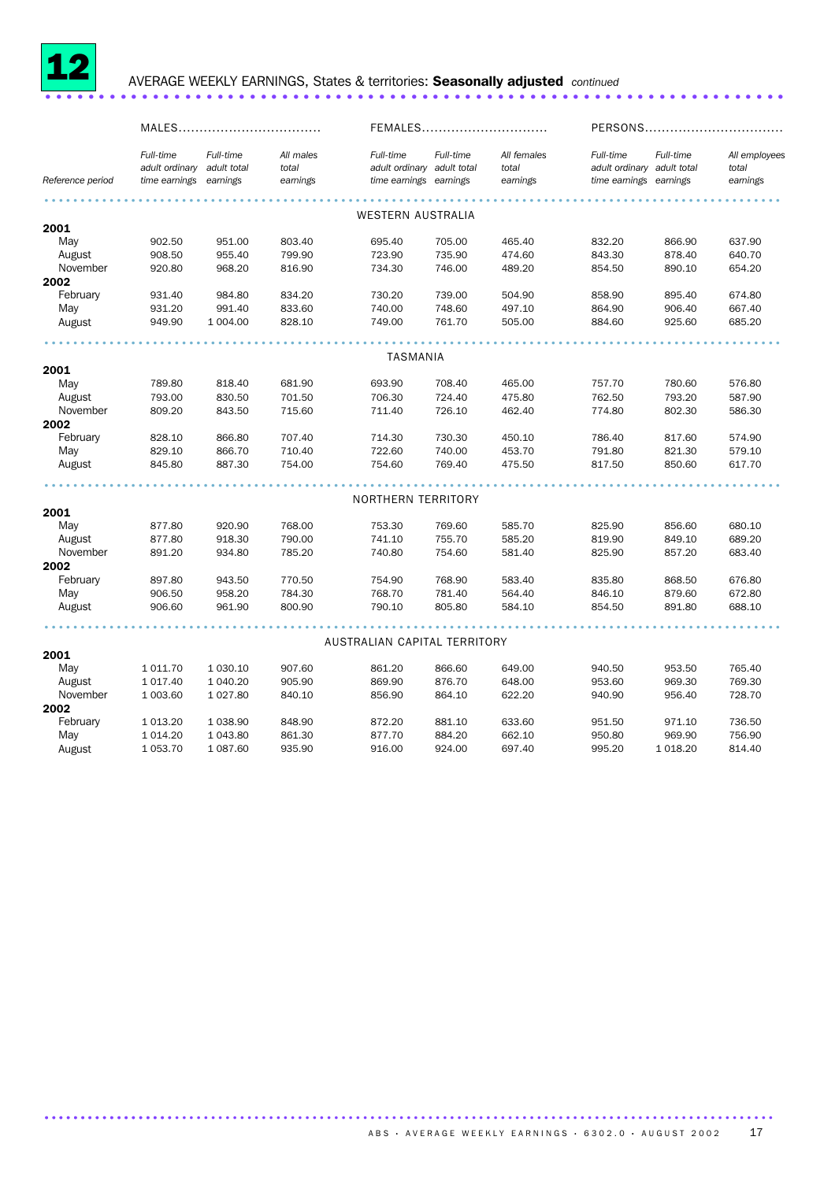

### 12 AVERAGE WEEKLY EARNINGS, States & territories: Seasonally adjusted *continued* .....................................................................

|                  | MALES                                                    |                       |                                | FEMALES                                                           |           |                                  | PERSONS                                                           |           |                                    |
|------------------|----------------------------------------------------------|-----------------------|--------------------------------|-------------------------------------------------------------------|-----------|----------------------------------|-------------------------------------------------------------------|-----------|------------------------------------|
| Reference period | Full-time<br>adult ordinary adult total<br>time earnings | Full-time<br>earnings | All males<br>total<br>earnings | Full-time<br>adult ordinary adult total<br>time earnings earnings | Full-time | All females<br>total<br>earnings | Full-time<br>adult ordinary adult total<br>time earnings earnings | Full-time | All employees<br>total<br>earnings |
|                  |                                                          |                       |                                |                                                                   |           |                                  |                                                                   |           |                                    |
|                  |                                                          |                       |                                | WESTERN AUSTRALIA                                                 |           |                                  |                                                                   |           |                                    |
| 2001             |                                                          |                       |                                |                                                                   |           |                                  |                                                                   |           |                                    |
| May              | 902.50                                                   | 951.00                | 803.40                         | 695.40                                                            | 705.00    | 465.40                           | 832.20                                                            | 866.90    | 637.90                             |
| August           | 908.50                                                   | 955.40                | 799.90                         | 723.90                                                            | 735.90    | 474.60                           | 843.30                                                            | 878.40    | 640.70                             |
| November         | 920.80                                                   | 968.20                | 816.90                         | 734.30                                                            | 746.00    | 489.20                           | 854.50                                                            | 890.10    | 654.20                             |
| 2002             |                                                          |                       |                                |                                                                   |           |                                  |                                                                   |           |                                    |
| February         | 931.40                                                   | 984.80                | 834.20                         | 730.20                                                            | 739.00    | 504.90                           | 858.90                                                            | 895.40    | 674.80                             |
| May              | 931.20                                                   | 991.40                | 833.60                         | 740.00                                                            | 748.60    | 497.10                           | 864.90                                                            | 906.40    | 667.40                             |
| August           | 949.90                                                   | 1 004.00              | 828.10                         | 749.00                                                            | 761.70    | 505.00                           | 884.60                                                            | 925.60    | 685.20                             |
|                  |                                                          |                       |                                |                                                                   |           |                                  |                                                                   |           |                                    |
|                  |                                                          |                       |                                | TASMANIA                                                          |           |                                  |                                                                   |           |                                    |
| 2001             |                                                          |                       |                                |                                                                   |           |                                  |                                                                   |           |                                    |
| May              | 789.80                                                   | 818.40                | 681.90                         | 693.90                                                            | 708.40    | 465.00                           | 757.70                                                            | 780.60    | 576.80                             |
| August           | 793.00                                                   | 830.50                | 701.50                         | 706.30                                                            | 724.40    | 475.80                           | 762.50                                                            | 793.20    | 587.90                             |
| November         | 809.20                                                   | 843.50                | 715.60                         | 711.40                                                            | 726.10    | 462.40                           | 774.80                                                            | 802.30    | 586.30                             |
| 2002             |                                                          |                       |                                |                                                                   |           |                                  |                                                                   |           |                                    |
| February         | 828.10                                                   | 866.80                | 707.40                         | 714.30                                                            | 730.30    | 450.10                           | 786.40                                                            | 817.60    | 574.90                             |
| May              | 829.10                                                   | 866.70                | 710.40                         | 722.60                                                            | 740.00    | 453.70                           | 791.80                                                            | 821.30    | 579.10                             |
| August           | 845.80                                                   | 887.30                | 754.00                         | 754.60                                                            | 769.40    | 475.50                           | 817.50                                                            | 850.60    | 617.70                             |
|                  |                                                          |                       |                                |                                                                   |           |                                  |                                                                   |           |                                    |
|                  |                                                          |                       |                                | NORTHERN TERRITORY                                                |           |                                  |                                                                   |           |                                    |
| 2001             |                                                          |                       |                                |                                                                   |           |                                  |                                                                   |           |                                    |
| May              | 877.80                                                   | 920.90                | 768.00                         | 753.30                                                            | 769.60    | 585.70                           | 825.90                                                            | 856.60    | 680.10                             |
| August           | 877.80                                                   | 918.30                | 790.00                         | 741.10                                                            | 755.70    | 585.20                           | 819.90                                                            | 849.10    | 689.20                             |
| November         | 891.20                                                   | 934.80                | 785.20                         | 740.80                                                            | 754.60    | 581.40                           | 825.90                                                            | 857.20    | 683.40                             |
| 2002             |                                                          |                       |                                |                                                                   |           |                                  |                                                                   |           |                                    |
| February         | 897.80                                                   | 943.50                | 770.50                         | 754.90                                                            | 768.90    | 583.40                           | 835.80                                                            | 868.50    | 676.80                             |
| May              | 906.50                                                   | 958.20                | 784.30                         | 768.70                                                            | 781.40    | 564.40                           | 846.10                                                            | 879.60    | 672.80                             |
| August           | 906.60                                                   | 961.90                | 800.90                         | 790.10                                                            | 805.80    | 584.10                           | 854.50                                                            | 891.80    | 688.10                             |
|                  |                                                          |                       |                                |                                                                   |           |                                  |                                                                   |           |                                    |
|                  |                                                          |                       |                                | AUSTRALIAN CAPITAL TERRITORY                                      |           |                                  |                                                                   |           |                                    |
| 2001             |                                                          |                       |                                |                                                                   |           |                                  |                                                                   |           |                                    |
| May              | 1 011.70                                                 | 1 0 3 0.10            | 907.60                         | 861.20                                                            | 866.60    | 649.00                           | 940.50                                                            | 953.50    | 765.40                             |
| August           | 1 017.40                                                 | 1 040.20              | 905.90                         | 869.90                                                            | 876.70    | 648.00                           | 953.60                                                            | 969.30    | 769.30                             |
| November         | 1 003.60                                                 | 1 0 27.80             | 840.10                         | 856.90                                                            | 864.10    | 622.20                           | 940.90                                                            | 956.40    | 728.70                             |
| 2002             |                                                          |                       |                                |                                                                   |           |                                  |                                                                   |           |                                    |
| February         | 1 013.20                                                 | 1 0 38.90             | 848.90                         | 872.20                                                            | 881.10    | 633.60                           | 951.50                                                            | 971.10    | 736.50                             |
| May              | 1 0 14.20                                                | 1 043.80              | 861.30                         | 877.70                                                            | 884.20    | 662.10                           | 950.80                                                            | 969.90    | 756.90                             |
| August           | 1 053.70                                                 | 1 087.60              | 935.90                         | 916.00                                                            | 924.00    | 697.40                           | 995.20                                                            | 1 0 18.20 | 814.40                             |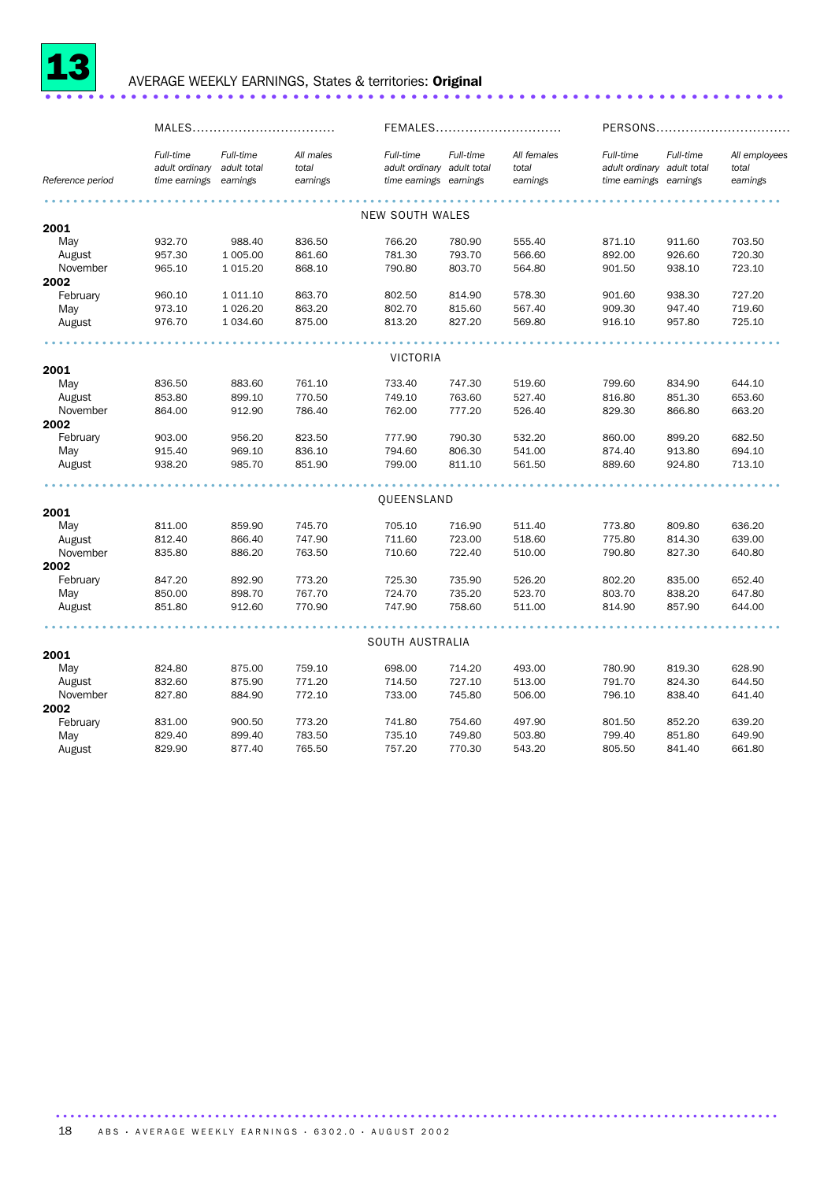

### <sup>13</sup> AVERAGE WEEKLY EARNINGS, States & territories: Original ..................................................................... ..

|                  |                                                          | MALES                 |                                |                                                                   |           | FEMALES                          |                                                                   | PERSONS   |                                    |  |
|------------------|----------------------------------------------------------|-----------------------|--------------------------------|-------------------------------------------------------------------|-----------|----------------------------------|-------------------------------------------------------------------|-----------|------------------------------------|--|
| Reference period | Full-time<br>adult ordinary adult total<br>time earnings | Full-time<br>earnings | All males<br>total<br>earnings | Full-time<br>adult ordinary adult total<br>time earnings earnings | Full-time | All females<br>total<br>earnings | Full-time<br>adult ordinary adult total<br>time earnings earnings | Full-time | All employees<br>total<br>earnings |  |
|                  |                                                          |                       |                                |                                                                   |           |                                  |                                                                   |           |                                    |  |
| 2001             |                                                          |                       |                                | <b>NEW SOUTH WALES</b>                                            |           |                                  |                                                                   |           |                                    |  |
| May              | 932.70                                                   | 988.40                | 836.50                         | 766.20                                                            | 780.90    | 555.40                           | 871.10                                                            | 911.60    | 703.50                             |  |
| August           | 957.30                                                   | 1 005.00              | 861.60                         | 781.30                                                            | 793.70    | 566.60                           | 892.00                                                            | 926.60    | 720.30                             |  |
| November         | 965.10                                                   | 1 0 1 5 . 20          | 868.10                         | 790.80                                                            | 803.70    | 564.80                           | 901.50                                                            | 938.10    | 723.10                             |  |
| 2002             |                                                          |                       |                                |                                                                   |           |                                  |                                                                   |           |                                    |  |
| February         | 960.10                                                   | 1 011.10              | 863.70                         | 802.50                                                            | 814.90    | 578.30                           | 901.60                                                            | 938.30    | 727.20                             |  |
| May              | 973.10                                                   | 1 0 26.20             | 863.20                         | 802.70                                                            | 815.60    | 567.40                           | 909.30                                                            | 947.40    | 719.60                             |  |
| August           | 976.70                                                   | 1 0 34.60             | 875.00                         | 813.20                                                            | 827.20    | 569.80                           | 916.10                                                            | 957.80    | 725.10                             |  |
|                  |                                                          |                       |                                |                                                                   |           |                                  |                                                                   |           |                                    |  |
|                  |                                                          |                       |                                | <b>VICTORIA</b>                                                   |           |                                  |                                                                   |           |                                    |  |
| 2001             |                                                          |                       |                                |                                                                   |           |                                  |                                                                   |           |                                    |  |
| May              | 836.50                                                   | 883.60                | 761.10                         | 733.40                                                            | 747.30    | 519.60                           | 799.60                                                            | 834.90    | 644.10                             |  |
| August           | 853.80                                                   | 899.10                | 770.50                         | 749.10                                                            | 763.60    | 527.40                           | 816.80                                                            | 851.30    | 653.60                             |  |
| November         | 864.00                                                   | 912.90                | 786.40                         | 762.00                                                            | 777.20    | 526.40                           | 829.30                                                            | 866.80    | 663.20                             |  |
| 2002             |                                                          |                       |                                |                                                                   |           |                                  |                                                                   |           |                                    |  |
| February         | 903.00                                                   | 956.20                | 823.50                         | 777.90                                                            | 790.30    | 532.20                           | 860.00                                                            | 899.20    | 682.50                             |  |
| May              | 915.40                                                   | 969.10                | 836.10                         | 794.60                                                            | 806.30    | 541.00                           | 874.40                                                            | 913.80    | 694.10                             |  |
| August           | 938.20                                                   | 985.70                | 851.90                         | 799.00                                                            | 811.10    | 561.50                           | 889.60                                                            | 924.80    | 713.10                             |  |
|                  |                                                          |                       |                                |                                                                   |           |                                  |                                                                   |           |                                    |  |
| 2001             |                                                          |                       |                                | QUEENSLAND                                                        |           |                                  |                                                                   |           |                                    |  |
| May              | 811.00                                                   | 859.90                | 745.70                         | 705.10                                                            | 716.90    | 511.40                           | 773.80                                                            | 809.80    | 636.20                             |  |
| August           | 812.40                                                   | 866.40                | 747.90                         | 711.60                                                            | 723.00    | 518.60                           | 775.80                                                            | 814.30    | 639.00                             |  |
| November         | 835.80                                                   | 886.20                | 763.50                         | 710.60                                                            | 722.40    | 510.00                           | 790.80                                                            | 827.30    | 640.80                             |  |
| 2002             |                                                          |                       |                                |                                                                   |           |                                  |                                                                   |           |                                    |  |
| February         | 847.20                                                   | 892.90                | 773.20                         | 725.30                                                            | 735.90    | 526.20                           | 802.20                                                            | 835.00    | 652.40                             |  |
| May              | 850.00                                                   | 898.70                | 767.70                         | 724.70                                                            | 735.20    | 523.70                           | 803.70                                                            | 838.20    | 647.80                             |  |
| August           | 851.80                                                   | 912.60                | 770.90                         | 747.90                                                            | 758.60    | 511.00                           | 814.90                                                            | 857.90    | 644.00                             |  |
|                  |                                                          |                       |                                |                                                                   |           |                                  |                                                                   |           |                                    |  |
|                  |                                                          |                       |                                | SOUTH AUSTRALIA                                                   |           |                                  |                                                                   |           |                                    |  |
| 2001             |                                                          |                       |                                |                                                                   |           |                                  |                                                                   |           |                                    |  |
| May              | 824.80                                                   | 875.00                | 759.10                         | 698.00                                                            | 714.20    | 493.00                           | 780.90                                                            | 819.30    | 628.90                             |  |
| August           | 832.60                                                   | 875.90                | 771.20                         | 714.50                                                            | 727.10    | 513.00                           | 791.70                                                            | 824.30    | 644.50                             |  |
| November         | 827.80                                                   | 884.90                | 772.10                         | 733.00                                                            | 745.80    | 506.00                           | 796.10                                                            | 838.40    | 641.40                             |  |
| 2002             |                                                          |                       |                                |                                                                   |           |                                  |                                                                   |           |                                    |  |
| February         | 831.00                                                   | 900.50                | 773.20                         | 741.80                                                            | 754.60    | 497.90                           | 801.50                                                            | 852.20    | 639.20                             |  |
| May              | 829.40                                                   | 899.40                | 783.50                         | 735.10                                                            | 749.80    | 503.80                           | 799.40                                                            | 851.80    | 649.90                             |  |
| August           | 829.90                                                   | 877.40                | 765.50                         | 757.20                                                            | 770.30    | 543.20                           | 805.50                                                            | 841.40    | 661.80                             |  |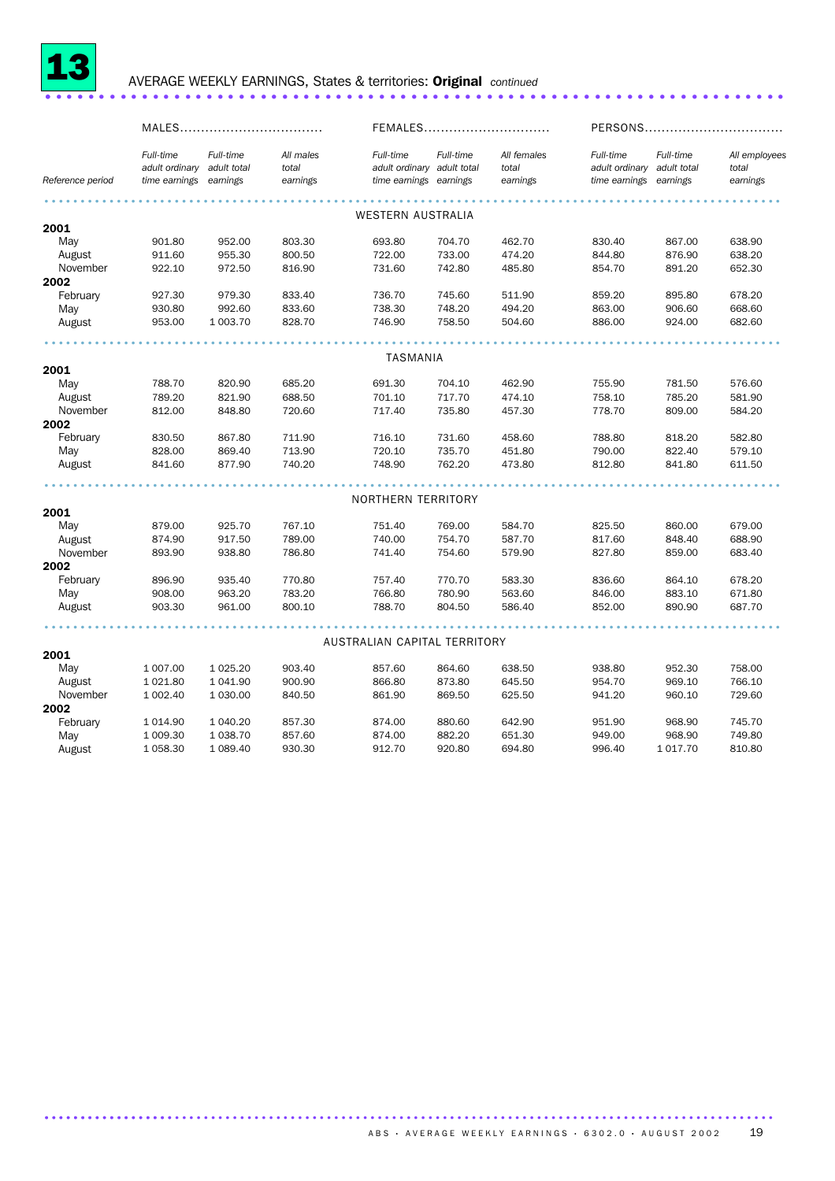

#### 13 AVERAGE WEEKLY EARNINGS, States & territories: Original *continued* ..................................................................... .

|                  | MALES                                                    |                       |                                |                                                                   | FEMALES   |                                  |                                              |                                      |                                    |
|------------------|----------------------------------------------------------|-----------------------|--------------------------------|-------------------------------------------------------------------|-----------|----------------------------------|----------------------------------------------|--------------------------------------|------------------------------------|
| Reference period | Full-time<br>adult ordinary adult total<br>time earnings | Full-time<br>earnings | All males<br>total<br>earnings | Full-time<br>adult ordinary adult total<br>time earnings earnings | Full-time | All females<br>total<br>earnings | Full-time<br>adult ordinary<br>time earnings | Full-time<br>adult total<br>earnings | All employees<br>total<br>earnings |
|                  |                                                          |                       |                                |                                                                   |           |                                  |                                              |                                      |                                    |
|                  |                                                          |                       |                                | <b>WESTERN AUSTRALIA</b>                                          |           |                                  |                                              |                                      |                                    |
| 2001             |                                                          |                       |                                |                                                                   |           |                                  |                                              |                                      |                                    |
| May              | 901.80                                                   | 952.00                | 803.30                         | 693.80                                                            | 704.70    | 462.70                           | 830.40                                       | 867.00                               | 638.90                             |
| August           | 911.60                                                   | 955.30                | 800.50                         | 722.00                                                            | 733.00    | 474.20                           | 844.80                                       | 876.90                               | 638.20                             |
| November         | 922.10                                                   | 972.50                | 816.90                         | 731.60                                                            | 742.80    | 485.80                           | 854.70                                       | 891.20                               | 652.30                             |
| 2002             |                                                          |                       |                                |                                                                   |           |                                  |                                              |                                      |                                    |
| February         | 927.30                                                   | 979.30                | 833.40                         | 736.70                                                            | 745.60    | 511.90                           | 859.20                                       | 895.80                               | 678.20                             |
| May              | 930.80                                                   | 992.60                | 833.60                         | 738.30                                                            | 748.20    | 494.20                           | 863.00                                       | 906.60                               | 668.60                             |
| August           | 953.00                                                   | 1 003.70              | 828.70                         | 746.90                                                            | 758.50    | 504.60                           | 886.00                                       | 924.00                               | 682.60                             |
|                  |                                                          |                       |                                |                                                                   |           |                                  |                                              |                                      |                                    |
|                  |                                                          |                       |                                | TASMANIA                                                          |           |                                  |                                              |                                      |                                    |
| 2001             |                                                          |                       |                                |                                                                   |           |                                  |                                              |                                      |                                    |
| May              | 788.70                                                   | 820.90                | 685.20                         | 691.30                                                            | 704.10    | 462.90                           | 755.90                                       | 781.50                               | 576.60                             |
| August           | 789.20                                                   | 821.90                | 688.50                         | 701.10                                                            | 717.70    | 474.10                           | 758.10                                       | 785.20                               | 581.90                             |
| November         | 812.00                                                   | 848.80                | 720.60                         | 717.40                                                            | 735.80    | 457.30                           | 778.70                                       | 809.00                               | 584.20                             |
| 2002             |                                                          |                       |                                |                                                                   |           |                                  |                                              |                                      |                                    |
| February         | 830.50                                                   | 867.80                | 711.90                         | 716.10                                                            | 731.60    | 458.60                           | 788.80                                       | 818.20                               | 582.80                             |
| May              | 828.00                                                   | 869.40                | 713.90                         | 720.10                                                            | 735.70    | 451.80                           | 790.00                                       | 822.40                               | 579.10                             |
| August           | 841.60                                                   | 877.90                | 740.20                         | 748.90                                                            | 762.20    | 473.80                           | 812.80                                       | 841.80                               | 611.50                             |
|                  |                                                          |                       |                                |                                                                   |           |                                  |                                              |                                      |                                    |
|                  |                                                          |                       |                                | NORTHERN TERRITORY                                                |           |                                  |                                              |                                      |                                    |
| 2001             |                                                          |                       |                                |                                                                   |           |                                  |                                              |                                      |                                    |
| May              | 879.00                                                   | 925.70                | 767.10                         | 751.40                                                            | 769.00    | 584.70                           | 825.50                                       | 860.00                               | 679.00                             |
| August           | 874.90                                                   | 917.50                | 789.00                         | 740.00                                                            | 754.70    | 587.70                           | 817.60                                       | 848.40                               | 688.90                             |
| November         | 893.90                                                   | 938.80                | 786.80                         | 741.40                                                            | 754.60    | 579.90                           | 827.80                                       | 859.00                               | 683.40                             |
| 2002             |                                                          |                       |                                |                                                                   |           |                                  |                                              |                                      |                                    |
| February         | 896.90                                                   | 935.40                | 770.80                         | 757.40                                                            | 770.70    | 583.30                           | 836.60                                       | 864.10                               | 678.20                             |
| May              | 908.00                                                   | 963.20                | 783.20                         | 766.80                                                            | 780.90    | 563.60                           | 846.00                                       | 883.10                               | 671.80                             |
| August           | 903.30                                                   | 961.00                | 800.10                         | 788.70                                                            | 804.50    | 586.40                           | 852.00                                       | 890.90                               | 687.70                             |
|                  |                                                          |                       |                                |                                                                   |           |                                  |                                              |                                      |                                    |
|                  |                                                          |                       |                                | AUSTRALIAN CAPITAL TERRITORY                                      |           |                                  |                                              |                                      |                                    |
| 2001             |                                                          |                       |                                |                                                                   |           |                                  |                                              |                                      |                                    |
| May              | 1 007.00                                                 | 1 0 25.20             | 903.40                         | 857.60                                                            | 864.60    | 638.50                           | 938.80                                       | 952.30                               | 758.00                             |
| August           | 1 0 2 1.80                                               | 1 041.90              | 900.90                         | 866.80                                                            | 873.80    | 645.50                           | 954.70                                       | 969.10                               | 766.10                             |
| November         | 1 002.40                                                 | 1 030.00              | 840.50                         | 861.90                                                            | 869.50    | 625.50                           | 941.20                                       | 960.10                               | 729.60                             |
| 2002             |                                                          |                       |                                |                                                                   |           |                                  |                                              |                                      |                                    |
| February         | 1 0 1 4 .90                                              | 1 040.20              | 857.30                         | 874.00                                                            | 880.60    | 642.90                           | 951.90                                       | 968.90                               | 745.70                             |
| May              | 1 009.30                                                 | 1 0 38.70             | 857.60                         | 874.00                                                            | 882.20    | 651.30                           | 949.00                                       | 968.90                               | 749.80                             |
| August           | 1 0 58.30                                                | 1 089.40              | 930.30                         | 912.70                                                            | 920.80    | 694.80                           | 996.40                                       | 1017.70                              | 810.80                             |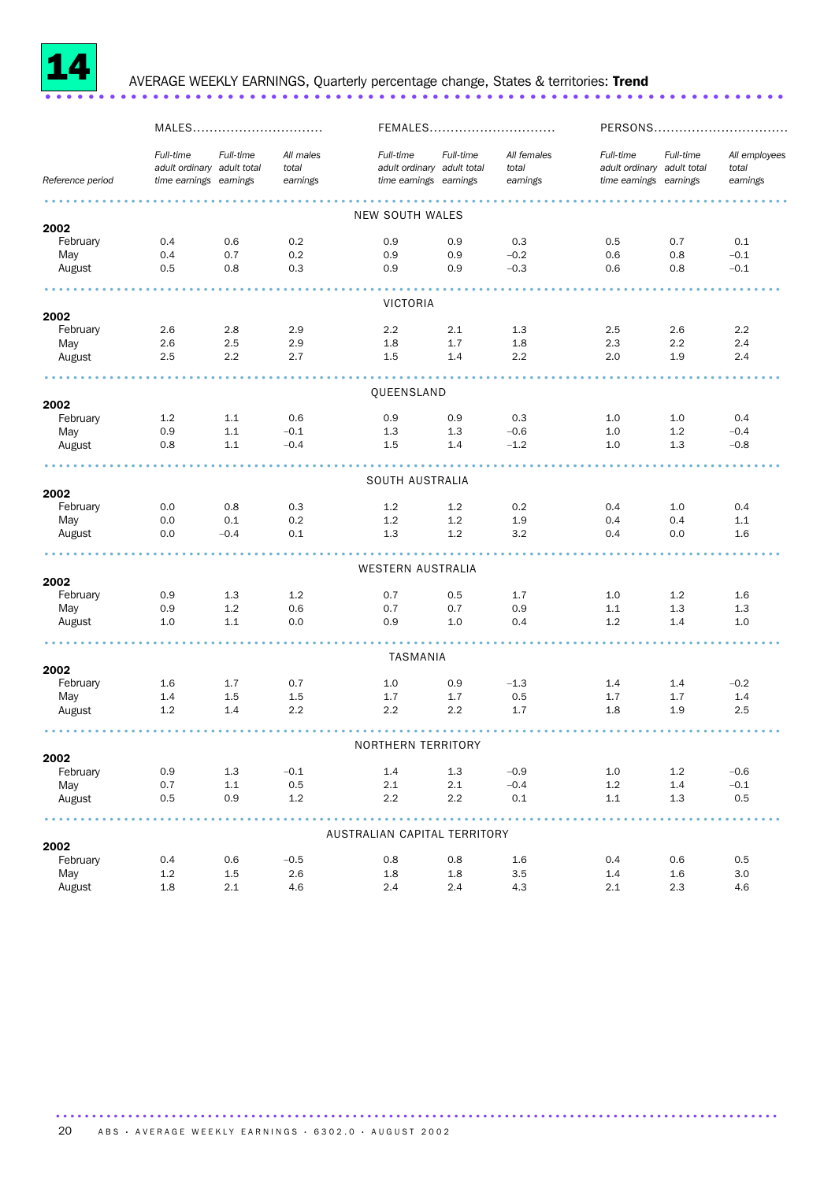

## <sup>14</sup> AVERAGE WEEKLY EARNINGS, Quarterly percentage change, States & territories: Trend ..................................................................... .

|                  | MALES                                                             |           |                                |                                                                   | FEMALES   | PERSONS                          |                                                                   |           |                                    |
|------------------|-------------------------------------------------------------------|-----------|--------------------------------|-------------------------------------------------------------------|-----------|----------------------------------|-------------------------------------------------------------------|-----------|------------------------------------|
| Reference period | Full-time<br>adult ordinary adult total<br>time earnings earnings | Full-time | All males<br>total<br>earnings | Full-time<br>adult ordinary adult total<br>time earnings earnings | Full-time | All females<br>total<br>earnings | Full-time<br>adult ordinary adult total<br>time earnings earnings | Full-time | All employees<br>total<br>earnings |
|                  |                                                                   |           |                                |                                                                   |           |                                  |                                                                   |           |                                    |
|                  |                                                                   |           |                                | NEW SOUTH WALES                                                   |           |                                  |                                                                   |           |                                    |
| 2002<br>February | 0.4                                                               | 0.6       | 0.2                            | 0.9                                                               | 0.9       | 0.3                              | 0.5                                                               | 0.7       | 0.1                                |
| May              | 0.4                                                               | 0.7       | 0.2                            | 0.9                                                               | 0.9       | $-0.2$                           | 0.6                                                               | 0.8       | $-0.1$                             |
| August           | 0.5                                                               | 0.8       | 0.3                            | 0.9                                                               | 0.9       | $-0.3$                           | 0.6                                                               | 0.8       | $-0.1$                             |
|                  |                                                                   |           |                                | VICTORIA                                                          |           |                                  |                                                                   |           |                                    |
| 2002             |                                                                   |           |                                |                                                                   |           |                                  |                                                                   |           |                                    |
| February         | 2.6                                                               | 2.8       | 2.9                            | 2.2                                                               | 2.1       | 1.3                              | 2.5                                                               | 2.6       | 2.2                                |
| May              | 2.6                                                               | 2.5       | 2.9                            | 1.8                                                               | 1.7       | 1.8                              | 2.3                                                               | 2.2       | 2.4                                |
| August           | 2.5                                                               | 2.2       | 2.7                            | 1.5                                                               | 1.4       | 2.2                              | 2.0                                                               | 1.9       | 2.4                                |
|                  |                                                                   |           |                                | QUEENSLAND                                                        |           |                                  |                                                                   |           |                                    |
| 2002             |                                                                   |           |                                |                                                                   |           |                                  |                                                                   |           |                                    |
| February         | 1.2                                                               | 1.1       | 0.6                            | 0.9                                                               | 0.9       | 0.3                              | 1.0                                                               | 1.0       | 0.4                                |
| May              | 0.9                                                               | 1.1       | $-0.1$                         | 1.3                                                               | 1.3       | $-0.6$                           | 1.0                                                               | 1.2       | $-0.4$                             |
| August           | 0.8                                                               | 1.1       | $-0.4$                         | 1.5                                                               | 1.4       | $-1.2$                           | 1.0                                                               | 1.3       | $-0.8$                             |
|                  |                                                                   |           |                                | SOUTH AUSTRALIA                                                   |           |                                  |                                                                   |           |                                    |
| 2002             |                                                                   |           |                                |                                                                   |           |                                  |                                                                   |           |                                    |
| February         | 0.0                                                               | 0.8       | 0.3                            | 1.2                                                               | 1.2       | 0.2                              | 0.4                                                               | 1.0       | 0.4                                |
| May              | 0.0                                                               | 0.1       | 0.2                            | 1.2                                                               | 1.2       | 1.9                              | 0.4                                                               | 0.4       | 1.1                                |
| August           | 0.0                                                               | $-0.4$    | 0.1                            | 1.3                                                               | 1.2       | 3.2                              | 0.4                                                               | 0.0       | 1.6                                |
|                  |                                                                   |           |                                | WESTERN AUSTRALIA                                                 |           |                                  |                                                                   |           |                                    |
| 2002             |                                                                   |           |                                |                                                                   |           |                                  |                                                                   |           |                                    |
| February         | 0.9                                                               | 1.3       | 1.2                            | 0.7                                                               | 0.5       | 1.7                              | 1.0                                                               | 1.2       | 1.6                                |
| May              | 0.9                                                               | 1.2       | 0.6                            | 0.7                                                               | 0.7       | 0.9                              | 1.1                                                               | 1.3       | 1.3                                |
| August           | 1.0                                                               | 1.1       | 0.0                            | 0.9                                                               | 1.0       | 0.4                              | 1.2                                                               | 1.4       | 1.0                                |
|                  |                                                                   |           |                                | TASMANIA                                                          |           |                                  |                                                                   |           |                                    |
| 2002             |                                                                   |           |                                |                                                                   |           |                                  |                                                                   |           |                                    |
| February         | $1.6\,$                                                           | 1.7       | 0.7                            | 1.0                                                               | 0.9       | $-1.3$                           | 1.4                                                               | 1.4       | $-0.2$                             |
| May              | 1.4                                                               | 1.5       | 1.5                            | 1.7                                                               | 1.7       | 0.5                              | 1.7                                                               | 1.7       | 1.4                                |
| August           | 1.2                                                               | 1.4       | 2.2                            | $2.2^{\circ}$                                                     | 2.2       | 1.7                              | 1.8                                                               | 1.9       | 2.5                                |
|                  |                                                                   |           |                                | NORTHERN TERRITORY                                                |           |                                  |                                                                   |           |                                    |
| 2002             |                                                                   |           |                                |                                                                   |           |                                  |                                                                   |           |                                    |
| February         | 0.9                                                               | 1.3       | $-0.1$                         | 1.4                                                               | 1.3       | $-0.9$                           | $1.0\,$                                                           | 1.2       | $-0.6$                             |
| May              | 0.7                                                               | 1.1       | 0.5                            | 2.1                                                               | 2.1       | $-0.4$                           | 1.2                                                               | 1.4       | $-0.1$                             |
| August           | 0.5                                                               | 0.9       | 1.2                            | 2.2                                                               | 2.2       | 0.1                              | 1.1                                                               | 1.3       | 0.5                                |
|                  |                                                                   |           |                                | AUSTRALIAN CAPITAL TERRITORY                                      |           |                                  |                                                                   |           |                                    |
| 2002             |                                                                   |           |                                |                                                                   |           |                                  |                                                                   |           |                                    |
| February         | 0.4                                                               | 0.6       | $-0.5$                         | 0.8                                                               | 0.8       | 1.6                              | 0.4                                                               | 0.6       | 0.5                                |
| May              | 1.2                                                               | 1.5       | 2.6                            | 1.8                                                               | 1.8       | 3.5                              | 1.4                                                               | 1.6       | 3.0                                |
| August           | 1.8                                                               | 2.1       | 4.6                            | 2.4                                                               | 2.4       | 4.3                              | 2.1                                                               | 2.3       | 4.6                                |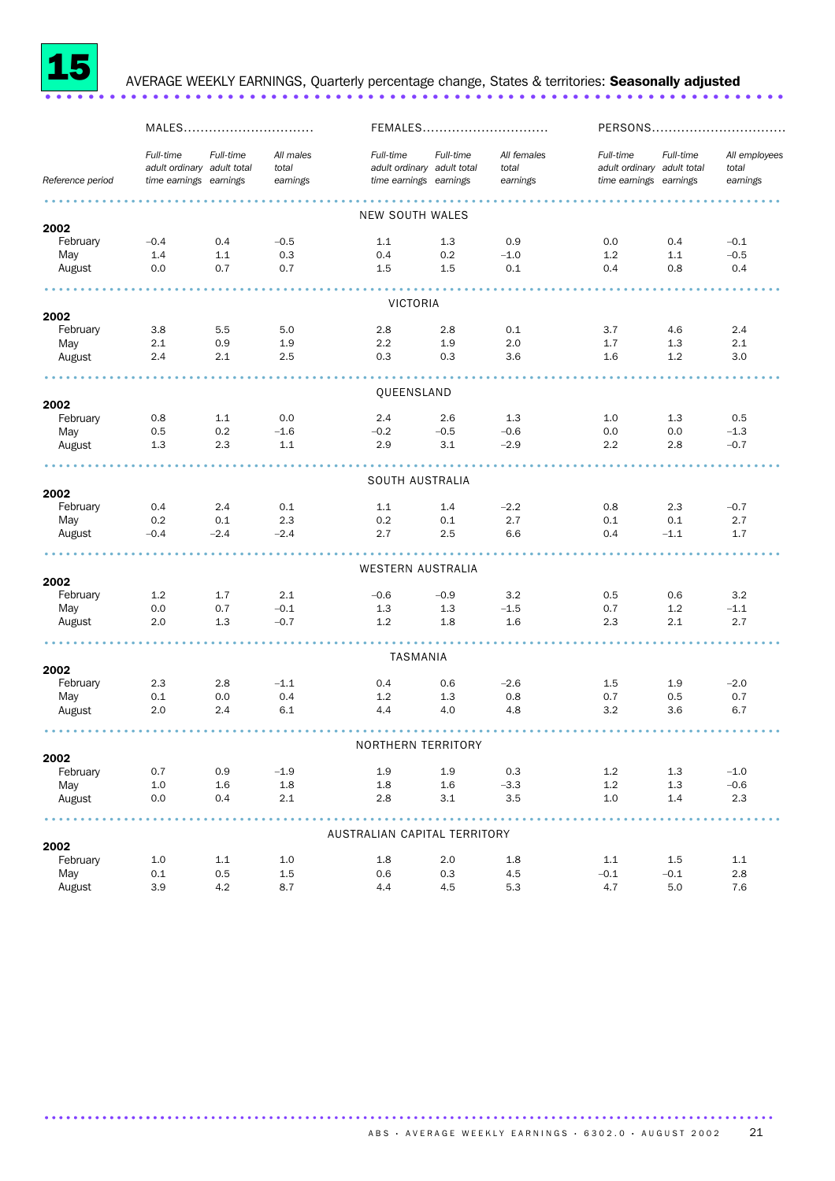

## <sup>15</sup> AVERAGE WEEKLY EARNINGS, Quarterly percentage change, States & territories: Seasonally adjusted ..................................................................... .

|                  | MALES                                                             |           |                                | FEMALES                                                           |           |                                  | PERSONS                                                           |           |                                    |
|------------------|-------------------------------------------------------------------|-----------|--------------------------------|-------------------------------------------------------------------|-----------|----------------------------------|-------------------------------------------------------------------|-----------|------------------------------------|
| Reference period | Full-time<br>adult ordinary adult total<br>time earnings earnings | Full-time | All males<br>total<br>earnings | Full-time<br>adult ordinary adult total<br>time earnings earnings | Full-time | All females<br>total<br>earnings | Full-time<br>adult ordinary adult total<br>time earnings earnings | Full-time | All employees<br>total<br>earnings |
|                  |                                                                   |           |                                |                                                                   |           |                                  |                                                                   |           |                                    |
| 2002             |                                                                   |           |                                | <b>NEW SOUTH WALES</b>                                            |           |                                  |                                                                   |           |                                    |
| February         | $-0.4$                                                            | 0.4       | $-0.5$                         | 1.1                                                               | 1.3       | 0.9                              | 0.0                                                               | 0.4       | $-0.1$                             |
| May              | 1.4                                                               | 1.1       | 0.3                            | 0.4                                                               | 0.2       | $-1.0$                           | 1.2                                                               | 1.1       | $-0.5$                             |
| August           | 0.0                                                               | 0.7       | 0.7                            | 1.5                                                               | 1.5       | 0.1                              | 0.4                                                               | 0.8       | 0.4                                |
|                  |                                                                   |           |                                | VICTORIA                                                          |           |                                  |                                                                   |           |                                    |
| 2002             |                                                                   |           |                                |                                                                   |           |                                  |                                                                   |           |                                    |
| February         | 3.8                                                               | 5.5       | 5.0                            | 2.8                                                               | 2.8       | 0.1                              | 3.7                                                               | 4.6       | 2.4                                |
| May              | 2.1                                                               | 0.9       | 1.9                            | $2.2\phantom{0}$                                                  | 1.9       | 2.0                              | 1.7                                                               | 1.3       | 2.1                                |
| August           | 2.4                                                               | 2.1       | 2.5                            | 0.3                                                               | 0.3       | 3.6                              | 1.6                                                               | 1.2       | 3.0                                |
|                  |                                                                   |           |                                |                                                                   |           |                                  |                                                                   |           |                                    |
| 2002             |                                                                   |           |                                | QUEENSLAND                                                        |           |                                  |                                                                   |           |                                    |
| February         | 0.8                                                               | 1.1       | 0.0                            | 2.4                                                               | 2.6       | 1.3                              | 1.0                                                               | 1.3       | 0.5                                |
| May              | 0.5                                                               | 0.2       | $-1.6$                         | $-0.2$                                                            | $-0.5$    | $-0.6$                           | 0.0                                                               | 0.0       | $-1.3$                             |
| August           | 1.3                                                               | 2.3       | 1.1                            | 2.9                                                               | 3.1       | $-2.9$                           | 2.2                                                               | 2.8       | $-0.7$                             |
|                  |                                                                   |           |                                | SOUTH AUSTRALIA                                                   |           |                                  |                                                                   |           |                                    |
| 2002             |                                                                   |           |                                |                                                                   |           |                                  |                                                                   |           |                                    |
| February         | 0.4                                                               | 2.4       | 0.1                            | 1.1                                                               | 1.4       | $-2.2$                           | 0.8                                                               | 2.3       | $-0.7$                             |
| May              | 0.2                                                               | 0.1       | 2.3                            | 0.2                                                               | 0.1       | 2.7                              | 0.1                                                               | 0.1       | 2.7                                |
| August           | $-0.4$                                                            | $-2.4$    | $-2.4$                         | 2.7                                                               | 2.5       | 6.6                              | 0.4                                                               | $-1.1$    | 1.7                                |
|                  |                                                                   |           |                                |                                                                   |           |                                  |                                                                   |           |                                    |
| 2002             |                                                                   |           |                                | WESTERN AUSTRALIA                                                 |           |                                  |                                                                   |           |                                    |
| February         | 1.2                                                               | 1.7       | 2.1                            | $-0.6$                                                            | $-0.9$    | 3.2                              | 0.5                                                               | 0.6       | 3.2                                |
| May              | 0.0                                                               | 0.7       | $-0.1$                         | 1.3                                                               | 1.3       | $-1.5$                           | 0.7                                                               | 1.2       | $-1.1$                             |
| August           | 2.0                                                               | 1.3       | $-0.7$                         | 1.2                                                               | 1.8       | 1.6                              | 2.3                                                               | 2.1       | 2.7                                |
|                  |                                                                   |           |                                |                                                                   |           |                                  |                                                                   |           |                                    |
| 2002             |                                                                   |           |                                | TASMANIA                                                          |           |                                  |                                                                   |           |                                    |
| February         | 2.3                                                               | 2.8       | $-1.1$                         | 0.4                                                               | 0.6       | $-2.6$                           | 1.5                                                               | 1.9       | $-2.0$                             |
| May              | 0.1                                                               | 0.0       | 0.4                            | 1.2                                                               | 1.3       | 0.8                              | 0.7                                                               | 0.5       | 0.7                                |
| August           | 2.0                                                               | 2.4       | 6.1                            | 4.4                                                               | 4.0       | 4.8                              | 3.2                                                               | 3.6       | 6.7                                |
|                  |                                                                   |           |                                |                                                                   |           |                                  |                                                                   |           |                                    |
| 2002             |                                                                   |           |                                | NORTHERN TERRITORY                                                |           |                                  |                                                                   |           |                                    |
| February         | 0.7                                                               | 0.9       | $-1.9$                         | 1.9                                                               | 1.9       | 0.3                              | 1.2                                                               | 1.3       | $-1.0$                             |
| May              | 1.0                                                               | 1.6       | 1.8                            | 1.8                                                               | 1.6       | $-3.3$                           | 1.2                                                               | 1.3       | $-0.6$                             |
| August           | 0.0                                                               | 0.4       | 2.1                            | 2.8                                                               | 3.1       | 3.5                              | $1.0$                                                             | 1.4       | 2.3                                |
|                  |                                                                   |           |                                |                                                                   |           |                                  |                                                                   |           |                                    |
| 2002             |                                                                   |           |                                | AUSTRALIAN CAPITAL TERRITORY                                      |           |                                  |                                                                   |           |                                    |
| February         | 1.0                                                               | 1.1       | 1.0                            | 1.8                                                               | 2.0       | 1.8                              | 1.1                                                               | 1.5       | 1.1                                |
| May              | 0.1                                                               | 0.5       | 1.5                            | 0.6                                                               | 0.3       | 4.5                              | $-0.1$                                                            | $-0.1$    | 2.8                                |
| August           | 3.9                                                               | 4.2       | 8.7                            | 4.4                                                               | 4.5       | 5.3                              | 4.7                                                               | 5.0       | 7.6                                |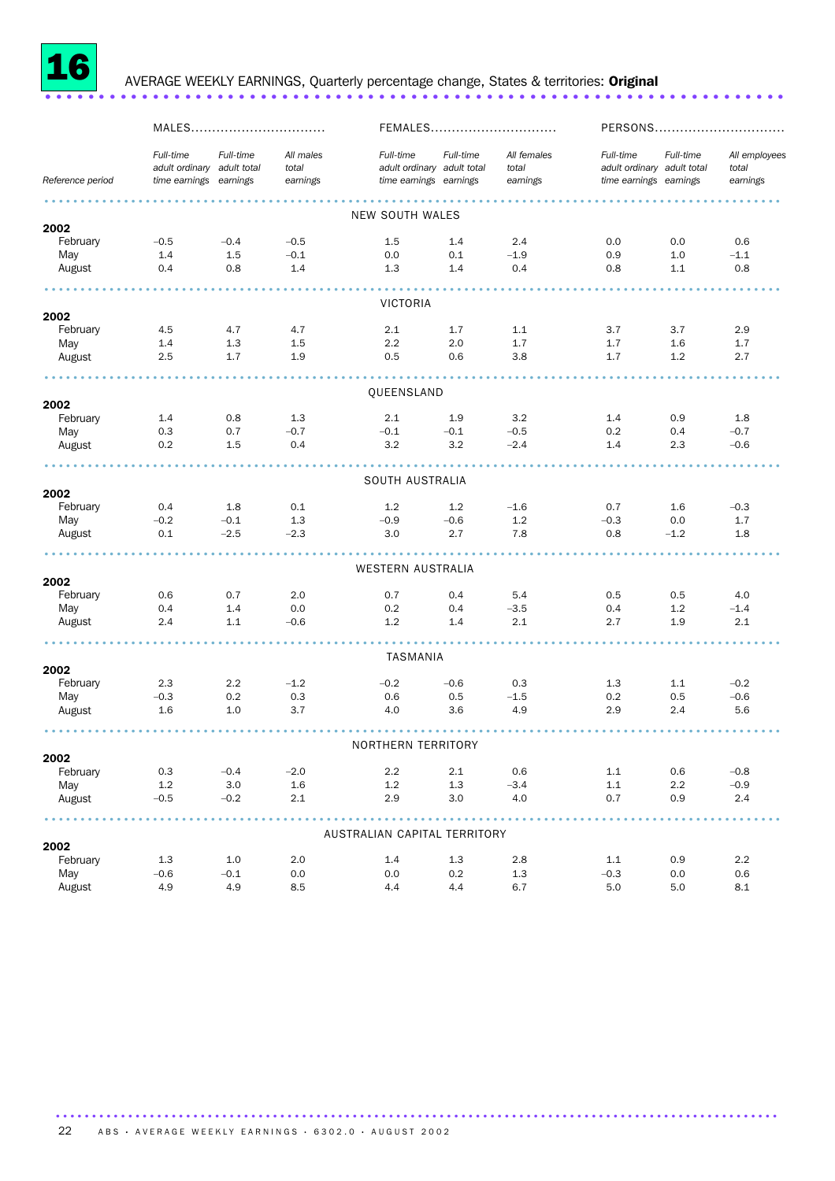

## AVERAGE WEEKLY EARNINGS, Quarterly percentage change, States & territories: Original .........................

|                  | MALES                                                             |           |                                |                                                                   | FEMALES   | PERSONS                          |                                                                   |           |                                    |
|------------------|-------------------------------------------------------------------|-----------|--------------------------------|-------------------------------------------------------------------|-----------|----------------------------------|-------------------------------------------------------------------|-----------|------------------------------------|
| Reference period | Full-time<br>adult ordinary adult total<br>time earnings earnings | Full-time | All males<br>total<br>earnings | Full-time<br>adult ordinary adult total<br>time earnings earnings | Full-time | All females<br>total<br>earnings | Full-time<br>adult ordinary adult total<br>time earnings earnings | Full-time | All employees<br>total<br>earnings |
|                  |                                                                   |           |                                |                                                                   |           |                                  |                                                                   |           |                                    |
| 2002             |                                                                   |           |                                | NEW SOUTH WALES                                                   |           |                                  |                                                                   |           |                                    |
| February         | $-0.5$                                                            | $-0.4$    | $-0.5$                         | 1.5                                                               | 1.4       | 2.4                              | 0.0                                                               | 0.0       | 0.6                                |
| May              | 1.4                                                               | 1.5       | $-0.1$                         | 0.0                                                               | 0.1       | $-1.9$                           | 0.9                                                               | 1.0       | $-1.1$                             |
| August           | 0.4                                                               | 0.8       | 1.4                            | 1.3                                                               | 1.4       | 0.4                              | 0.8                                                               | 1.1       | 0.8                                |
|                  |                                                                   |           |                                | VICTORIA                                                          |           |                                  |                                                                   |           |                                    |
| 2002             |                                                                   |           |                                |                                                                   |           |                                  |                                                                   |           |                                    |
| February         | 4.5                                                               | 4.7       | 4.7                            | 2.1                                                               | 1.7       | 1.1                              | 3.7                                                               | 3.7       | 2.9                                |
| May              | 1.4                                                               | 1.3       | 1.5                            | 2.2                                                               | 2.0       | 1.7                              | 1.7                                                               | 1.6       | 1.7                                |
| August           | 2.5                                                               | 1.7       | 1.9                            | 0.5                                                               | 0.6       | 3.8                              | 1.7                                                               | 1.2       | 2.7                                |
|                  |                                                                   |           |                                | QUEENSLAND                                                        |           |                                  |                                                                   |           |                                    |
| 2002             |                                                                   |           |                                |                                                                   |           |                                  |                                                                   |           |                                    |
| February         | 1.4                                                               | 0.8       | 1.3                            | 2.1                                                               | 1.9       | 3.2                              | 1.4                                                               | 0.9       | 1.8                                |
| May              | 0.3                                                               | 0.7       | $-0.7$                         | $-0.1$                                                            | $-0.1$    | $-0.5$                           | 0.2                                                               | 0.4       | $-0.7$                             |
| August           | 0.2                                                               | 1.5       | 0.4                            | 3.2                                                               | 3.2       | $-2.4$                           | 1.4                                                               | 2.3       | $-0.6$                             |
|                  |                                                                   |           |                                | SOUTH AUSTRALIA                                                   |           |                                  |                                                                   |           |                                    |
| 2002             |                                                                   |           |                                |                                                                   |           |                                  |                                                                   |           |                                    |
| February         | 0.4                                                               | 1.8       | 0.1                            | 1.2                                                               | 1.2       | $-1.6$                           | 0.7                                                               | 1.6       | $-0.3$                             |
| May              | $-0.2$                                                            | $-0.1$    | 1.3                            | $-0.9$                                                            | $-0.6$    | 1.2                              | $-0.3$                                                            | 0.0       | 1.7                                |
| August           | 0.1                                                               | $-2.5$    | $-2.3$                         | 3.0                                                               | 2.7       | 7.8                              | 0.8                                                               | $-1.2$    | 1.8                                |
|                  |                                                                   |           |                                | WESTERN AUSTRALIA                                                 |           |                                  |                                                                   |           |                                    |
| 2002             |                                                                   |           |                                |                                                                   |           |                                  |                                                                   |           |                                    |
| February         | 0.6                                                               | 0.7       | 2.0                            | 0.7                                                               | 0.4       | 5.4                              | 0.5                                                               | 0.5       | 4.0                                |
| May              | 0.4                                                               | 1.4       | 0.0                            | 0.2                                                               | 0.4       | $-3.5$                           | 0.4                                                               | 1.2       | $-1.4$                             |
| August           | 2.4                                                               | 1.1       | $-0.6$                         | 1.2                                                               | 1.4       | 2.1                              | 2.7                                                               | 1.9       | 2.1                                |
|                  |                                                                   |           |                                | TASMANIA                                                          |           |                                  |                                                                   |           |                                    |
| 2002             |                                                                   |           |                                |                                                                   |           |                                  |                                                                   |           |                                    |
| February         | 2.3                                                               | 2.2       | $-1.2$                         | $-0.2$                                                            | $-0.6$    | 0.3                              | 1.3                                                               | 1.1       | $-0.2$                             |
| May              | $-0.3$                                                            | 0.2       | 0.3                            | 0.6                                                               | 0.5       | $-1.5$                           | 0.2                                                               | 0.5       | $-0.6$                             |
| August           | 1.6                                                               | 1.0       | 3.7                            | 4.0                                                               | 3.6       | 4.9                              | 2.9                                                               | 2.4       | 5.6                                |
|                  |                                                                   |           |                                |                                                                   |           |                                  |                                                                   |           |                                    |
| 2002             |                                                                   |           |                                | NORTHERN TERRITORY                                                |           |                                  |                                                                   |           |                                    |
| February         | 0.3                                                               | $-0.4$    | $-2.0$                         | $2.2^{\circ}$                                                     | 2.1       | 0.6                              | 1.1                                                               | 0.6       | $-0.8$                             |
| May              | 1.2                                                               | 3.0       | 1.6                            | 1.2                                                               | 1.3       | $-3.4$                           | 1.1                                                               | 2.2       | $-0.9$                             |
| August           | $-0.5$                                                            | $-0.2$    | $2.1\,$                        | 2.9                                                               | 3.0       | 4.0                              | 0.7                                                               | 0.9       | 2.4                                |
|                  |                                                                   |           |                                |                                                                   |           |                                  |                                                                   |           |                                    |
| 2002             |                                                                   |           |                                | AUSTRALIAN CAPITAL TERRITORY                                      |           |                                  |                                                                   |           |                                    |
| February         | 1.3                                                               | 1.0       | 2.0                            | 1.4                                                               | 1.3       | 2.8                              | 1.1                                                               | 0.9       | 2.2                                |
| May              | $-0.6$                                                            | $-0.1$    | 0.0                            | 0.0                                                               | 0.2       | 1.3                              | $-0.3$                                                            | 0.0       | 0.6                                |
| August           | 4.9                                                               | 4.9       | 8.5                            | 4.4                                                               | 4.4       | 6.7                              | 5.0                                                               | 5.0       | 8.1                                |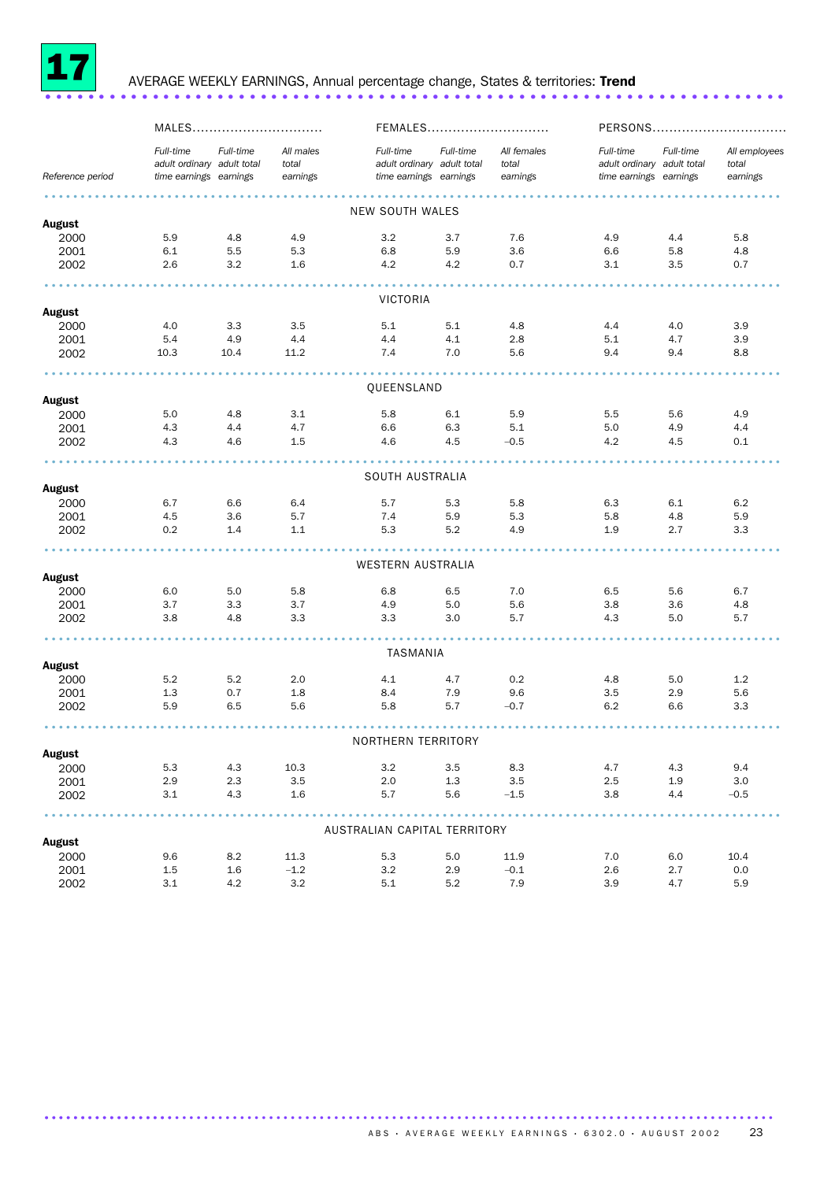

### <sup>17</sup> AVERAGE WEEKLY EARNINGS, Annual percentage change, States & territories: Trend ..................................................................... .

|                       | MALES                                                             |           |                                | FEMALES                                                           |           |                                  |                                                                   |            | PERSONS                            |
|-----------------------|-------------------------------------------------------------------|-----------|--------------------------------|-------------------------------------------------------------------|-----------|----------------------------------|-------------------------------------------------------------------|------------|------------------------------------|
| Reference period      | Full-time<br>adult ordinary adult total<br>time earnings earnings | Full-time | All males<br>total<br>earnings | Full-time<br>adult ordinary adult total<br>time earnings earnings | Full-time | All females<br>total<br>earnings | Full-time<br>adult ordinary adult total<br>time earnings earnings | Full-time  | All employees<br>total<br>earnings |
|                       |                                                                   |           |                                |                                                                   |           |                                  |                                                                   |            |                                    |
|                       |                                                                   |           |                                | <b>NEW SOUTH WALES</b>                                            |           |                                  |                                                                   |            |                                    |
| <b>August</b>         |                                                                   |           |                                |                                                                   |           |                                  |                                                                   |            |                                    |
| 2000                  | 5.9                                                               | 4.8       | 4.9                            | 3.2                                                               | 3.7       | 7.6                              | 4.9                                                               | 4.4        | 5.8                                |
| 2001                  | 6.1                                                               | 5.5       | 5.3                            | 6.8                                                               | 5.9       | 3.6                              | 6.6                                                               | 5.8        | 4.8                                |
| 2002                  | 2.6                                                               | 3.2       | 1.6                            | 4.2                                                               | 4.2       | 0.7                              | 3.1                                                               | 3.5        | 0.7                                |
|                       |                                                                   |           |                                |                                                                   |           |                                  |                                                                   |            |                                    |
| <b>August</b>         |                                                                   |           |                                | <b>VICTORIA</b>                                                   |           |                                  |                                                                   |            |                                    |
| 2000                  | 4.0                                                               | 3.3       | 3.5                            | 5.1                                                               | 5.1       | 4.8                              | 4.4                                                               | 4.0        | 3.9                                |
| 2001                  | 5.4                                                               | 4.9       | 4.4                            | 4.4                                                               | 4.1       | 2.8                              | 5.1                                                               | 4.7        | 3.9                                |
| 2002                  | 10.3                                                              | 10.4      | 11.2                           | 7.4                                                               | 7.0       | 5.6                              | 9.4                                                               | 9.4        | 8.8                                |
|                       |                                                                   |           |                                |                                                                   |           |                                  |                                                                   |            |                                    |
| August                |                                                                   |           |                                | QUEENSLAND                                                        |           |                                  |                                                                   |            |                                    |
| 2000                  | 5.0                                                               | 4.8       | 3.1                            | 5.8                                                               | 6.1       | 5.9                              | 5.5                                                               | 5.6        | 4.9                                |
| 2001                  | 4.3                                                               | 4.4       | 4.7                            | 6.6                                                               | 6.3       | 5.1                              | 5.0                                                               | 4.9        | 4.4                                |
| 2002                  | 4.3                                                               | 4.6       | 1.5                            | 4.6                                                               | 4.5       | $-0.5$                           | 4.2                                                               | 4.5        | 0.1                                |
|                       |                                                                   |           |                                |                                                                   |           |                                  |                                                                   |            |                                    |
|                       |                                                                   |           |                                | SOUTH AUSTRALIA                                                   |           |                                  |                                                                   |            |                                    |
| <b>August</b>         |                                                                   |           |                                |                                                                   |           |                                  |                                                                   |            |                                    |
| 2000                  | 6.7                                                               | 6.6       | 6.4                            | 5.7                                                               | 5.3       | 5.8                              | 6.3                                                               | 6.1        | 6.2                                |
| 2001                  | 4.5                                                               | 3.6       | 5.7                            | 7.4                                                               | 5.9       | 5.3                              | 5.8                                                               | 4.8        | 5.9                                |
| 2002                  | 0.2                                                               | 1.4       | 1.1                            | 5.3                                                               | 5.2       | 4.9                              | 1.9                                                               | 2.7        | 3.3                                |
|                       |                                                                   |           |                                |                                                                   |           |                                  |                                                                   |            |                                    |
|                       |                                                                   |           |                                | WESTERN AUSTRALIA                                                 |           |                                  |                                                                   |            |                                    |
| <b>August</b>         |                                                                   |           |                                |                                                                   |           |                                  |                                                                   |            |                                    |
| 2000                  | 6.0                                                               | 5.0       | 5.8                            | 6.8                                                               | 6.5       | 7.0                              | 6.5                                                               | 5.6        | 6.7                                |
| 2001                  | 3.7                                                               | 3.3       | 3.7                            | 4.9                                                               | 5.0       | 5.6                              | 3.8                                                               | 3.6        | 4.8                                |
| 2002                  | 3.8                                                               | 4.8       | 3.3                            | 3.3                                                               | 3.0       | 5.7                              | 4.3                                                               | 5.0        | 5.7                                |
|                       |                                                                   |           |                                | TASMANIA                                                          |           |                                  |                                                                   |            |                                    |
| <b>August</b>         |                                                                   |           |                                |                                                                   |           |                                  |                                                                   |            |                                    |
| 2000                  | 5.2                                                               | 5.2       | 2.0                            | 4.1                                                               | 4.7       | 0.2                              | 4.8                                                               | 5.0        | 1.2                                |
| 2001                  | 1.3                                                               | 0.7       | 1.8                            | 8.4                                                               | 7.9       | 9.6                              | 3.5                                                               | 2.9        | 5.6                                |
| 2002                  | 5.9                                                               | 6.5       | 5.6                            | 5.8                                                               | 5.7       | $-0.7$                           | 6.2                                                               | 6.6        | 3.3                                |
|                       |                                                                   |           |                                |                                                                   |           |                                  |                                                                   |            |                                    |
|                       |                                                                   |           |                                | NORTHERN TERRITORY                                                |           |                                  |                                                                   |            |                                    |
| <b>August</b><br>2000 | 5.3                                                               | 4.3       | 10.3                           | 3.2                                                               | 3.5       | 8.3                              | 4.7                                                               | 4.3        | 9.4                                |
|                       |                                                                   | 2.3       | 3.5                            |                                                                   | 1.3       | 3.5                              | 2.5                                                               |            |                                    |
| 2001                  | 2.9<br>3.1                                                        | 4.3       | 1.6                            | 2.0<br>5.7                                                        | 5.6       | $-1.5$                           | 3.8                                                               | 1.9<br>4.4 | 3.0<br>$-0.5$                      |
| 2002                  |                                                                   |           |                                |                                                                   |           |                                  |                                                                   |            |                                    |
|                       |                                                                   |           |                                | AUSTRALIAN CAPITAL TERRITORY                                      |           |                                  |                                                                   |            |                                    |
| <b>August</b>         |                                                                   |           |                                |                                                                   |           |                                  |                                                                   |            |                                    |
| 2000                  | 9.6                                                               | 8.2       | 11.3                           | 5.3                                                               | 5.0       | 11.9                             | 7.0                                                               | 6.0        | 10.4                               |
| 2001                  | 1.5                                                               | 1.6       | $-1.2$                         | 3.2                                                               | 2.9       | $-0.1$                           | 2.6                                                               | 2.7        | 0.0                                |
| 2002                  | 3.1                                                               | 4.2       | 3.2                            | 5.1                                                               | 5.2       | 7.9                              | 3.9                                                               | 4.7        | 5.9                                |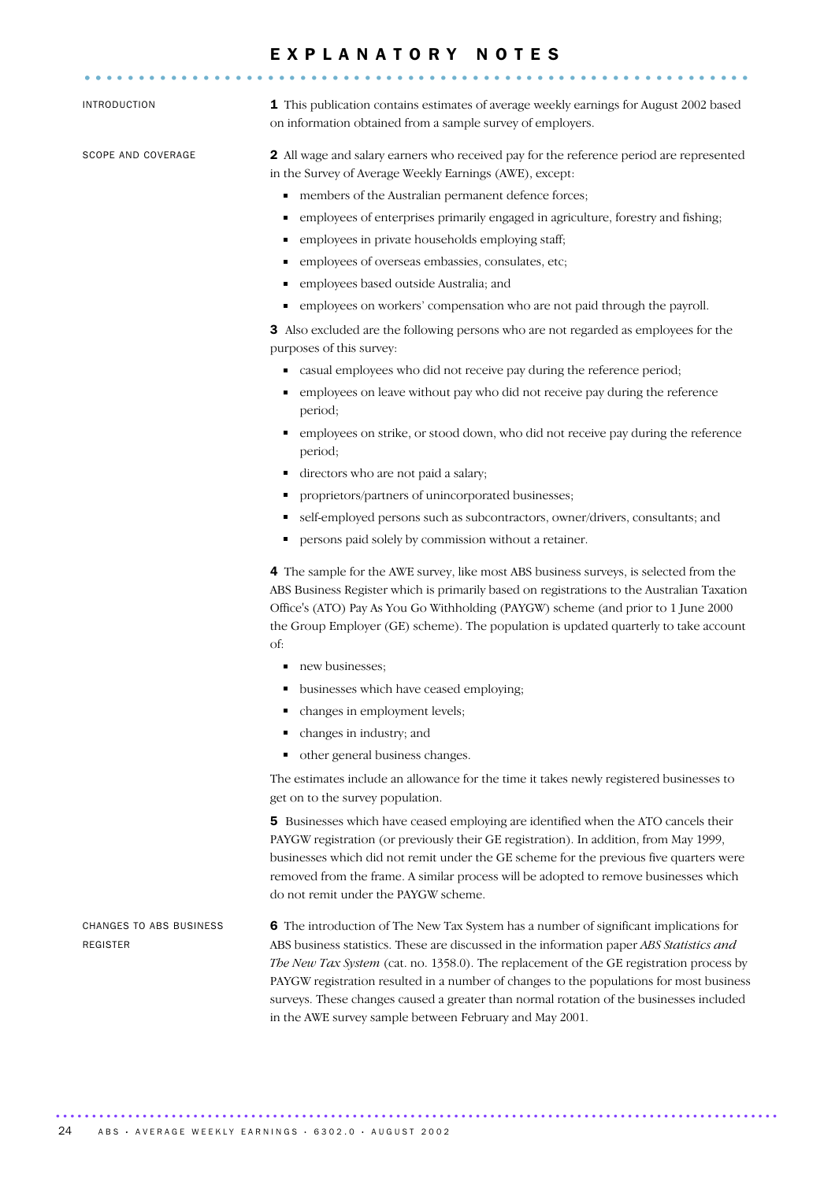#### E X P L A N A T O R Y N O T E S .............................................................. ..

INTRODUCTION 1 This publication contains estimates of average weekly earnings for August 2002 based on information obtained from a sample survey of employers.

SCOPE AND COVERAGE 2 All wage and salary earners who received pay for the reference period are represented in the Survey of Average Weekly Earnings (AWE), except:

- members of the Australian permanent defence forces;
- employees of enterprises primarily engaged in agriculture, forestry and fishing;
- employees in private households employing staff;
- employees of overseas embassies, consulates, etc;
- employees based outside Australia; and
- employees on workers' compensation who are not paid through the payroll.

3 Also excluded are the following persons who are not regarded as employees for the purposes of this survey:

- casual employees who did not receive pay during the reference period;
- employees on leave without pay who did not receive pay during the reference period;
- employees on strike, or stood down, who did not receive pay during the reference period;
- directors who are not paid a salary;
- **•** proprietors/partners of unincorporated businesses;
- self-employed persons such as subcontractors, owner/drivers, consultants; and
- $\blacksquare$ persons paid solely by commission without a retainer.

4 The sample for the AWE survey, like most ABS business surveys, is selected from the ABS Business Register which is primarily based on registrations to the Australian Taxation Office's (ATO) Pay As You Go Withholding (PAYGW) scheme (and prior to 1 June 2000 the Group Employer (GE) scheme). The population is updated quarterly to take account of:

- new businesses:
- **businesses which have ceased employing;**
- changes in employment levels;
- changes in industry; and
- other general business changes.

The estimates include an allowance for the time it takes newly registered businesses to get on to the survey population.

5 Businesses which have ceased employing are identified when the ATO cancels their PAYGW registration (or previously their GE registration). In addition, from May 1999, businesses which did not remit under the GE scheme for the previous five quarters were removed from the frame. A similar process will be adopted to remove businesses which do not remit under the PAYGW scheme.

CHANGES TO ABS BUSINESS REGISTER 6 The introduction of The New Tax System has a number of significant implications for ABS business statistics. These are discussed in the information paper *ABS Statistics and The New Tax System* (cat. no. 1358.0). The replacement of the GE registration process by PAYGW registration resulted in a number of changes to the populations for most business surveys. These changes caused a greater than normal rotation of the businesses included in the AWE survey sample between February and May 2001.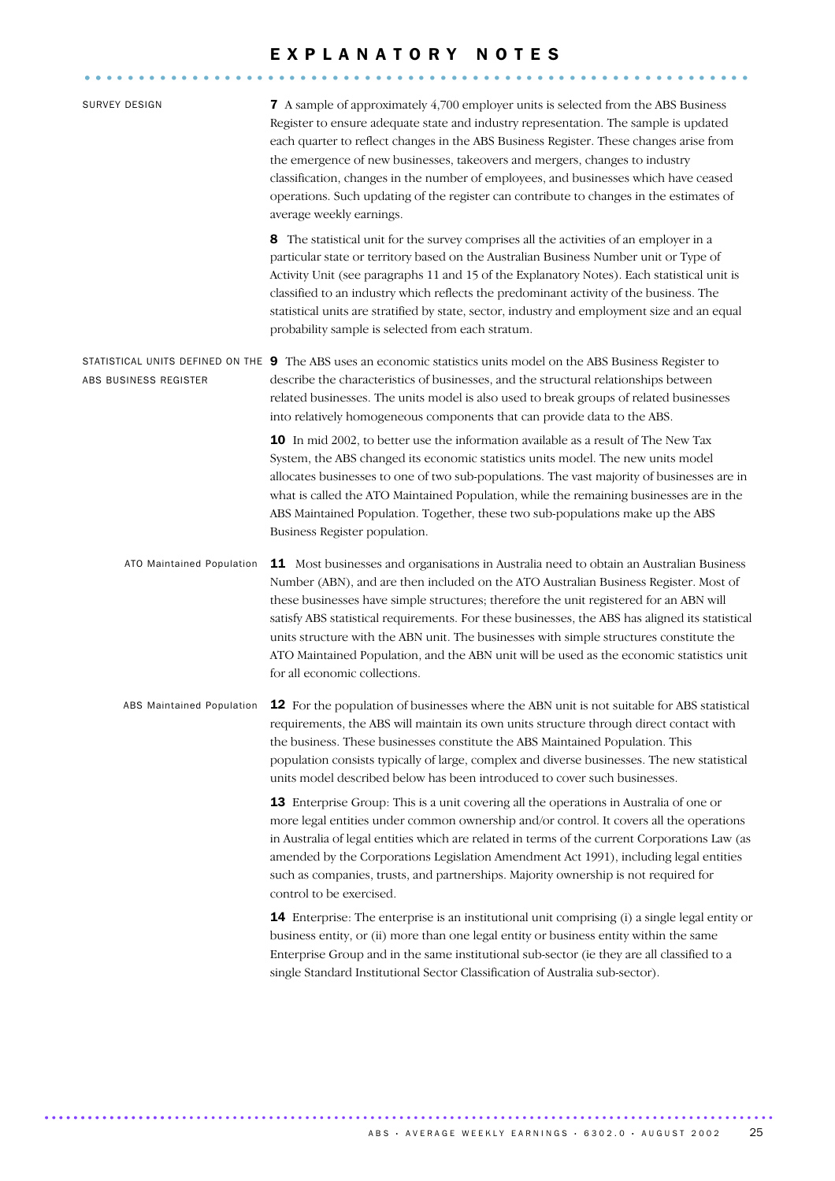|                                  | EXPLANATORY NOTES                                                                                                                                                                                                                                                                                                                                                                                                                                                                                                                                                                                           |
|----------------------------------|-------------------------------------------------------------------------------------------------------------------------------------------------------------------------------------------------------------------------------------------------------------------------------------------------------------------------------------------------------------------------------------------------------------------------------------------------------------------------------------------------------------------------------------------------------------------------------------------------------------|
| <b>SURVEY DESIGN</b>             | <b>7</b> A sample of approximately 4,700 employer units is selected from the ABS Business<br>Register to ensure adequate state and industry representation. The sample is updated<br>each quarter to reflect changes in the ABS Business Register. These changes arise from<br>the emergence of new businesses, takeovers and mergers, changes to industry<br>classification, changes in the number of employees, and businesses which have ceased<br>operations. Such updating of the register can contribute to changes in the estimates of<br>average weekly earnings.                                   |
|                                  | 8 The statistical unit for the survey comprises all the activities of an employer in a<br>particular state or territory based on the Australian Business Number unit or Type of<br>Activity Unit (see paragraphs 11 and 15 of the Explanatory Notes). Each statistical unit is<br>classified to an industry which reflects the predominant activity of the business. The<br>statistical units are stratified by state, sector, industry and employment size and an equal<br>probability sample is selected from each stratum.                                                                               |
| ABS BUSINESS REGISTER            | STATISTICAL UNITS DEFINED ON THE 9 The ABS uses an economic statistics units model on the ABS Business Register to<br>describe the characteristics of businesses, and the structural relationships between<br>related businesses. The units model is also used to break groups of related businesses<br>into relatively homogeneous components that can provide data to the ABS.                                                                                                                                                                                                                            |
|                                  | 10 In mid 2002, to better use the information available as a result of The New Tax<br>System, the ABS changed its economic statistics units model. The new units model<br>allocates businesses to one of two sub-populations. The vast majority of businesses are in<br>what is called the ATO Maintained Population, while the remaining businesses are in the<br>ABS Maintained Population. Together, these two sub-populations make up the ABS<br>Business Register population.                                                                                                                          |
| ATO Maintained Population        | <b>11</b> Most businesses and organisations in Australia need to obtain an Australian Business<br>Number (ABN), and are then included on the ATO Australian Business Register. Most of<br>these businesses have simple structures; therefore the unit registered for an ABN will<br>satisfy ABS statistical requirements. For these businesses, the ABS has aligned its statistical<br>units structure with the ABN unit. The businesses with simple structures constitute the<br>ATO Maintained Population, and the ABN unit will be used as the economic statistics unit<br>for all economic collections. |
| <b>ABS Maintained Population</b> | <b>12</b> For the population of businesses where the ABN unit is not suitable for ABS statistical<br>requirements, the ABS will maintain its own units structure through direct contact with<br>the business. These businesses constitute the ABS Maintained Population. This<br>population consists typically of large, complex and diverse businesses. The new statistical<br>units model described below has been introduced to cover such businesses.                                                                                                                                                   |
|                                  | 13 Enterprise Group: This is a unit covering all the operations in Australia of one or<br>more legal entities under common ownership and/or control. It covers all the operations<br>in Australia of legal entities which are related in terms of the current Corporations Law (as<br>amended by the Corporations Legislation Amendment Act 1991), including legal entities<br>such as companies, trusts, and partnerships. Majority ownership is not required for<br>control to be exercised.                                                                                                              |
|                                  | <b>14</b> Enterprise: The enterprise is an institutional unit comprising (i) a single legal entity or<br>business entity, or (ii) more than one legal entity or business entity within the same<br>Enterprise Group and in the same institutional sub-sector (ie they are all classified to a<br>single Standard Institutional Sector Classification of Australia sub-sector).                                                                                                                                                                                                                              |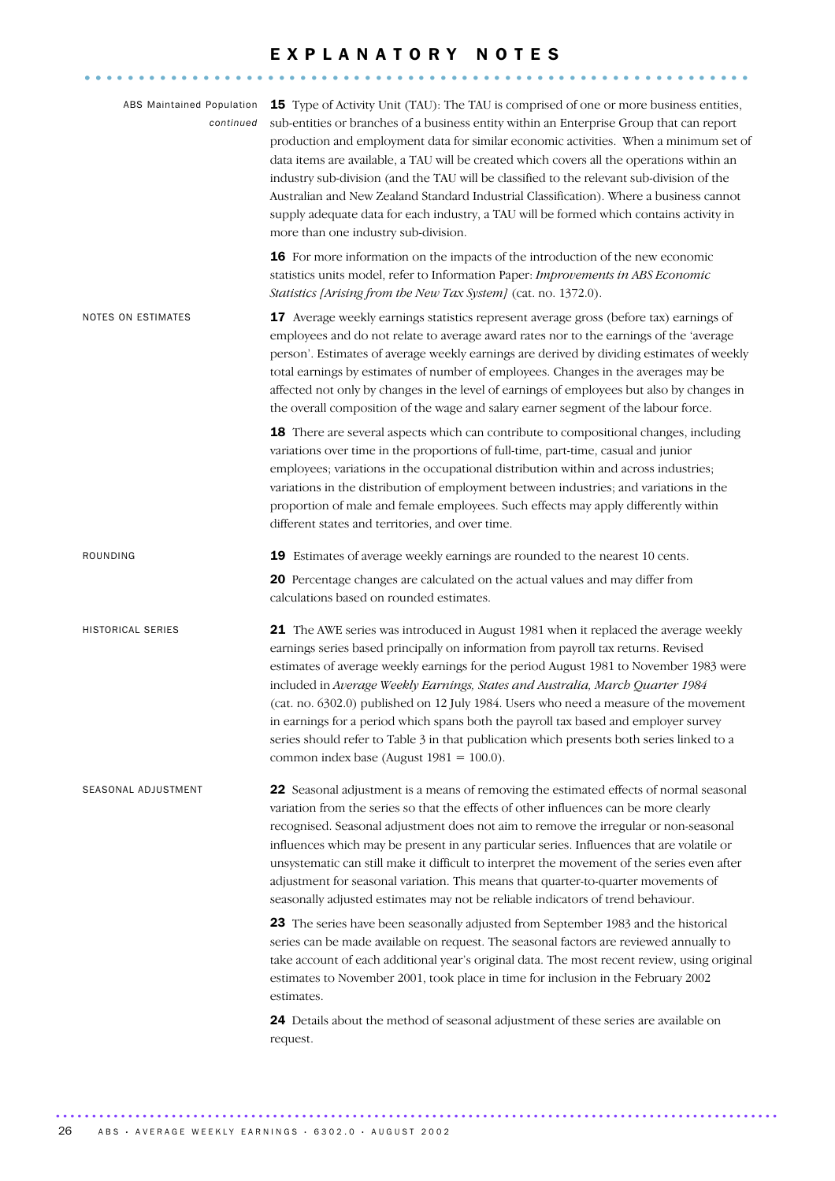#### EXPLANATORY NOTES .............................................................. ..

| <b>ABS Maintained Population</b><br>continued | 15 Type of Activity Unit (TAU): The TAU is comprised of one or more business entities,<br>sub-entities or branches of a business entity within an Enterprise Group that can report<br>production and employment data for similar economic activities. When a minimum set of<br>data items are available, a TAU will be created which covers all the operations within an<br>industry sub-division (and the TAU will be classified to the relevant sub-division of the<br>Australian and New Zealand Standard Industrial Classification). Where a business cannot<br>supply adequate data for each industry, a TAU will be formed which contains activity in<br>more than one industry sub-division. |
|-----------------------------------------------|-----------------------------------------------------------------------------------------------------------------------------------------------------------------------------------------------------------------------------------------------------------------------------------------------------------------------------------------------------------------------------------------------------------------------------------------------------------------------------------------------------------------------------------------------------------------------------------------------------------------------------------------------------------------------------------------------------|
|                                               | 16 For more information on the impacts of the introduction of the new economic<br>statistics units model, refer to Information Paper: Improvements in ABS Economic<br>Statistics [Arising from the New Tax System] (cat. no. 1372.0).                                                                                                                                                                                                                                                                                                                                                                                                                                                               |
| NOTES ON ESTIMATES                            | 17 Average weekly earnings statistics represent average gross (before tax) earnings of<br>employees and do not relate to average award rates nor to the earnings of the 'average<br>person'. Estimates of average weekly earnings are derived by dividing estimates of weekly<br>total earnings by estimates of number of employees. Changes in the averages may be<br>affected not only by changes in the level of earnings of employees but also by changes in<br>the overall composition of the wage and salary earner segment of the labour force.                                                                                                                                              |
|                                               | 18 There are several aspects which can contribute to compositional changes, including<br>variations over time in the proportions of full-time, part-time, casual and junior<br>employees; variations in the occupational distribution within and across industries;<br>variations in the distribution of employment between industries; and variations in the<br>proportion of male and female employees. Such effects may apply differently within<br>different states and territories, and over time.                                                                                                                                                                                             |
| ROUNDING                                      | 19 Estimates of average weekly earnings are rounded to the nearest 10 cents.                                                                                                                                                                                                                                                                                                                                                                                                                                                                                                                                                                                                                        |
|                                               | 20 Percentage changes are calculated on the actual values and may differ from<br>calculations based on rounded estimates.                                                                                                                                                                                                                                                                                                                                                                                                                                                                                                                                                                           |
| HISTORICAL SERIES                             | 21 The AWE series was introduced in August 1981 when it replaced the average weekly<br>earnings series based principally on information from payroll tax returns. Revised<br>estimates of average weekly earnings for the period August 1981 to November 1983 were<br>included in Average Weekly Earnings, States and Australia, March Quarter 1984<br>(cat. no. 6302.0) published on 12 July 1984. Users who need a measure of the movement<br>in earnings for a period which spans both the payroll tax based and employer survey<br>series should refer to Table 3 in that publication which presents both series linked to a<br>common index base (August $1981 = 100.0$ ).                     |
| SEASONAL ADJUSTMENT                           | 22 Seasonal adjustment is a means of removing the estimated effects of normal seasonal<br>variation from the series so that the effects of other influences can be more clearly<br>recognised. Seasonal adjustment does not aim to remove the irregular or non-seasonal<br>influences which may be present in any particular series. Influences that are volatile or<br>unsystematic can still make it difficult to interpret the movement of the series even after<br>adjustment for seasonal variation. This means that quarter-to-quarter movements of<br>seasonally adjusted estimates may not be reliable indicators of trend behaviour.                                                       |
|                                               | 23 The series have been seasonally adjusted from September 1983 and the historical<br>series can be made available on request. The seasonal factors are reviewed annually to<br>take account of each additional year's original data. The most recent review, using original<br>estimates to November 2001, took place in time for inclusion in the February 2002<br>estimates.                                                                                                                                                                                                                                                                                                                     |
|                                               | 24 Details about the method of seasonal adjustment of these series are available on<br>request.                                                                                                                                                                                                                                                                                                                                                                                                                                                                                                                                                                                                     |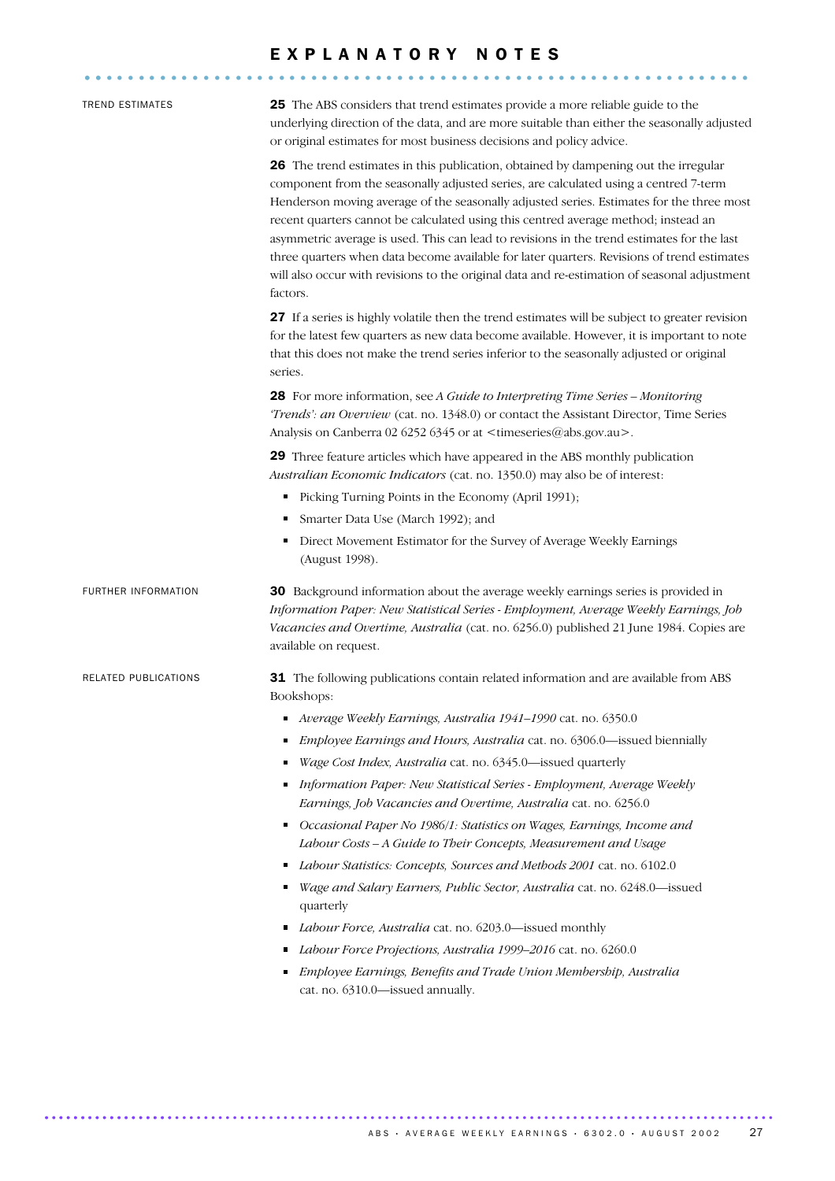|                      | EXPLANATORY NOTES                                                                                                                                                                                                                                                                                                                                                                                                                                                                                                                                                                                                                                                            |
|----------------------|------------------------------------------------------------------------------------------------------------------------------------------------------------------------------------------------------------------------------------------------------------------------------------------------------------------------------------------------------------------------------------------------------------------------------------------------------------------------------------------------------------------------------------------------------------------------------------------------------------------------------------------------------------------------------|
| TREND ESTIMATES      | <b>25</b> The ABS considers that trend estimates provide a more reliable guide to the<br>underlying direction of the data, and are more suitable than either the seasonally adjusted<br>or original estimates for most business decisions and policy advice.                                                                                                                                                                                                                                                                                                                                                                                                                 |
|                      | <b>26</b> The trend estimates in this publication, obtained by dampening out the irregular<br>component from the seasonally adjusted series, are calculated using a centred 7-term<br>Henderson moving average of the seasonally adjusted series. Estimates for the three most<br>recent quarters cannot be calculated using this centred average method; instead an<br>asymmetric average is used. This can lead to revisions in the trend estimates for the last<br>three quarters when data become available for later quarters. Revisions of trend estimates<br>will also occur with revisions to the original data and re-estimation of seasonal adjustment<br>factors. |
|                      | 27 If a series is highly volatile then the trend estimates will be subject to greater revision<br>for the latest few quarters as new data become available. However, it is important to note<br>that this does not make the trend series inferior to the seasonally adjusted or original<br>series.                                                                                                                                                                                                                                                                                                                                                                          |
|                      | 28 For more information, see A Guide to Interpreting Time Series - Monitoring<br>'Trends': an Overview (cat. no. 1348.0) or contact the Assistant Director, Time Series<br>Analysis on Canberra 02 6252 6345 or at <timeseries@abs.gov.au>.</timeseries@abs.gov.au>                                                                                                                                                                                                                                                                                                                                                                                                          |
|                      | <b>29</b> Three feature articles which have appeared in the ABS monthly publication<br>Australian Economic Indicators (cat. no. 1350.0) may also be of interest:                                                                                                                                                                                                                                                                                                                                                                                                                                                                                                             |
|                      | Picking Turning Points in the Economy (April 1991);<br>٠                                                                                                                                                                                                                                                                                                                                                                                                                                                                                                                                                                                                                     |
|                      | Smarter Data Use (March 1992); and<br>٠                                                                                                                                                                                                                                                                                                                                                                                                                                                                                                                                                                                                                                      |
|                      | Direct Movement Estimator for the Survey of Average Weekly Earnings<br>٠<br>(August 1998).                                                                                                                                                                                                                                                                                                                                                                                                                                                                                                                                                                                   |
| FURTHER INFORMATION  | <b>30</b> Background information about the average weekly earnings series is provided in<br>Information Paper: New Statistical Series - Employment, Average Weekly Earnings, Job<br>Vacancies and Overtime, Australia (cat. no. 6256.0) published 21 June 1984. Copies are<br>available on request.                                                                                                                                                                                                                                                                                                                                                                          |
| RELATED PUBLICATIONS | 31 The following publications contain related information and are available from ABS<br>Bookshops:                                                                                                                                                                                                                                                                                                                                                                                                                                                                                                                                                                           |
|                      | Average Weekly Earnings, Australia 1941-1990 cat. no. 6350.0<br>٠                                                                                                                                                                                                                                                                                                                                                                                                                                                                                                                                                                                                            |
|                      | <i>Employee Earnings and Hours, Australia</i> cat. no. 6306.0—issued biennially<br>п                                                                                                                                                                                                                                                                                                                                                                                                                                                                                                                                                                                         |
|                      | Wage Cost Index, Australia cat. no. 6345.0-issued quarterly                                                                                                                                                                                                                                                                                                                                                                                                                                                                                                                                                                                                                  |
|                      | Information Paper: New Statistical Series - Employment, Average Weekly<br>٠<br>Earnings, Job Vacancies and Overtime, Australia cat. no. 6256.0                                                                                                                                                                                                                                                                                                                                                                                                                                                                                                                               |
|                      | Occasional Paper No 1986/1: Statistics on Wages, Earnings, Income and<br>٠<br>Labour Costs - A Guide to Their Concepts, Measurement and Usage                                                                                                                                                                                                                                                                                                                                                                                                                                                                                                                                |
|                      | Labour Statistics: Concepts, Sources and Methods 2001 cat. no. 6102.0<br>٠                                                                                                                                                                                                                                                                                                                                                                                                                                                                                                                                                                                                   |
|                      | Wage and Salary Earners, Public Sector, Australia cat. no. 6248.0—issued<br>ш<br>quarterly                                                                                                                                                                                                                                                                                                                                                                                                                                                                                                                                                                                   |
|                      | Labour Force, Australia cat. no. 6203.0—issued monthly<br>п                                                                                                                                                                                                                                                                                                                                                                                                                                                                                                                                                                                                                  |
|                      | Labour Force Projections, Australia 1999–2016 cat. no. 6260.0<br>٠                                                                                                                                                                                                                                                                                                                                                                                                                                                                                                                                                                                                           |

*Employee Earnings, Benefits and Trade Union Membership, Australia* cat. no. 6310.0—issued annually.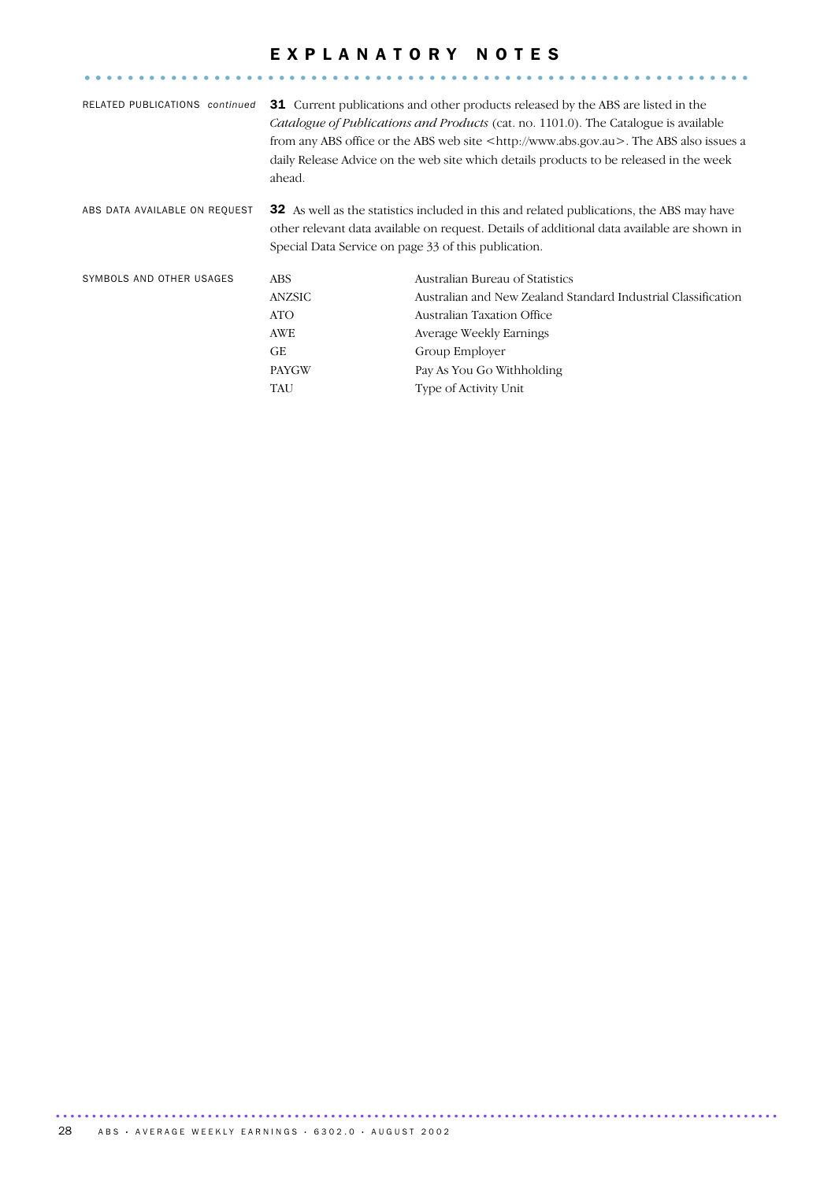#### EXPLANATORY NOTES .............................................................. ..

| RELATED PUBLICATIONS continued | ahead.                                               | <b>31</b> Current publications and other products released by the ABS are listed in the<br><i>Catalogue of Publications and Products</i> (cat. no. 1101.0). The Catalogue is available<br>from any ABS office or the ABS web site <http: www.abs.gov.au="">. The ABS also issues a<br/>daily Release Advice on the web site which details products to be released in the week</http:> |
|--------------------------------|------------------------------------------------------|---------------------------------------------------------------------------------------------------------------------------------------------------------------------------------------------------------------------------------------------------------------------------------------------------------------------------------------------------------------------------------------|
| ABS DATA AVAILABLE ON REQUEST  | Special Data Service on page 33 of this publication. | <b>32</b> As well as the statistics included in this and related publications, the ABS may have<br>other relevant data available on request. Details of additional data available are shown in                                                                                                                                                                                        |
| SYMBOLS AND OTHER USAGES       | <b>ABS</b>                                           | Australian Bureau of Statistics                                                                                                                                                                                                                                                                                                                                                       |
|                                | ANZSIC                                               | Australian and New Zealand Standard Industrial Classification                                                                                                                                                                                                                                                                                                                         |
|                                | ATO                                                  | Australian Taxation Office                                                                                                                                                                                                                                                                                                                                                            |
|                                | AWE                                                  | Average Weekly Earnings                                                                                                                                                                                                                                                                                                                                                               |
|                                | GE                                                   | Group Employer                                                                                                                                                                                                                                                                                                                                                                        |
|                                | <b>PAYGW</b>                                         | Pay As You Go Withholding                                                                                                                                                                                                                                                                                                                                                             |
|                                | TAU                                                  | Type of Activity Unit                                                                                                                                                                                                                                                                                                                                                                 |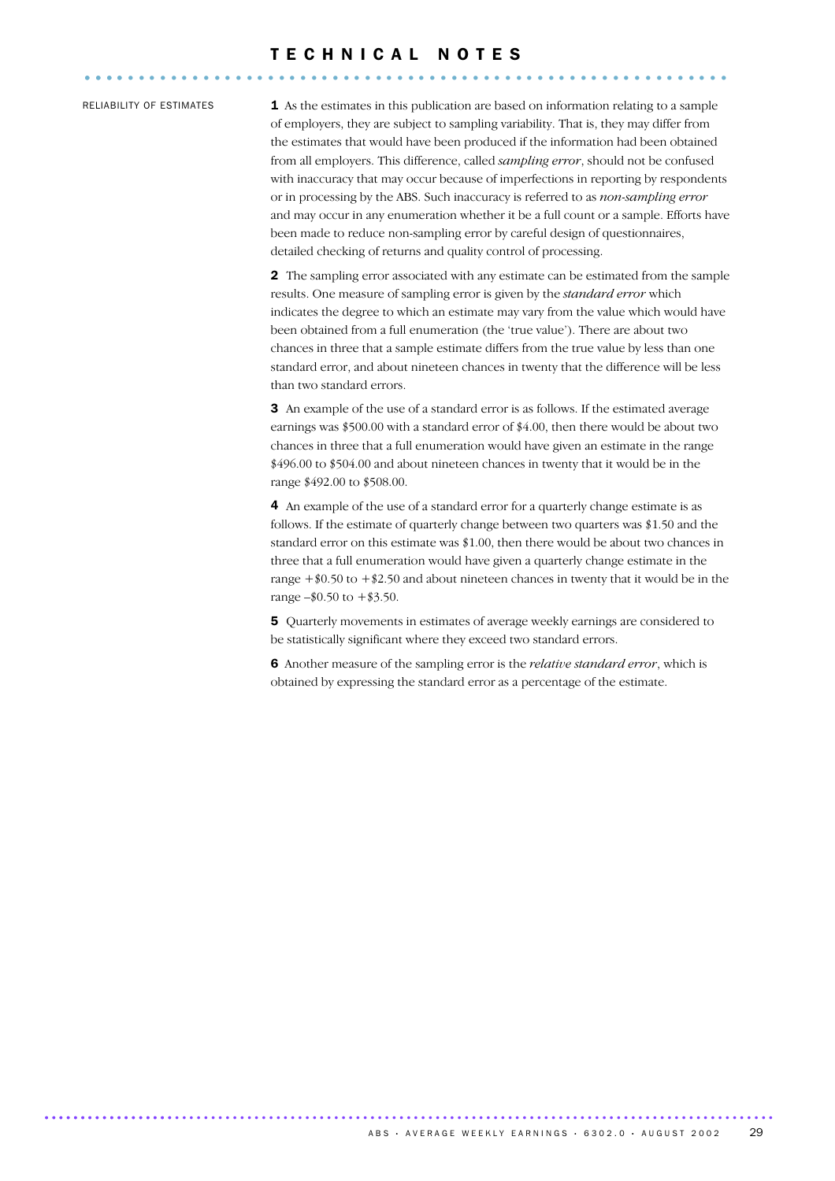#### T E C H N I C A L N O T E S ............................................................ ....

RELIABILITY OF ESTIMATES **1** As the estimates in this publication are based on information relating to a sample of employers, they are subject to sampling variability. That is, they may differ from the estimates that would have been produced if the information had been obtained from all employers. This difference, called *sampling error*, should not be confused with inaccuracy that may occur because of imperfections in reporting by respondents or in processing by the ABS. Such inaccuracy is referred to as *non-sampling error* and may occur in any enumeration whether it be a full count or a sample. Efforts have been made to reduce non-sampling error by careful design of questionnaires, detailed checking of returns and quality control of processing.

> 2 The sampling error associated with any estimate can be estimated from the sample results. One measure of sampling error is given by the *standard error* which indicates the degree to which an estimate may vary from the value which would have been obtained from a full enumeration (the 'true value'). There are about two chances in three that a sample estimate differs from the true value by less than one standard error, and about nineteen chances in twenty that the difference will be less than two standard errors.

3 An example of the use of a standard error is as follows. If the estimated average earnings was \$500.00 with a standard error of \$4.00, then there would be about two chances in three that a full enumeration would have given an estimate in the range \$496.00 to \$504.00 and about nineteen chances in twenty that it would be in the range \$492.00 to \$508.00.

4 An example of the use of a standard error for a quarterly change estimate is as follows. If the estimate of quarterly change between two quarters was \$1.50 and the standard error on this estimate was \$1.00, then there would be about two chances in three that a full enumeration would have given a quarterly change estimate in the range  $\pm$  \$0.50 to  $\pm$  \$2.50 and about nineteen chances in twenty that it would be in the range  $-10.50$  to  $+13.50$ .

5 Quarterly movements in estimates of average weekly earnings are considered to be statistically significant where they exceed two standard errors.

6 Another measure of the sampling error is the *relative standard error*, which is obtained by expressing the standard error as a percentage of the estimate.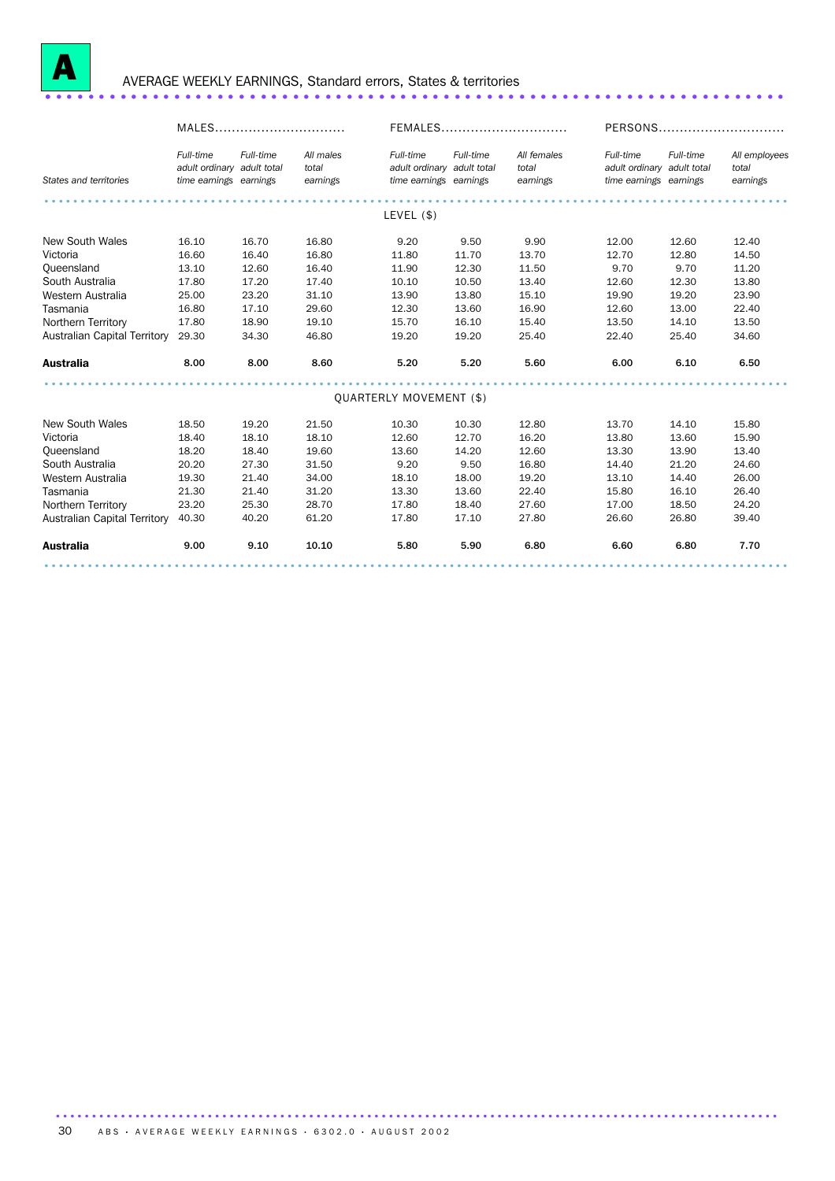

### <sup>A</sup> AVERAGE WEEKLY EARNINGS, Standard errors, States & territories ..................................................................... .

|                              | MALES                                                             |           |                                | FEMALES                                                           |           |                                  | PERSONS                                                           |           |                                    |
|------------------------------|-------------------------------------------------------------------|-----------|--------------------------------|-------------------------------------------------------------------|-----------|----------------------------------|-------------------------------------------------------------------|-----------|------------------------------------|
| States and territories       | Full-time<br>adult ordinary adult total<br>time earnings earnings | Full-time | All males<br>total<br>earnings | Full-time<br>adult ordinary adult total<br>time earnings earnings | Full-time | All females<br>total<br>earnings | Full-time<br>adult ordinary adult total<br>time earnings earnings | Full-time | All employees<br>total<br>earnings |
|                              |                                                                   |           |                                |                                                                   |           |                                  |                                                                   |           |                                    |
|                              |                                                                   |           |                                | LEVEL (\$)                                                        |           |                                  |                                                                   |           |                                    |
| New South Wales              | 16.10                                                             | 16.70     | 16.80                          | 9.20                                                              | 9.50      | 9.90                             | 12.00                                                             | 12.60     | 12.40                              |
| Victoria                     | 16.60                                                             | 16.40     | 16.80                          | 11.80                                                             | 11.70     | 13.70                            | 12.70                                                             | 12.80     | 14.50                              |
| Queensland                   | 13.10                                                             | 12.60     | 16.40                          | 11.90                                                             | 12.30     | 11.50                            | 9.70                                                              | 9.70      | 11.20                              |
| South Australia              | 17.80                                                             | 17.20     | 17.40                          | 10.10                                                             | 10.50     | 13.40                            | 12.60                                                             | 12.30     | 13.80                              |
| Western Australia            | 25.00                                                             | 23.20     | 31.10                          | 13.90                                                             | 13.80     | 15.10                            | 19.90                                                             | 19.20     | 23.90                              |
| Tasmania                     | 16.80                                                             | 17.10     | 29.60                          | 12.30                                                             | 13.60     | 16.90                            | 12.60                                                             | 13.00     | 22.40                              |
| Northern Territory           | 17.80                                                             | 18.90     | 19.10                          | 15.70                                                             | 16.10     | 15.40                            | 13.50                                                             | 14.10     | 13.50                              |
| Australian Capital Territory | 29.30                                                             | 34.30     | 46.80                          | 19.20                                                             | 19.20     | 25.40                            | 22.40                                                             | 25.40     | 34.60                              |
| <b>Australia</b>             | 8.00                                                              | 8.00      | 8.60                           | 5.20                                                              | 5.20      | 5.60                             | 6.00                                                              | 6.10      | 6.50                               |
|                              |                                                                   |           |                                |                                                                   |           |                                  |                                                                   |           |                                    |
|                              |                                                                   |           |                                | QUARTERLY MOVEMENT (\$)                                           |           |                                  |                                                                   |           |                                    |
| New South Wales              | 18.50                                                             | 19.20     | 21.50                          | 10.30                                                             | 10.30     | 12.80                            | 13.70                                                             | 14.10     | 15.80                              |
| Victoria                     | 18.40                                                             | 18.10     | 18.10                          | 12.60                                                             | 12.70     | 16.20                            | 13.80                                                             | 13.60     | 15.90                              |
| Queensland                   | 18.20                                                             | 18.40     | 19.60                          | 13.60                                                             | 14.20     | 12.60                            | 13.30                                                             | 13.90     | 13.40                              |
| South Australia              | 20.20                                                             | 27.30     | 31.50                          | 9.20                                                              | 9.50      | 16.80                            | 14.40                                                             | 21.20     | 24.60                              |
| Western Australia            | 19.30                                                             | 21.40     | 34.00                          | 18.10                                                             | 18.00     | 19.20                            | 13.10                                                             | 14.40     | 26.00                              |
| Tasmania                     | 21.30                                                             | 21.40     | 31.20                          | 13.30                                                             | 13.60     | 22.40                            | 15.80                                                             | 16.10     | 26.40                              |
| Northern Territory           | 23.20                                                             | 25.30     | 28.70                          | 17.80                                                             | 18.40     | 27.60                            | 17.00                                                             | 18.50     | 24.20                              |
| Australian Capital Territory | 40.30                                                             | 40.20     | 61.20                          | 17.80                                                             | 17.10     | 27.80                            | 26.60                                                             | 26.80     | 39.40                              |
| <b>Australia</b>             | 9.00                                                              | 9.10      | 10.10                          | 5.80                                                              | 5.90      | 6.80                             | 6.60                                                              | 6.80      | 7.70                               |
|                              |                                                                   |           |                                |                                                                   |           |                                  |                                                                   |           |                                    |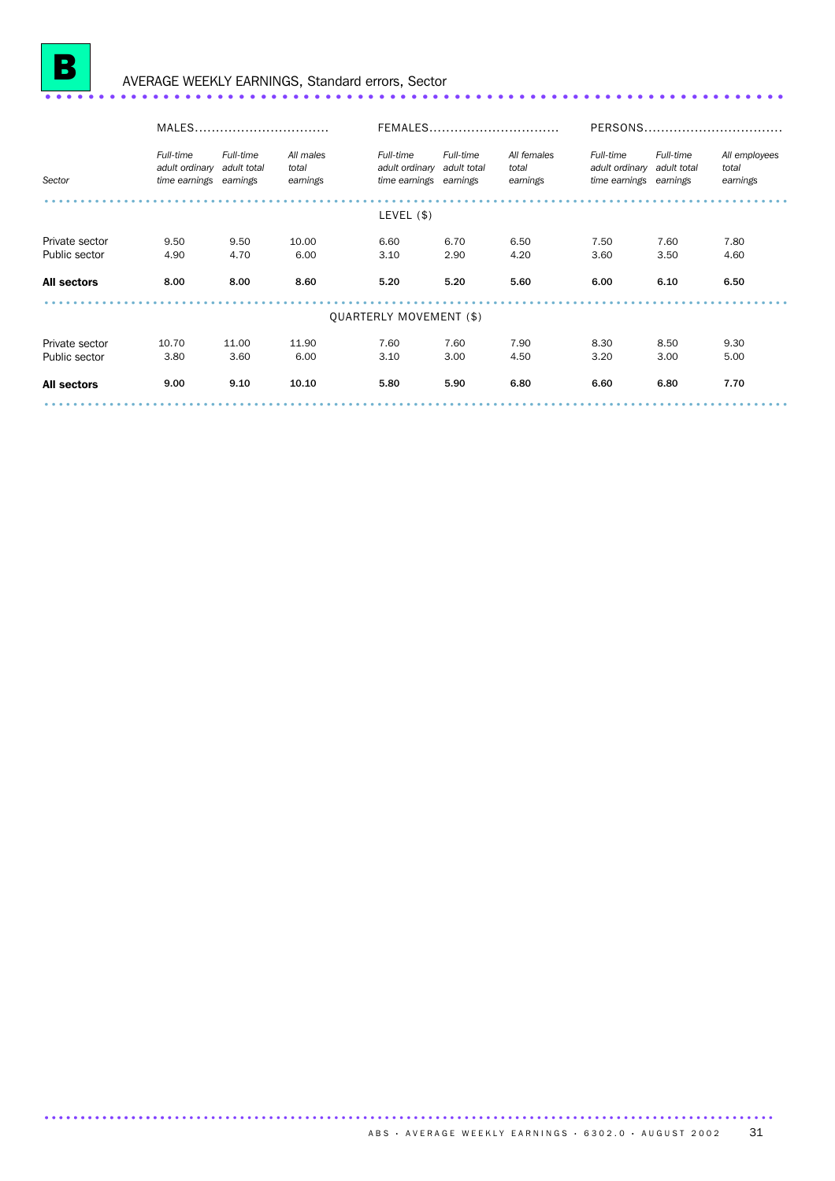

# <sup>B</sup> AVERAGE WEEKLY EARNINGS, Standard errors, Sector ..................................................................... ..

|                    | MALES                                                 |                          |                                | FEMALES                                                           |           |                                  | PERSONS                                               |                          |                                    |
|--------------------|-------------------------------------------------------|--------------------------|--------------------------------|-------------------------------------------------------------------|-----------|----------------------------------|-------------------------------------------------------|--------------------------|------------------------------------|
| Sector             | Full-time<br>adult ordinary<br>time earnings earnings | Full-time<br>adult total | All males<br>total<br>earnings | Full-time<br>adult ordinary adult total<br>time earnings earnings | Full-time | All females<br>total<br>earnings | Full-time<br>adult ordinary<br>time earnings earnings | Full-time<br>adult total | All employees<br>total<br>earnings |
|                    |                                                       |                          |                                | LEVEL (\$)                                                        |           |                                  |                                                       |                          |                                    |
|                    |                                                       |                          |                                |                                                                   |           |                                  |                                                       |                          |                                    |
| Private sector     | 9.50                                                  | 9.50                     | 10.00                          | 6.60                                                              | 6.70      | 6.50                             | 7.50                                                  | 7.60                     | 7.80                               |
| Public sector      | 4.90                                                  | 4.70                     | 6.00                           | 3.10                                                              | 2.90      | 4.20                             | 3.60                                                  | 3.50                     | 4.60                               |
| <b>All sectors</b> | 8.00                                                  | 8.00                     | 8.60                           | 5.20                                                              | 5.20      | 5.60                             | 6.00                                                  | 6.10                     | 6.50                               |
|                    |                                                       |                          |                                | <b>QUARTERLY MOVEMENT (\$)</b>                                    |           |                                  |                                                       |                          |                                    |
| Private sector     | 10.70                                                 | 11.00                    | 11.90                          | 7.60                                                              | 7.60      | 7.90                             | 8.30                                                  | 8.50                     | 9.30                               |
| Public sector      | 3.80                                                  | 3.60                     | 6.00                           | 3.10                                                              | 3.00      | 4.50                             | 3.20                                                  | 3.00                     | 5.00                               |
| <b>All sectors</b> | 9.00                                                  | 9.10                     | 10.10                          | 5.80                                                              | 5.90      | 6.80                             | 6.60                                                  | 6.80                     | 7.70                               |
|                    |                                                       |                          |                                |                                                                   |           |                                  |                                                       |                          |                                    |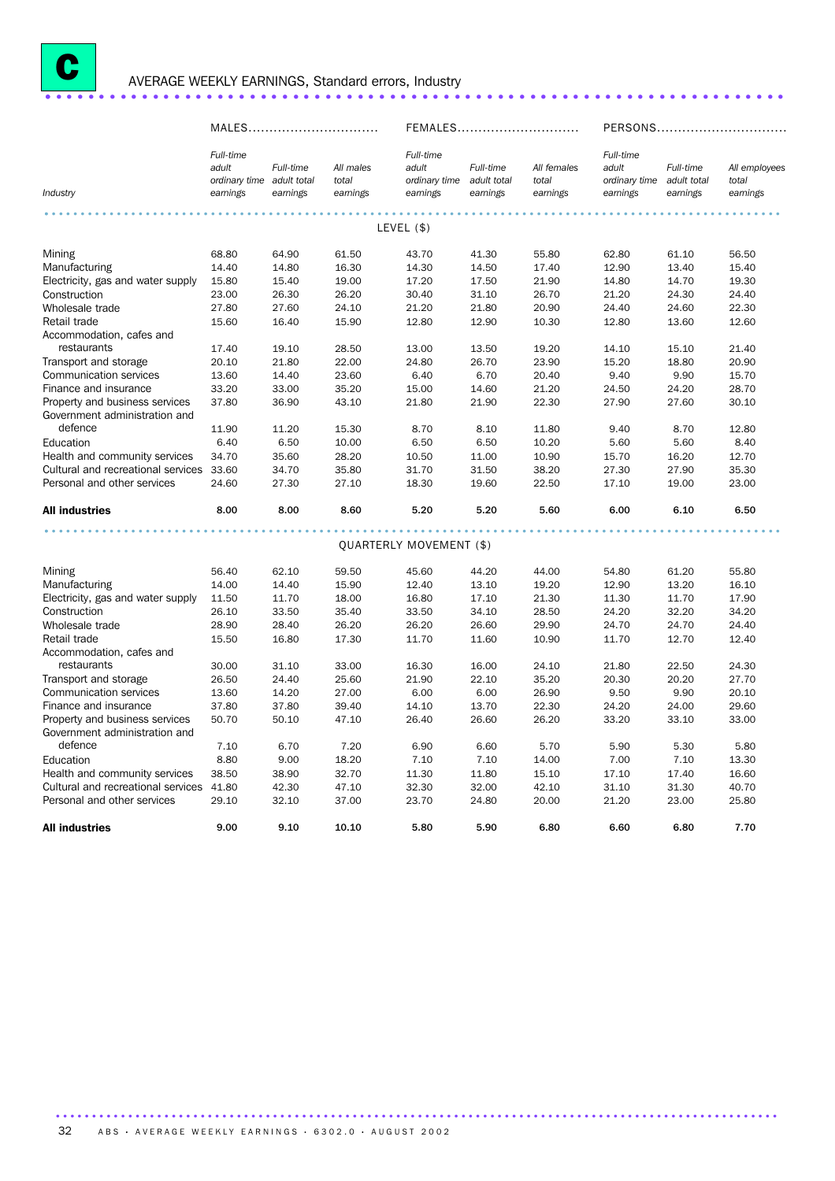

# <sup>C</sup> AVERAGE WEEKLY EARNINGS, Standard errors, Industry ..................................................................... .

MALES............................... FEMALES............................. PERSONS............................... *Industry Full-time adult ordinary time adult total earnings Full-time earnings All males total earnings Full-time adult ordinary time adult total earnings Full-time earnings All females total earnings Full-time adult ordinary time adult total earnings Full-time earnings All employees total earnings* ...................................................................................................... . LEVEL (\$) Mining 68.80 64.90 61.50 43.70 41.30 55.80 62.80 61.10 56.50 Manufacturing 14.40 14.80 16.30 14.30 14.50 17.40 12.90 13.40 15.40 Electricity, gas and water supply 15.80 15.40 19.00 17.20 17.50 21.90 14.80 14.70 19.30 Construction 23.00 26.30 26.20 30.40 31.10 26.70 21.20 24.30 24.40 Wholesale trade 27.80 27.60 24.10 21.20 21.80 20.90 24.40 24.60 22.30 Retail trade 15.60 16.40 15.90 12.80 12.90 10.30 12.80 13.60 12.60 Accommodation, cafes and<br>restaurants restaurants 17.40 19.10 28.50 13.00 13.50 19.20 14.10 15.10 21.40 Transport and storage 20.10 21.80 22.00 24.80 26.70 23.90 15.20 18.80 20.90<br>
Communication services 13.60 14.40 23.60 6.40 6.70 20.40 9.40 9.90 15.70 Communication services Finance and insurance 33.20 33.00 35.20 15.00 14.60 21.20 24.50 24.20 28.70 Property and business services 37.80 36.90 43.10 21.80 21.90 22.30 27.90 27.60 30.10 Government administration and defence 11.90 11.20 15.30 8.70 8.10 11.80 9.40 8.70 12.80 Education 6.40 6.50 10.00 6.50 6.50 10.20 5.60 5.60 8.40 Health and community services 34.70 35.60 28.20 10.50 11.00 10.90 15.70 16.20 12.70<br>Cultural and recreational services 33.60 34.70 35.80 31.70 31.50 38.20 27.30 27.90 35.30 Cultural and recreational services 33.60 Personal and other services 24.60 27.30 27.10 18.30 19.60 22.50 17.10 19.00 23.00 All industries 8.00 8.00 8.60 5.20 5.20 5.60 6.00 6.10 6.50 ...................................................................................................... . QUARTERLY MOVEMENT (\$) Mining 56.40 62.10 59.50 45.60 44.20 44.00 54.80 61.20 55.80 Manufacturing 14.00 14.40 15.90 12.40 13.10 19.20 12.90 13.20 16.10 Electricity, gas and water supply 11.50 11.70 18.00 16.80 17.10 21.30 11.30 11.70 17.90 Construction 26.10 33.50 35.40 33.50 34.10 28.50 24.20 32.20 34.20 Wholesale trade 28.90 28.40 26.20 26.20 26.60 29.90 24.70 24.70 24.40 Retail trade 15.50 16.80 17.30 11.70 11.60 10.90 11.70 12.70 12.40 Accommodation, cafes and<br>restaurants restaurants 30.00 31.10 33.00 16.30 16.00 24.10 21.80 22.50 24.30 Transport and storage 26.50 24.40 25.60 21.90 22.10 35.20 20.30 20.20 27.70 Communication services 13.60 14.20 27.00 6.00 6.00 26.90 9.50 9.90 20.10 Finance and insurance 37.80 37.80 39.40 14.10 13.70 22.30 24.20 24.00 29.60 Property and business services 50.70 50.10 47.10 26.40 26.60 26.20 33.20 33.10 33.00 Government administration and defence 7.10 6.70 7.20 6.90 6.60 5.70 5.90 5.30 5.80 Education 8.80 9.00 18.20 7.10 7.10 14.00 7.00 7.10 13.30 Health and community services 38.50 38.90 32.70 11.30 11.80 15.10 17.10 17.40 16.60 Cultural and recreational services 41.80 42.30 47.10 32.30 32.00 42.10 31.10 31.30 40.70 Personal and other services 29.10 32.10 37.00 23.70 24.80 20.00 21.20 23.00 25.80 All industries 9.00 10.10 5.80 6.80 6.80 7.70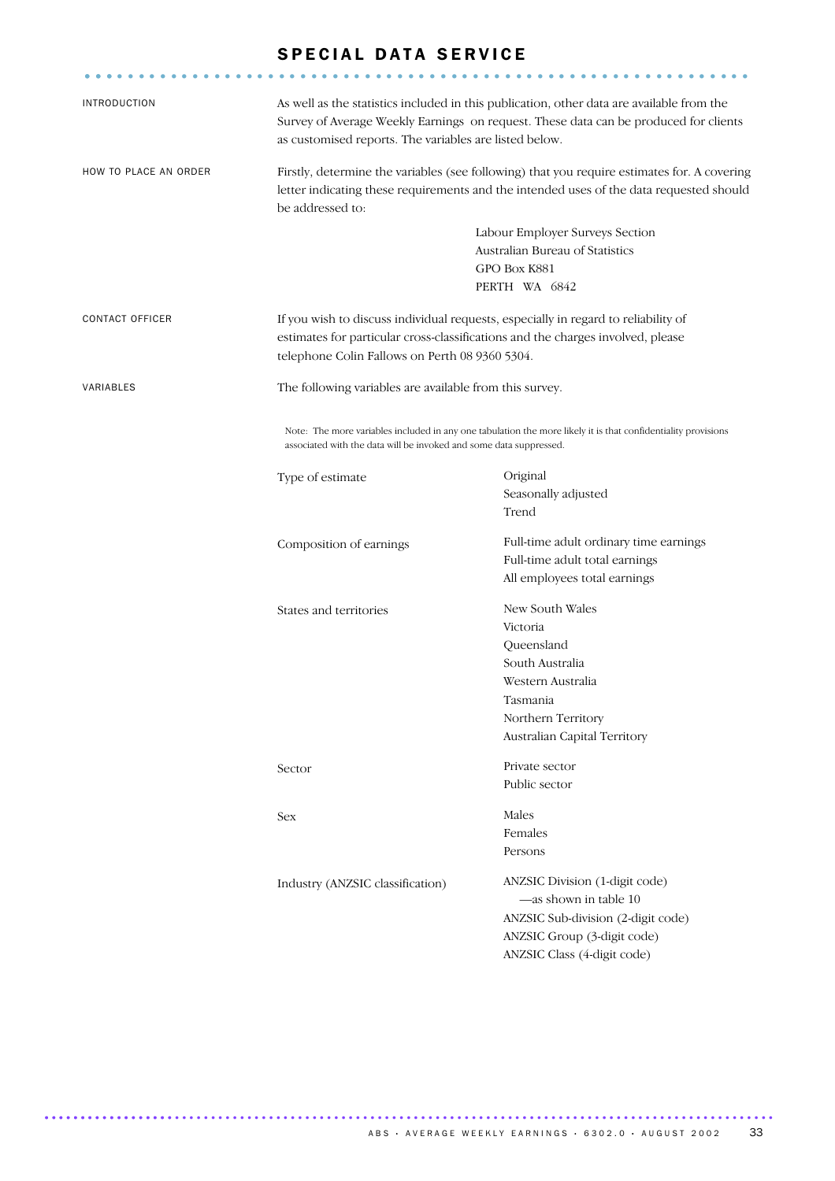#### SPECIAL DATA SERVICE

.............................................................. ...

| <b>INTRODUCTION</b>    | as customised reports. The variables are listed below.                                                                                                                                                     | As well as the statistics included in this publication, other data are available from the<br>Survey of Average Weekly Earnings on request. These data can be produced for clients |  |  |  |  |
|------------------------|------------------------------------------------------------------------------------------------------------------------------------------------------------------------------------------------------------|-----------------------------------------------------------------------------------------------------------------------------------------------------------------------------------|--|--|--|--|
| HOW TO PLACE AN ORDER  | Firstly, determine the variables (see following) that you require estimates for. A covering<br>letter indicating these requirements and the intended uses of the data requested should<br>be addressed to: |                                                                                                                                                                                   |  |  |  |  |
|                        |                                                                                                                                                                                                            | Labour Employer Surveys Section                                                                                                                                                   |  |  |  |  |
|                        |                                                                                                                                                                                                            | Australian Bureau of Statistics                                                                                                                                                   |  |  |  |  |
|                        | GPO Box K881                                                                                                                                                                                               |                                                                                                                                                                                   |  |  |  |  |
|                        |                                                                                                                                                                                                            | PERTH WA 6842                                                                                                                                                                     |  |  |  |  |
| <b>CONTACT OFFICER</b> | If you wish to discuss individual requests, especially in regard to reliability of                                                                                                                         |                                                                                                                                                                                   |  |  |  |  |
|                        | estimates for particular cross-classifications and the charges involved, please                                                                                                                            |                                                                                                                                                                                   |  |  |  |  |
|                        | telephone Colin Fallows on Perth 08 9360 5304.                                                                                                                                                             |                                                                                                                                                                                   |  |  |  |  |
| VARIABLES              | The following variables are available from this survey.                                                                                                                                                    |                                                                                                                                                                                   |  |  |  |  |
|                        | associated with the data will be invoked and some data suppressed.                                                                                                                                         | Note: The more variables included in any one tabulation the more likely it is that confidentiality provisions                                                                     |  |  |  |  |
|                        | Type of estimate                                                                                                                                                                                           | Original                                                                                                                                                                          |  |  |  |  |
|                        |                                                                                                                                                                                                            | Seasonally adjusted                                                                                                                                                               |  |  |  |  |
|                        |                                                                                                                                                                                                            | Trend                                                                                                                                                                             |  |  |  |  |
|                        | Composition of earnings                                                                                                                                                                                    | Full-time adult ordinary time earnings                                                                                                                                            |  |  |  |  |
|                        |                                                                                                                                                                                                            | Full-time adult total earnings                                                                                                                                                    |  |  |  |  |
|                        |                                                                                                                                                                                                            | All employees total earnings                                                                                                                                                      |  |  |  |  |
|                        |                                                                                                                                                                                                            | New South Wales                                                                                                                                                                   |  |  |  |  |
|                        | States and territories                                                                                                                                                                                     | Victoria                                                                                                                                                                          |  |  |  |  |
|                        |                                                                                                                                                                                                            | Queensland                                                                                                                                                                        |  |  |  |  |
|                        |                                                                                                                                                                                                            | South Australia                                                                                                                                                                   |  |  |  |  |
|                        |                                                                                                                                                                                                            | Western Australia                                                                                                                                                                 |  |  |  |  |
|                        |                                                                                                                                                                                                            | Tasmania                                                                                                                                                                          |  |  |  |  |
|                        |                                                                                                                                                                                                            | Northern Territory                                                                                                                                                                |  |  |  |  |
|                        |                                                                                                                                                                                                            | Australian Capital Territory                                                                                                                                                      |  |  |  |  |
|                        |                                                                                                                                                                                                            |                                                                                                                                                                                   |  |  |  |  |
|                        | Sector                                                                                                                                                                                                     | Private sector<br>Public sector                                                                                                                                                   |  |  |  |  |
|                        |                                                                                                                                                                                                            |                                                                                                                                                                                   |  |  |  |  |
|                        | Sex                                                                                                                                                                                                        | Males                                                                                                                                                                             |  |  |  |  |
|                        |                                                                                                                                                                                                            | Females                                                                                                                                                                           |  |  |  |  |
|                        |                                                                                                                                                                                                            | Persons                                                                                                                                                                           |  |  |  |  |
|                        | Industry (ANZSIC classification)                                                                                                                                                                           | ANZSIC Division (1-digit code)                                                                                                                                                    |  |  |  |  |
|                        |                                                                                                                                                                                                            | -as shown in table 10                                                                                                                                                             |  |  |  |  |
|                        |                                                                                                                                                                                                            | ANZSIC Sub-division (2-digit code)                                                                                                                                                |  |  |  |  |
|                        |                                                                                                                                                                                                            | ANZSIC Group (3-digit code)                                                                                                                                                       |  |  |  |  |
|                        |                                                                                                                                                                                                            | ANZSIC Class (4-digit code)                                                                                                                                                       |  |  |  |  |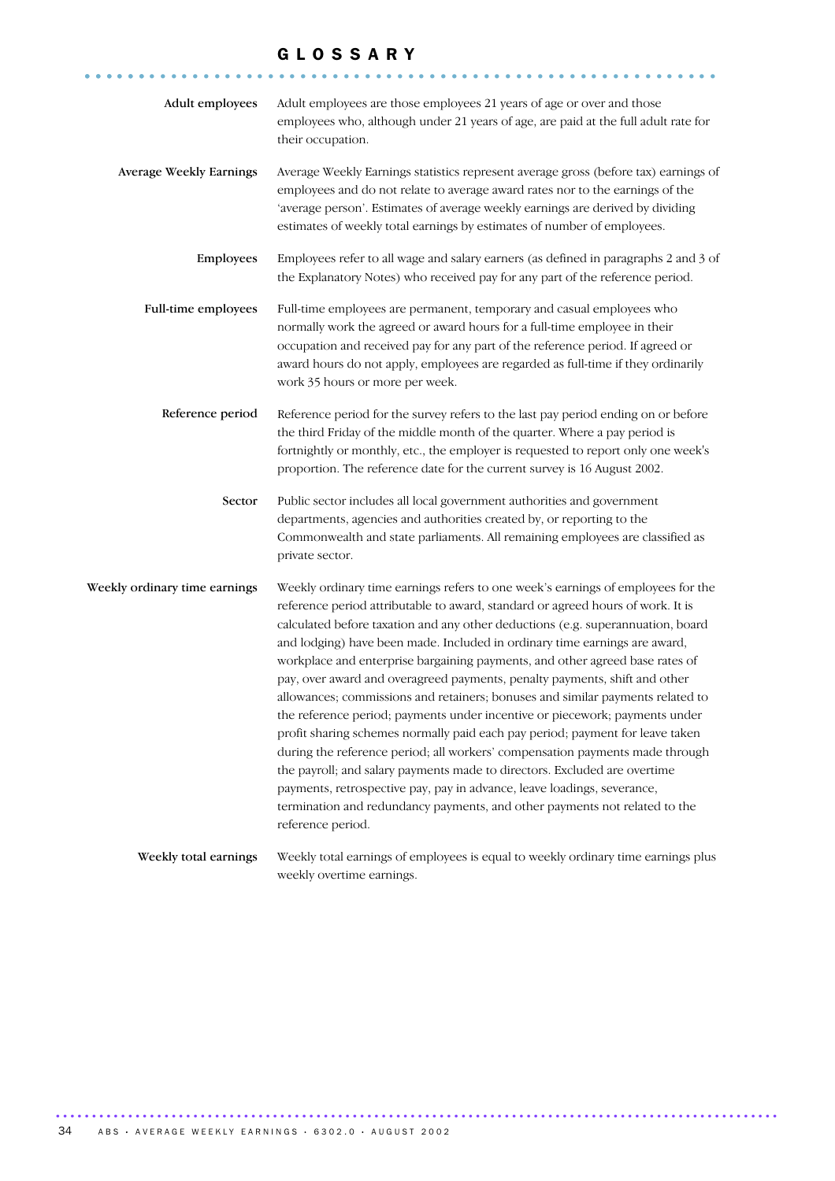#### G L O S S A R Y

........................................................... ......

| Adult employees               | Adult employees are those employees 21 years of age or over and those<br>employees who, although under 21 years of age, are paid at the full adult rate for<br>their occupation.                                                                                                                                                                                                                                                                                                                                                                                                                                                                                                                                                                                                                                                                                                                                                                                                                                                                                                                |
|-------------------------------|-------------------------------------------------------------------------------------------------------------------------------------------------------------------------------------------------------------------------------------------------------------------------------------------------------------------------------------------------------------------------------------------------------------------------------------------------------------------------------------------------------------------------------------------------------------------------------------------------------------------------------------------------------------------------------------------------------------------------------------------------------------------------------------------------------------------------------------------------------------------------------------------------------------------------------------------------------------------------------------------------------------------------------------------------------------------------------------------------|
| Average Weekly Earnings       | Average Weekly Earnings statistics represent average gross (before tax) earnings of<br>employees and do not relate to average award rates nor to the earnings of the<br>'average person'. Estimates of average weekly earnings are derived by dividing<br>estimates of weekly total earnings by estimates of number of employees.                                                                                                                                                                                                                                                                                                                                                                                                                                                                                                                                                                                                                                                                                                                                                               |
| Employees                     | Employees refer to all wage and salary earners (as defined in paragraphs 2 and 3 of<br>the Explanatory Notes) who received pay for any part of the reference period.                                                                                                                                                                                                                                                                                                                                                                                                                                                                                                                                                                                                                                                                                                                                                                                                                                                                                                                            |
| Full-time employees           | Full-time employees are permanent, temporary and casual employees who<br>normally work the agreed or award hours for a full-time employee in their<br>occupation and received pay for any part of the reference period. If agreed or<br>award hours do not apply, employees are regarded as full-time if they ordinarily<br>work 35 hours or more per week.                                                                                                                                                                                                                                                                                                                                                                                                                                                                                                                                                                                                                                                                                                                                     |
| Reference period              | Reference period for the survey refers to the last pay period ending on or before<br>the third Friday of the middle month of the quarter. Where a pay period is<br>fortnightly or monthly, etc., the employer is requested to report only one week's<br>proportion. The reference date for the current survey is 16 August 2002.                                                                                                                                                                                                                                                                                                                                                                                                                                                                                                                                                                                                                                                                                                                                                                |
| Sector                        | Public sector includes all local government authorities and government<br>departments, agencies and authorities created by, or reporting to the<br>Commonwealth and state parliaments. All remaining employees are classified as<br>private sector.                                                                                                                                                                                                                                                                                                                                                                                                                                                                                                                                                                                                                                                                                                                                                                                                                                             |
|                               |                                                                                                                                                                                                                                                                                                                                                                                                                                                                                                                                                                                                                                                                                                                                                                                                                                                                                                                                                                                                                                                                                                 |
| Weekly ordinary time earnings | Weekly ordinary time earnings refers to one week's earnings of employees for the<br>reference period attributable to award, standard or agreed hours of work. It is<br>calculated before taxation and any other deductions (e.g. superannuation, board<br>and lodging) have been made. Included in ordinary time earnings are award,<br>workplace and enterprise bargaining payments, and other agreed base rates of<br>pay, over award and overagreed payments, penalty payments, shift and other<br>allowances; commissions and retainers; bonuses and similar payments related to<br>the reference period; payments under incentive or piecework; payments under<br>profit sharing schemes normally paid each pay period; payment for leave taken<br>during the reference period; all workers' compensation payments made through<br>the payroll; and salary payments made to directors. Excluded are overtime<br>payments, retrospective pay, pay in advance, leave loadings, severance,<br>termination and redundancy payments, and other payments not related to the<br>reference period. |